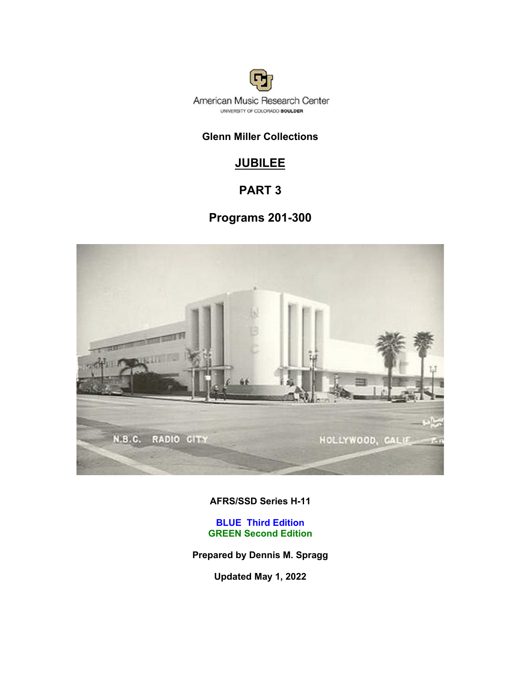

# **Glenn Miller Collections**

# **JUBILEE**

# **PART 3**

# **Programs 201-300**



**AFRS/SSD Series H-11**

**BLUE Third Edition GREEN Second Edition**

**Prepared by Dennis M. Spragg**

**Updated May 1, 2022**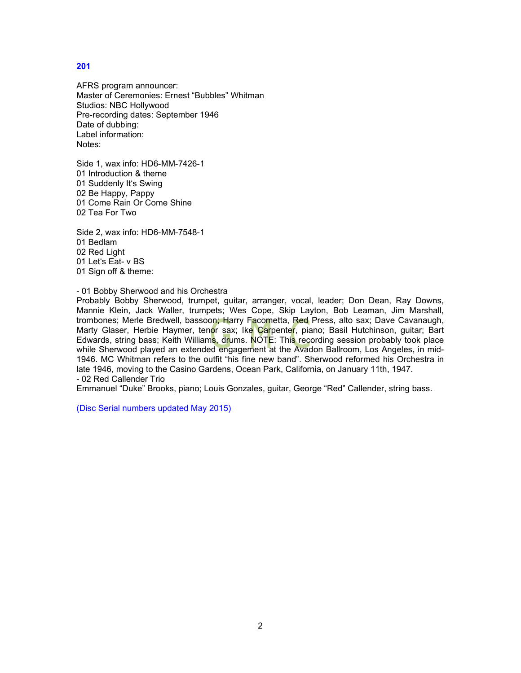AFRS program announcer: Master of Ceremonies: Ernest "Bubbles" Whitman Studios: NBC Hollywood Pre-recording dates: September 1946 Date of dubbing: Label information: Notes:

Side 1, wax info: HD6-MM-7426-1 01 Introduction & theme 01 Suddenly It's Swing 02 Be Happy, Pappy 01 Come Rain Or Come Shine 02 Tea For Two

Side 2, wax info: HD6-MM-7548-1 01 Bedlam 02 Red Light 01 Let's Eat- v BS 01 Sign off & theme:

#### - 01 Bobby Sherwood and his Orchestra

Probably Bobby Sherwood, trumpet, guitar, arranger, vocal, leader; Don Dean, Ray Downs, Mannie Klein, Jack Waller, trumpets; Wes Cope, Skip Layton, Bob Leaman, Jim Marshall, trombones; Merle Bredwell, bassoon; Harry Facometta, Red Press, alto sax; Dave Cavanaugh, Marty Glaser, Herbie Haymer, tenor sax; Ike Carpenter, piano; Basil Hutchinson, guitar; Bart Edwards, string bass; Keith Williams, drums. NOTE: This recording session probably took place while Sherwood played an extended engagement at the Avadon Ballroom, Los Angeles, in mid-1946. MC Whitman refers to the outfit "his fine new band". Sherwood reformed his Orchestra in late 1946, moving to the Casino Gardens, Ocean Park, California, on January 11th, 1947. - 02 Red Callender Trio

Emmanuel "Duke" Brooks, piano; Louis Gonzales, guitar, George "Red" Callender, string bass.

(Disc Serial numbers updated May 2015)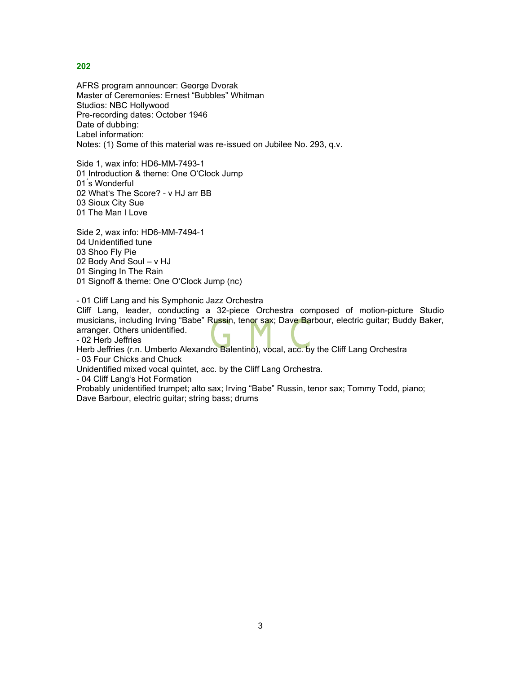AFRS program announcer: George Dvorak Master of Ceremonies: Ernest "Bubbles" Whitman Studios: NBC Hollywood Pre-recording dates: October 1946 Date of dubbing: Label information: Notes: (1) Some of this material was re-issued on Jubilee No. 293, q.v.

Side 1, wax info: HD6-MM-7493-1 01 Introduction & theme: One O'Clock Jump 01 ́s Wonderful 02 What's The Score? - v HJ arr BB 03 Sioux City Sue 01 The Man I Love

Side 2, wax info: HD6-MM-7494-1 04 Unidentified tune 03 Shoo Fly Pie 02 Body And Soul – v HJ 01 Singing In The Rain 01 Signoff & theme: One O'Clock Jump (nc)

- 01 Cliff Lang and his Symphonic Jazz Orchestra

Cliff Lang, leader, conducting a 32-piece Orchestra composed of motion-picture Studio musicians, including Irving "Babe" Russin, tenor sax; Dave Barbour, electric guitar; Buddy Baker, arranger. Others unidentified.

- 02 Herb Jeffries

Herb Jeffries (r.n. Umberto Alexandro Balentino), vocal, acc. by the Cliff Lang Orchestra

- 03 Four Chicks and Chuck

Unidentified mixed vocal quintet, acc. by the Cliff Lang Orchestra.

- 04 Cliff Lang's Hot Formation

Probably unidentified trumpet; alto sax; Irving "Babe" Russin, tenor sax; Tommy Todd, piano; Dave Barbour, electric guitar; string bass; drums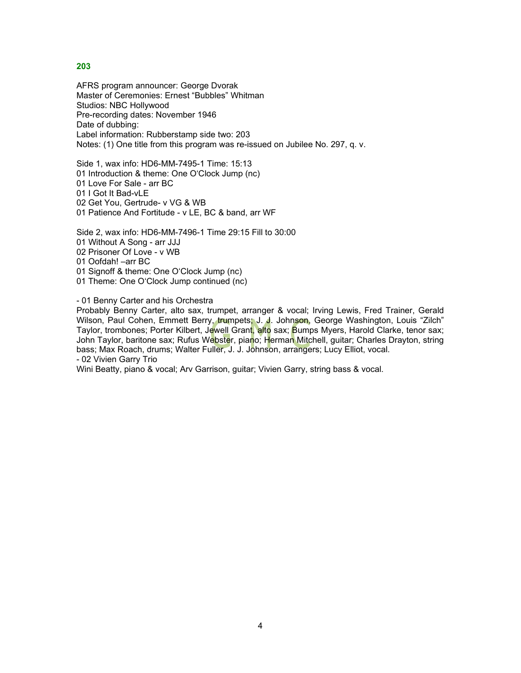AFRS program announcer: George Dvorak Master of Ceremonies: Ernest "Bubbles" Whitman Studios: NBC Hollywood Pre-recording dates: November 1946 Date of dubbing: Label information: Rubberstamp side two: 203 Notes: (1) One title from this program was re-issued on Jubilee No. 297, q. v.

Side 1, wax info: HD6-MM-7495-1 Time: 15:13 01 Introduction & theme: One O'Clock Jump (nc) 01 Love For Sale - arr BC 01 I Got It Bad-vLE 02 Get You, Gertrude- v VG & WB 01 Patience And Fortitude - v LE, BC & band, arr WF

Side 2, wax info: HD6-MM-7496-1 Time 29:15 Fill to 30:00 01 Without A Song - arr JJJ 02 Prisoner Of Love - v WB 01 Oofdah! –arr BC 01 Signoff & theme: One O'Clock Jump (nc) 01 Theme: One O'Clock Jump continued (nc)

- 01 Benny Carter and his Orchestra

Probably Benny Carter, alto sax, trumpet, arranger & vocal; Irving Lewis, Fred Trainer, Gerald Wilson, Paul Cohen, Emmett Berry, trumpets; J. J. Johnson, George Washington, Louis "Zilch" Taylor, trombones; Porter Kilbert, Jewell Grant, alto sax; Bumps Myers, Harold Clarke, tenor sax; John Taylor, baritone sax; Rufus We<mark>bste</mark>r, piano; Herman Mitchell, guitar; Charles Drayton, string bass; Max Roach, drums; Walter Fuller, J. J. Johnson, arrangers; Lucy Elliot, vocal. - 02 Vivien Garry Trio

Wini Beatty, piano & vocal; Arv Garrison, guitar; Vivien Garry, string bass & vocal.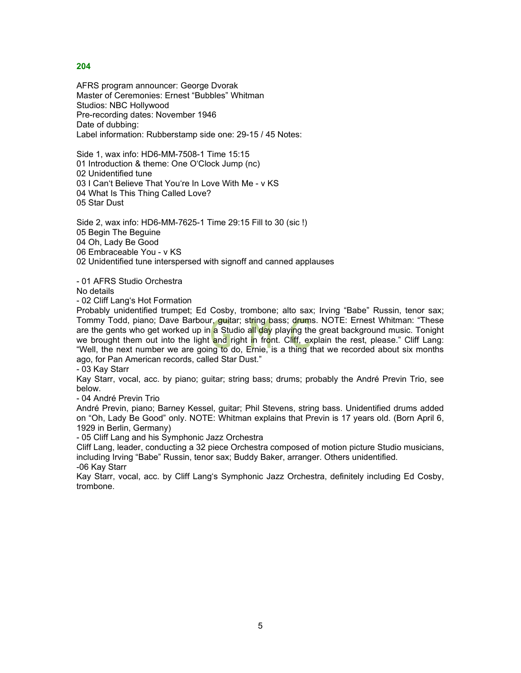AFRS program announcer: George Dvorak Master of Ceremonies: Ernest "Bubbles" Whitman Studios: NBC Hollywood Pre-recording dates: November 1946 Date of dubbing: Label information: Rubberstamp side one: 29-15 / 45 Notes:

Side 1, wax info: HD6-MM-7508-1 Time 15:15 01 Introduction & theme: One O'Clock Jump (nc) 02 Unidentified tune 03 I Can't Believe That You're In Love With Me - v KS 04 What Is This Thing Called Love? 05 Star Dust

Side 2, wax info: HD6-MM-7625-1 Time 29:15 Fill to 30 (sic !) 05 Begin The Beguine 04 Oh, Lady Be Good 06 Embraceable You - v KS 02 Unidentified tune interspersed with signoff and canned applauses

- 01 AFRS Studio Orchestra

No details

- 02 Cliff Lang's Hot Formation

Probably unidentified trumpet; Ed Cosby, trombone; alto sax; Irving "Babe" Russin, tenor sax; Tommy Todd, piano; Dave Barbour, quitar; string bass; drums. NOTE: Ernest Whitman: "These are the gents who get worked up in a Studio all day playing the great background music. Tonight we brought them out into the light and right in front. Cliff, explain the rest, please." Cliff Lang: "Well, the next number we are going to do, Ernie, is a thing that we recorded about six months ago, for Pan American records, called Star Dust."

- 03 Kay Starr

Kay Starr, vocal, acc. by piano; guitar; string bass; drums; probably the André Previn Trio, see below.

- 04 André Previn Trio

André Previn, piano; Barney Kessel, guitar; Phil Stevens, string bass. Unidentified drums added on "Oh, Lady Be Good" only. NOTE: Whitman explains that Previn is 17 years old. (Born April 6, 1929 in Berlin, Germany)

- 05 Cliff Lang and his Symphonic Jazz Orchestra

Cliff Lang, leader, conducting a 32 piece Orchestra composed of motion picture Studio musicians, including Irving "Babe" Russin, tenor sax; Buddy Baker, arranger. Others unidentified. -06 Kay Starr

Kay Starr, vocal, acc. by Cliff Lang's Symphonic Jazz Orchestra, definitely including Ed Cosby, trombone.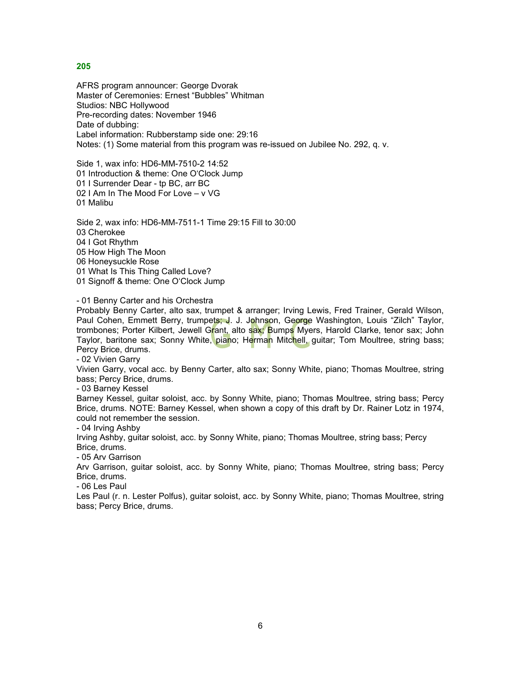AFRS program announcer: George Dvorak Master of Ceremonies: Ernest "Bubbles" Whitman Studios: NBC Hollywood Pre-recording dates: November 1946 Date of dubbing: Label information: Rubberstamp side one: 29:16 Notes: (1) Some material from this program was re-issued on Jubilee No. 292, q. v.

Side 1, wax info: HD6-MM-7510-2 14:52 01 Introduction & theme: One O'Clock Jump 01 I Surrender Dear - tp BC, arr BC 02 I Am In The Mood For Love – v VG 01 Malibu

Side 2, wax info: HD6-MM-7511-1 Time 29:15 Fill to 30:00 03 Cherokee 04 I Got Rhythm 05 How High The Moon 06 Honeysuckle Rose 01 What Is This Thing Called Love? 01 Signoff & theme: One O'Clock Jump

- 01 Benny Carter and his Orchestra

Probably Benny Carter, alto sax, trumpet & arranger; Irving Lewis, Fred Trainer, Gerald Wilson, Paul Cohen, Emmett Berry, trumpets; J. J. Johnson, George Washington, Louis "Zilch" Taylor, trombones; Porter Kilbert, Jewell Grant, alto sax; Bumps Myers, Harold Clarke, tenor sax; John Taylor, baritone sax; Sonny White, piano; Herman Mitchell, guitar; Tom Moultree, string bass; Percy Brice, drums.

- 02 Vivien Garry

Vivien Garry, vocal acc. by Benny Carter, alto sax; Sonny White, piano; Thomas Moultree, string bass; Percy Brice, drums.

- 03 Barney Kessel

Barney Kessel, guitar soloist, acc. by Sonny White, piano; Thomas Moultree, string bass; Percy Brice, drums. NOTE: Barney Kessel, when shown a copy of this draft by Dr. Rainer Lotz in 1974, could not remember the session.

- 04 Irving Ashby

Irving Ashby, guitar soloist, acc. by Sonny White, piano; Thomas Moultree, string bass; Percy Brice, drums.

- 05 Arv Garrison

Arv Garrison, guitar soloist, acc. by Sonny White, piano; Thomas Moultree, string bass; Percy Brice, drums.

- 06 Les Paul

Les Paul (r. n. Lester Polfus), guitar soloist, acc. by Sonny White, piano; Thomas Moultree, string bass; Percy Brice, drums.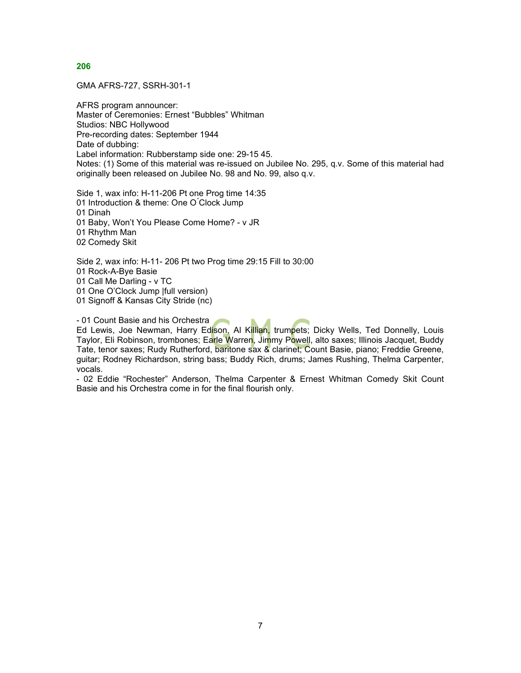GMA AFRS-727, SSRH-301-1

AFRS program announcer: Master of Ceremonies: Ernest "Bubbles" Whitman Studios: NBC Hollywood Pre-recording dates: September 1944 Date of dubbing: Label information: Rubberstamp side one: 29-15 45. Notes: (1) Some of this material was re-issued on Jubilee No. 295, q.v. Some of this material had originally been released on Jubilee No. 98 and No. 99, also q.v.

Side 1, wax info: H-11-206 Pt one Prog time 14:35 01 Introduction & theme: One O'Clock Jump 01 Dinah 01 Baby, Won't You Please Come Home? - v JR 01 Rhythm Man

02 Comedy Skit

Side 2, wax info: H-11- 206 Pt two Prog time 29:15 Fill to 30:00 01 Rock-A-Bye Basie 01 Call Me Darling - v TC

01 One O'Clock Jump |full version)

01 Signoff & Kansas City Stride (nc)

- 01 Count Basie and his Orchestra

Ed Lewis, Joe Newman, Harry Edison, Al Killian, trumpets; Dicky Wells, Ted Donnelly, Louis Taylor, Eli Robinson, trombones; Ea<mark>rle W</mark>arren, Jimmy Powell, alto saxes; Illinois Jacquet, Buddy Tate, tenor saxes; Rudy Rutherford, baritone sax & clarinet; Count Basie, piano; Freddie Greene, guitar; Rodney Richardson, string bass; Buddy Rich, drums; James Rushing, Thelma Carpenter, vocals.

- 02 Eddie "Rochester" Anderson, Thelma Carpenter & Ernest Whitman Comedy Skit Count Basie and his Orchestra come in for the final flourish only.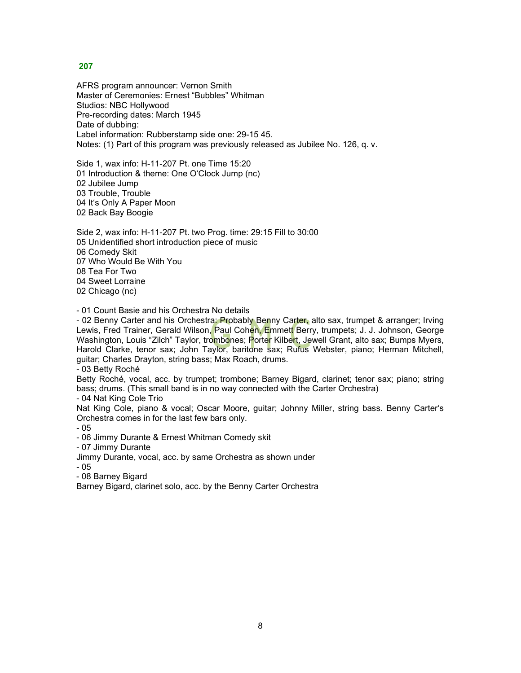AFRS program announcer: Vernon Smith Master of Ceremonies: Ernest "Bubbles" Whitman Studios: NBC Hollywood Pre-recording dates: March 1945 Date of dubbing: Label information: Rubberstamp side one: 29-15 45. Notes: (1) Part of this program was previously released as Jubilee No. 126, q. v.

Side 1, wax info: H-11-207 Pt. one Time 15:20 01 Introduction & theme: One O'Clock Jump (nc) 02 Jubilee Jump 03 Trouble, Trouble 04 It's Only A Paper Moon 02 Back Bay Boogie

Side 2, wax info: H-11-207 Pt. two Prog. time: 29:15 Fill to 30:00 05 Unidentified short introduction piece of music 06 Comedy Skit 07 Who Would Be With You 08 Tea For Two 04 Sweet Lorraine 02 Chicago (nc)

- 01 Count Basie and his Orchestra No details

- 02 Benny Carter and his Orchestra: Probably Benny Carter, alto sax, trumpet & arranger; Irving Lewis, Fred Trainer, Gerald Wilson, Paul Cohen, Emmett Berry, trumpets; J. J. Johnson, George Washington, Louis "Zilch" Taylor, tro<mark>mbo</mark>nes; Porter Kilbe<mark>r</mark>t, Jewell Grant, alto sax; Bumps Myers, Harold Clarke, tenor sax; John Taylor, baritone sax; Rufus Webster, piano; Herman Mitchell, guitar; Charles Drayton, string bass; Max Roach, drums.

- 03 Betty Roché

Betty Roché, vocal, acc. by trumpet; trombone; Barney Bigard, clarinet; tenor sax; piano; string bass; drums. (This small band is in no way connected with the Carter Orchestra)

- 04 Nat King Cole Trio

Nat King Cole, piano & vocal; Oscar Moore, guitar; Johnny Miller, string bass. Benny Carter's Orchestra comes in for the last few bars only.

- 05

- 06 Jimmy Durante & Ernest Whitman Comedy skit

- 07 Jimmy Durante

Jimmy Durante, vocal, acc. by same Orchestra as shown under

- 05

- 08 Barney Bigard

Barney Bigard, clarinet solo, acc. by the Benny Carter Orchestra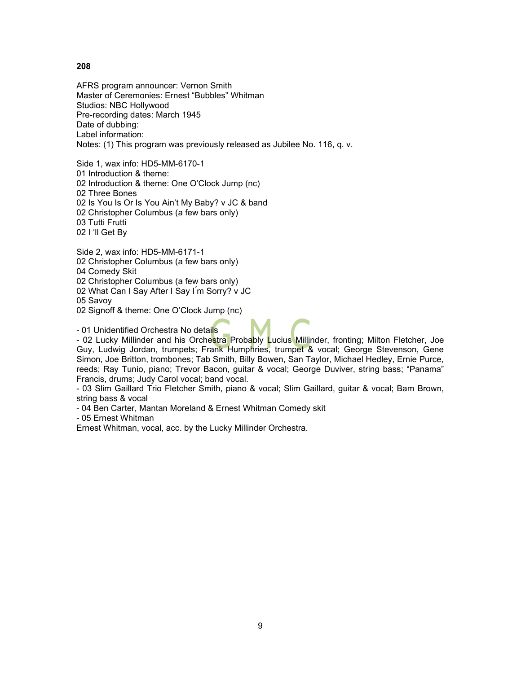AFRS program announcer: Vernon Smith Master of Ceremonies: Ernest "Bubbles" Whitman Studios: NBC Hollywood Pre-recording dates: March 1945 Date of dubbing: Label information: Notes: (1) This program was previously released as Jubilee No. 116, q. v.

Side 1, wax info: HD5-MM-6170-1 01 Introduction & theme: 02 Introduction & theme: One O'Clock Jump (nc) 02 Three Bones 02 Is You Is Or Is You Ain't My Baby? v JC & band 02 Christopher Columbus (a few bars only) 03 Tutti Frutti 02 I 'll Get By

Side 2, wax info: HD5-MM-6171-1 02 Christopher Columbus (a few bars only) 04 Comedy Skit 02 Christopher Columbus (a few bars only) 02 What Can I Say After I Say I ́m Sorry? v JC 05 Savoy 02 Signoff & theme: One O'Clock Jump (nc)

- 01 Unidentified Orchestra No details

- 02 Lucky Millinder and his Orchestra Probably Lucius Millinder, fronting; Milton Fletcher, Joe Guy, Ludwig Jordan, trumpets; Frank Humphries, trumpet & vocal; George Stevenson, Gene Simon, Joe Britton, trombones; Tab Smith, Billy Bowen, San Taylor, Michael Hedley, Ernie Purce, reeds; Ray Tunio, piano; Trevor Bacon, guitar & vocal; George Duviver, string bass; "Panama" Francis, drums; Judy Carol vocal; band vocal.

- 03 Slim Gaillard Trio Fletcher Smith, piano & vocal; Slim Gaillard, guitar & vocal; Bam Brown, string bass & vocal

- 04 Ben Carter, Mantan Moreland & Ernest Whitman Comedy skit

- 05 Ernest Whitman

Ernest Whitman, vocal, acc. by the Lucky Millinder Orchestra.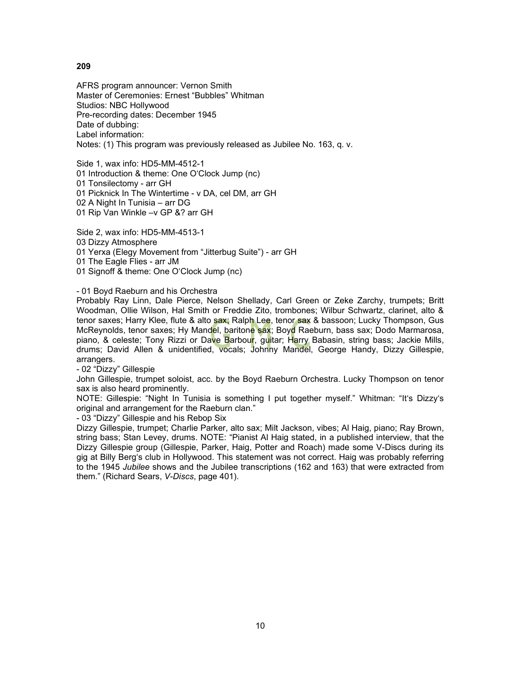AFRS program announcer: Vernon Smith Master of Ceremonies: Ernest "Bubbles" Whitman Studios: NBC Hollywood Pre-recording dates: December 1945 Date of dubbing: Label information: Notes: (1) This program was previously released as Jubilee No. 163, q. v.

Side 1, wax info: HD5-MM-4512-1 01 Introduction & theme: One O'Clock Jump (nc) 01 Tonsilectomy - arr GH 01 Picknick In The Wintertime - v DA, cel DM, arr GH 02 A Night In Tunisia – arr DG 01 Rip Van Winkle –v GP &? arr GH

Side 2, wax info: HD5-MM-4513-1 03 Dizzy Atmosphere 01 Yerxa (Elegy Movement from "Jitterbug Suite") - arr GH 01 The Eagle Flies - arr JM 01 Signoff & theme: One O'Clock Jump (nc)

- 01 Boyd Raeburn and his Orchestra

Probably Ray Linn, Dale Pierce, Nelson Shellady, Carl Green or Zeke Zarchy, trumpets; Britt Woodman, Ollie Wilson, Hal Smith or Freddie Zito, trombones; Wilbur Schwartz, clarinet, alto & tenor saxes; Harry Klee, flute & alto sax; Ralph Lee, tenor sax & bassoon; Lucky Thompson, Gus McReynolds, tenor saxes; Hy Mandel, baritone sax; Boyd Raeburn, bass sax; Dodo Marmarosa, piano, & celeste; Tony Rizzi or Dave Barbour, guitar; Harry Babasin, string bass; Jackie Mills, drums; David Allen & unidentified, vocals; Johnny Mandel, George Handy, Dizzy Gillespie, arrangers.

- 02 "Dizzy" Gillespie

John Gillespie, trumpet soloist, acc. by the Boyd Raeburn Orchestra. Lucky Thompson on tenor sax is also heard prominently.

NOTE: Gillespie: "Night In Tunisia is something I put together myself." Whitman: "It's Dizzy's original and arrangement for the Raeburn clan."

- 03 "Dizzy" Gillespie and his Rebop Six

Dizzy Gillespie, trumpet; Charlie Parker, alto sax; Milt Jackson, vibes; Al Haig, piano; Ray Brown, string bass; Stan Levey, drums. NOTE: "Pianist Al Haig stated, in a published interview, that the Dizzy Gillespie group (Gillespie, Parker, Haig, Potter and Roach) made some V-Discs during its gig at Billy Berg's club in Hollywood. This statement was not correct. Haig was probably referring to the 1945 *Jubilee* shows and the Jubilee transcriptions (162 and 163) that were extracted from them." (Richard Sears, *V-Discs*, page 401).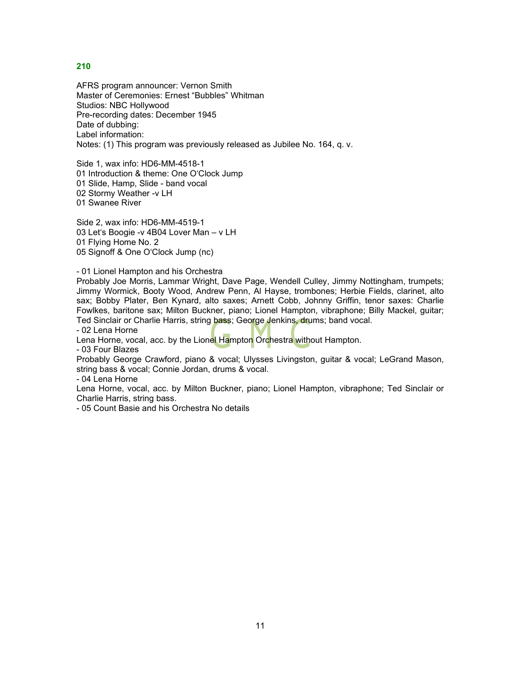AFRS program announcer: Vernon Smith Master of Ceremonies: Ernest "Bubbles" Whitman Studios: NBC Hollywood Pre-recording dates: December 1945 Date of dubbing: Label information: Notes: (1) This program was previously released as Jubilee No. 164, q. v.

Side 1, wax info: HD6-MM-4518-1 01 Introduction & theme: One O'Clock Jump 01 Slide, Hamp, Slide - band vocal 02 Stormy Weather -v LH 01 Swanee River

Side 2, wax info: HD6-MM-4519-1 03 Let's Boogie -v 4B04 Lover Man – v LH 01 Flying Home No. 2 05 Signoff & One O'Clock Jump (nc)

- 01 Lionel Hampton and his Orchestra

Probably Joe Morris, Lammar Wright, Dave Page, Wendell Culley, Jimmy Nottingham, trumpets; Jimmy Wormick, Booty Wood, Andrew Penn, Al Hayse, trombones; Herbie Fields, clarinet, alto sax; Bobby Plater, Ben Kynard, alto saxes; Arnett Cobb, Johnny Griffin, tenor saxes: Charlie Fowlkes, baritone sax; Milton Buckner, piano; Lionel Hampton, vibraphone; Billy Mackel, guitar; Ted Sinclair or Charlie Harris, string bass; George Jenkins, drums; band vocal.

- 02 Lena Horne

Lena Horne, vocal, acc. by the Lionel Hampton Orchestra without Hampton.

- 03 Four Blazes

Probably George Crawford, piano & vocal; Ulysses Livingston, guitar & vocal; LeGrand Mason, string bass & vocal; Connie Jordan, drums & vocal.

- 04 Lena Horne

Lena Horne, vocal, acc. by Milton Buckner, piano; Lionel Hampton, vibraphone; Ted Sinclair or Charlie Harris, string bass.

- 05 Count Basie and his Orchestra No details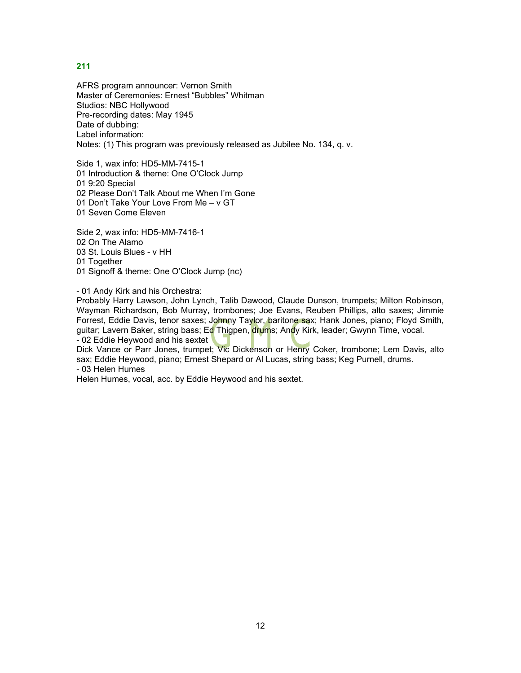AFRS program announcer: Vernon Smith Master of Ceremonies: Ernest "Bubbles" Whitman Studios: NBC Hollywood Pre-recording dates: May 1945 Date of dubbing: Label information: Notes: (1) This program was previously released as Jubilee No. 134, q. v.

Side 1, wax info: HD5-MM-7415-1 01 Introduction & theme: One O'Clock Jump 01 9:20 Special 02 Please Don't Talk About me When I'm Gone 01 Don't Take Your Love From Me – v GT 01 Seven Come Eleven

Side 2, wax info: HD5-MM-7416-1 02 On The Alamo 03 St. Louis Blues - v HH 01 Together 01 Signoff & theme: One O'Clock Jump (nc)

- 01 Andy Kirk and his Orchestra:

Probably Harry Lawson, John Lynch, Talib Dawood, Claude Dunson, trumpets; Milton Robinson, Wayman Richardson, Bob Murray, trombones; Joe Evans, Reuben Phillips, alto saxes; Jimmie Forrest, Eddie Davis, tenor saxes; Johnny Taylor, baritone sax; Hank Jones, piano; Floyd Smith, guitar; Lavern Baker, string bass; Ed Thigpen, drums; Andy Kirk, leader; Gwynn Time, vocal. - 02 Eddie Heywood and his sextet

Dick Vance or Parr Jones, trumpet; Vic Dickenson or Henry Coker, trombone; Lem Davis, alto sax; Eddie Heywood, piano; Ernest Shepard or Al Lucas, string bass; Keg Purnell, drums. - 03 Helen Humes

Helen Humes, vocal, acc. by Eddie Heywood and his sextet.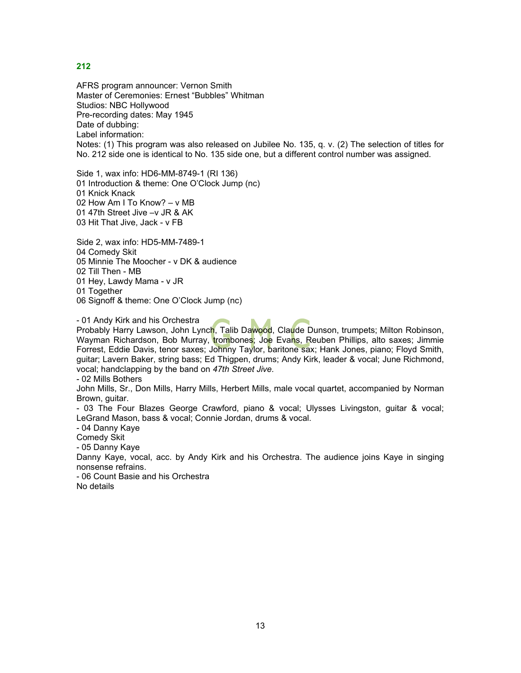AFRS program announcer: Vernon Smith Master of Ceremonies: Ernest "Bubbles" Whitman Studios: NBC Hollywood Pre-recording dates: May 1945 Date of dubbing: Label information: Notes: (1) This program was also released on Jubilee No. 135, q. v. (2) The selection of titles for No. 212 side one is identical to No. 135 side one, but a different control number was assigned.

Side 1, wax info: HD6-MM-8749-1 (RI 136) 01 Introduction & theme: One O'Clock Jump (nc) 01 Knick Knack 02 How Am I To Know? – v MB 01 47th Street Jive –v JR & AK 03 Hit That Jive, Jack - v FB

Side 2, wax info: HD5-MM-7489-1 04 Comedy Skit 05 Minnie The Moocher - v DK & audience 02 Till Then - MB 01 Hey, Lawdy Mama - v JR 01 Together 06 Signoff & theme: One O'Clock Jump (nc)

- 01 Andy Kirk and his Orchestra

Probably Harry Lawson, John Lynch, Talib Dawood, Claude Dunson, trumpets; Milton Robinson, Wayman Richardson, Bob Murray, trombones; Joe Evans, Reuben Phillips, alto saxes; Jimmie Forrest, Eddie Davis, tenor saxes; Johnny Taylor, baritone sax; Hank Jones, piano; Floyd Smith, guitar; Lavern Baker, string bass; Ed Thigpen, drums; Andy Kirk, leader & vocal; June Richmond, vocal; handclapping by the band on *47th Street Jive.*

- 02 Mills Bothers

John Mills, Sr., Don Mills, Harry Mills, Herbert Mills, male vocal quartet, accompanied by Norman Brown, guitar.

- 03 The Four Blazes George Crawford, piano & vocal; Ulysses Livingston, guitar & vocal; LeGrand Mason, bass & vocal; Connie Jordan, drums & vocal.

- 04 Danny Kaye

Comedy Skit

- 05 Danny Kaye

Danny Kaye, vocal, acc. by Andy Kirk and his Orchestra. The audience joins Kaye in singing nonsense refrains.

- 06 Count Basie and his Orchestra No details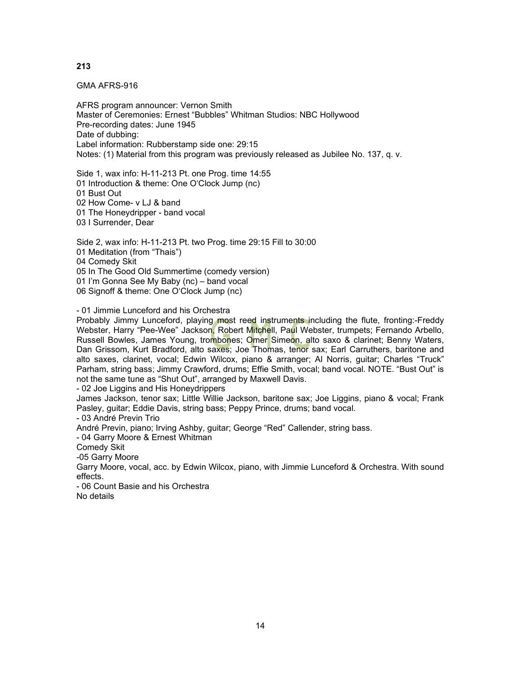GMA AFRS-916

AFRS program announcer: Vernon Smith Master of Ceremonies: Ernest "Bubbles" Whitman Studios: NBC Hollywood Pre-recording dates: June 1945 Date of dubbing: Label information: Rubberstamp side one: 29:15 Notes: (1) Material from this program was previously released as Jubilee No. 137, q. v.

Side 1, wax info: H-11-213 Pt. one Prog. time 14:55 01 Introduction & theme: One O'Clock Jump (nc) 01 Bust Out 02 How Come- v LJ & band 01 The Honeydripper - band vocal 03 I Surrender, Dear

Side 2, wax info: H-11-213 Pt. two Prog. time 29:15 Fill to 30:00 01 Meditation (from "Thais") 04 Comedy Skit 05 In The Good Old Summertime (comedy version) 01 I'm Gonna See My Baby (nc) – band vocal 06 Signoff & theme: One O'Clock Jump (nc)

- 01 Jimmie Lunceford and his Orchestra

Probably Jimmy Lunceford, playing most reed instruments including the flute, fronting:-Freddy Webster, Harry "Pee-Wee" Jackson, Robert Mitchell, Paul Webster, trumpets; Fernando Arbello, Russell Bowles, James Young, trombones; Omer Simeon, alto saxo & clarinet; Benny Waters, Dan Grissom, Kurt Bradford, alto saxes; Joe Thomas, tenor sax; Earl Carruthers, baritone and alto saxes, clarinet, vocal; Edwin Wilcox, piano & arranger; Al Norris, guitar; Charles "Truck" Parham, string bass; Jimmy Crawford, drums; Effie Smith, vocal; band vocal. NOTE. "Bust Out" is not the same tune as "Shut Out", arranged by Maxwell Davis.

- 02 Joe Liggins and His Honeydrippers

James Jackson, tenor sax; Little Willie Jackson, baritone sax; Joe Liggins, piano & vocal; Frank Pasley, guitar; Eddie Davis, string bass; Peppy Prince, drums; band vocal.

- 03 André Previn Trio

André Previn, piano; Irving Ashby, guitar; George "Red" Callender, string bass.

- 04 Garry Moore & Ernest Whitman

Comedy Skit

-05 Garry Moore

Garry Moore, vocal, acc. by Edwin Wilcox, piano, with Jimmie Lunceford & Orchestra. With sound effects.

- 06 Count Basie and his Orchestra

No details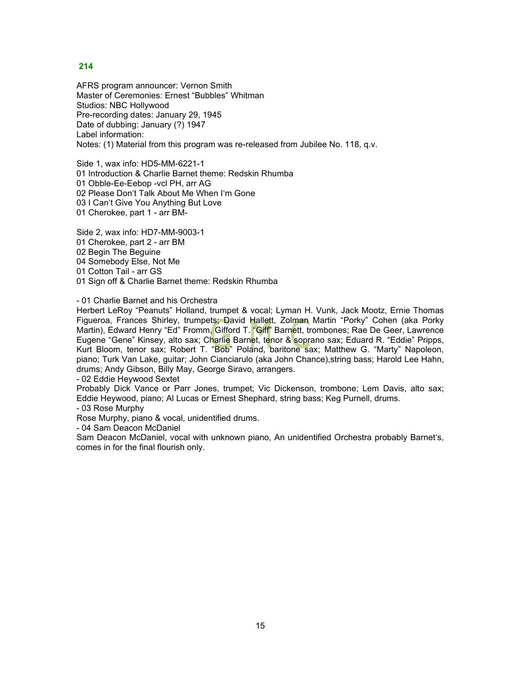AFRS program announcer: Vernon Smith Master of Ceremonies: Ernest "Bubbles" Whitman Studios: NBC Hollywood Pre-recording dates: January 29, 1945 Date of dubbing: January (?) 1947 Label information: Notes: (1) Material from this program was re-released from Jubilee No. 118, q.v.

Side 1, wax info: HD5-MM-6221-1 01 Introduction & Charlie Barnet theme: Redskin Rhumba 01 Obble-Ee-Eebop -vcl PH, arr AG 02 Please Don't Talk About Me When I'm Gone 03 I Can't Give You Anything But Love 01 Cherokee, part 1 - arr BM-

Side 2, wax info: HD7-MM-9003-1 01 Cherokee, part 2 - arr BM 02 Begin The Beguine 04 Somebody Else, Not Me 01 Cotton Tail - arr GS 01 Sign off & Charlie Barnet theme: Redskin Rhumba

#### - 01 Charlie Barnet and his Orchestra

Herbert LeRoy "Peanuts" Holland, trumpet & vocal; Lyman H. Vunk, Jack Mootz, Ernie Thomas Figueroa, Frances Shirley, trumpets; David Hallett, Zolman Martin "Porky" Cohen (aka Porky Martin), Edward Henry "Ed" Fromm, Gifford T. "Giff" Barnett, trombones; Rae De Geer, Lawrence Eugene "Gene" Kinsey, alto sax; Charlie Barnet, tenor & soprano sax; Eduard R. "Eddie" Pripps, Kurt Bloom, tenor sax; Robert T. "Bob" Poland, baritone sax; Matthew G. "Marty" Napoleon, piano; Turk Van Lake, guitar; John Cianciarulo (aka John Chance),string bass; Harold Lee Hahn, drums; Andy Gibson, Billy May, George Siravo, arrangers.

- 02 Eddie Heywood Sextet

Probably Dick Vance or Parr Jones, trumpet; Vic Dickenson, trombone; Lem Davis, alto sax; Eddie Heywood, piano; Al Lucas or Ernest Shephard, string bass; Keg Purnell, drums.

- 03 Rose Murphy

Rose Murphy, piano & vocal, unidentified drums.

- 04 Sam Deacon McDaniel

Sam Deacon McDaniel, vocal with unknown piano, An unidentified Orchestra probably Barnet's, comes in for the final flourish only.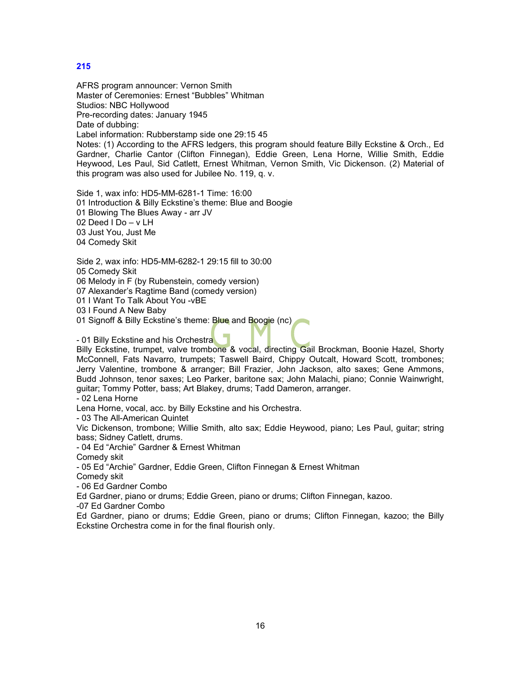AFRS program announcer: Vernon Smith Master of Ceremonies: Ernest "Bubbles" Whitman Studios: NBC Hollywood Pre-recording dates: January 1945 Date of dubbing: Label information: Rubberstamp side one 29:15 45 Notes: (1) According to the AFRS ledgers, this program should feature Billy Eckstine & Orch., Ed Gardner, Charlie Cantor (Clifton Finnegan), Eddie Green, Lena Horne, Willie Smith, Eddie Heywood, Les Paul, Sid Catlett, Ernest Whitman, Vernon Smith, Vic Dickenson. (2) Material of this program was also used for Jubilee No. 119, q. v.

Side 1, wax info: HD5-MM-6281-1 Time: 16:00 01 Introduction & Billy Eckstine's theme: Blue and Boogie 01 Blowing The Blues Away - arr JV 02 Deed I Do – v LH 03 Just You, Just Me 04 Comedy Skit

Side 2, wax info: HD5-MM-6282-1 29:15 fill to 30:00

05 Comedy Skit

06 Melody in F (by Rubenstein, comedy version)

07 Alexander's Ragtime Band (comedy version)

01 I Want To Talk About You -vBE

03 I Found A New Baby

01 Signoff & Billy Eckstine's theme: Blue and Boogie (nc)

- 01 Billy Eckstine and his Orchestra

Billy Eckstine, trumpet, valve trombone & vocal, directing Gail Brockman, Boonie Hazel, Shorty McConnell, Fats Navarro, trumpets; Taswell Baird, Chippy Outcalt, Howard Scott, trombones; Jerry Valentine, trombone & arranger; Bill Frazier, John Jackson, alto saxes; Gene Ammons, Budd Johnson, tenor saxes; Leo Parker, baritone sax; John Malachi, piano; Connie Wainwright, guitar; Tommy Potter, bass; Art Blakey, drums; Tadd Dameron, arranger.

- 02 Lena Horne

Lena Horne, vocal, acc. by Billy Eckstine and his Orchestra.

- 03 The All-American Quintet

Vic Dickenson, trombone; Willie Smith, alto sax; Eddie Heywood, piano; Les Paul, guitar; string bass; Sidney Catlett, drums.

- 04 Ed "Archie" Gardner & Ernest Whitman

Comedy skit

- 05 Ed "Archie" Gardner, Eddie Green, Clifton Finnegan & Ernest Whitman

Comedy skit

- 06 Ed Gardner Combo

Ed Gardner, piano or drums; Eddie Green, piano or drums; Clifton Finnegan, kazoo.

-07 Ed Gardner Combo

Ed Gardner, piano or drums; Eddie Green, piano or drums; Clifton Finnegan, kazoo; the Billy Eckstine Orchestra come in for the final flourish only.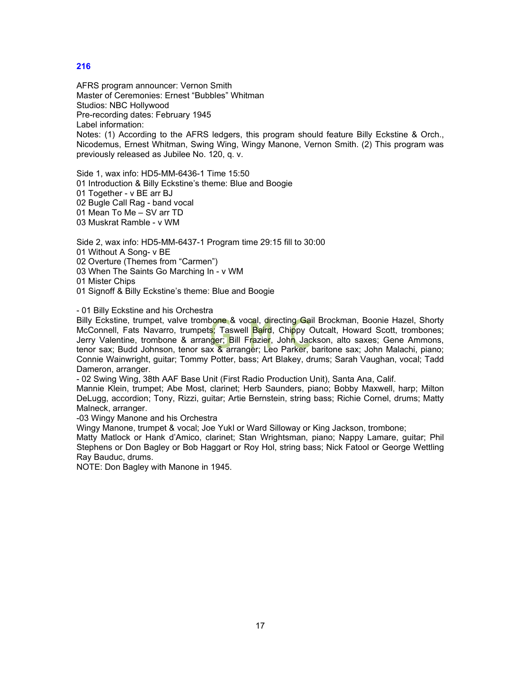AFRS program announcer: Vernon Smith Master of Ceremonies: Ernest "Bubbles" Whitman Studios: NBC Hollywood Pre-recording dates: February 1945 Label information: Notes: (1) According to the AFRS ledgers, this program should feature Billy Eckstine & Orch., Nicodemus, Ernest Whitman, Swing Wing, Wingy Manone, Vernon Smith. (2) This program was previously released as Jubilee No. 120, q. v.

Side 1, wax info: HD5-MM-6436-1 Time 15:50 01 Introduction & Billy Eckstine's theme: Blue and Boogie 01 Together - v BE arr BJ 02 Bugle Call Rag - band vocal 01 Mean To Me – SV arr TD 03 Muskrat Ramble - v WM

Side 2, wax info: HD5-MM-6437-1 Program time 29:15 fill to 30:00 01 Without A Song- v BE 02 Overture (Themes from "Carmen") 03 When The Saints Go Marching In - v WM 01 Mister Chips 01 Signoff & Billy Eckstine's theme: Blue and Boogie

#### - 01 Billy Eckstine and his Orchestra

Billy Eckstine, trumpet, valve trombone & vocal, directing Gail Brockman, Boonie Hazel, Shorty McConnell, Fats Navarro, trumpets<mark>;</mark> Taswell Baird, Chippy Outcalt, Howard Scott, trombones; Jerry Valentine, trombone & arranger; Bill Frazier, John Jackson, alto saxes; Gene Ammons, tenor sax; Budd Johnson, tenor sax & arranger; Leo Parker, baritone sax; John Malachi, piano; Connie Wainwright, guitar; Tommy Potter, bass; Art Blakey, drums; Sarah Vaughan, vocal; Tadd Dameron, arranger.

- 02 Swing Wing, 38th AAF Base Unit (First Radio Production Unit), Santa Ana, Calif.

Mannie Klein, trumpet; Abe Most, clarinet; Herb Saunders, piano; Bobby Maxwell, harp; Milton DeLugg, accordion; Tony, Rizzi, guitar; Artie Bernstein, string bass; Richie Cornel, drums; Matty Malneck, arranger.

-03 Wingy Manone and his Orchestra

Wingy Manone, trumpet & vocal; Joe Yukl or Ward Silloway or King Jackson, trombone;

Matty Matlock or Hank d'Amico, clarinet; Stan Wrightsman, piano; Nappy Lamare, guitar; Phil Stephens or Don Bagley or Bob Haggart or Roy Hol, string bass; Nick Fatool or George Wettling Ray Bauduc, drums.

NOTE: Don Bagley with Manone in 1945.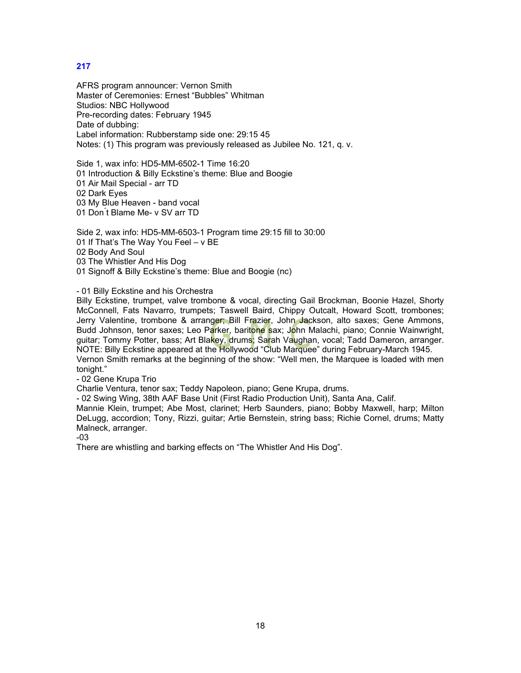AFRS program announcer: Vernon Smith Master of Ceremonies: Ernest "Bubbles" Whitman Studios: NBC Hollywood Pre-recording dates: February 1945 Date of dubbing: Label information: Rubberstamp side one: 29:15 45 Notes: (1) This program was previously released as Jubilee No. 121, q. v.

Side 1, wax info: HD5-MM-6502-1 Time 16:20 01 Introduction & Billy Eckstine's theme: Blue and Boogie 01 Air Mail Special - arr TD 02 Dark Eyes 03 My Blue Heaven - band vocal 01 Don ́t Blame Me- v SV arr TD

Side 2, wax info: HD5-MM-6503-1 Program time 29:15 fill to 30:00 01 If That's The Way You Feel – v BE 02 Body And Soul 03 The Whistler And His Dog 01 Signoff & Billy Eckstine's theme: Blue and Boogie (nc)

#### - 01 Billy Eckstine and his Orchestra

Billy Eckstine, trumpet, valve trombone & vocal, directing Gail Brockman, Boonie Hazel, Shorty McConnell, Fats Navarro, trumpets; Taswell Baird, Chippy Outcalt, Howard Scott, trombones; Jerry Valentine, trombone & arranger; Bill Frazier, John Jackson, alto saxes; Gene Ammons, Budd Johnson, tenor saxes; Leo Parker, baritone sax; John Malachi, piano; Connie Wainwright, guitar; Tommy Potter, bass; Art Blakey, drums; Sarah Vaughan, vocal; Tadd Dameron, arranger. NOTE: Billy Eckstine appeared at the Hollywood "Club Marquee" during February-March 1945. Vernon Smith remarks at the beginning of the show: "Well men, the Marquee is loaded with men tonight."

- 02 Gene Krupa Trio

Charlie Ventura, tenor sax; Teddy Napoleon, piano; Gene Krupa, drums.

- 02 Swing Wing, 38th AAF Base Unit (First Radio Production Unit), Santa Ana, Calif.

Mannie Klein, trumpet; Abe Most, clarinet; Herb Saunders, piano; Bobby Maxwell, harp; Milton DeLugg, accordion; Tony, Rizzi, guitar; Artie Bernstein, string bass; Richie Cornel, drums; Matty Malneck, arranger.

-03

There are whistling and barking effects on "The Whistler And His Dog".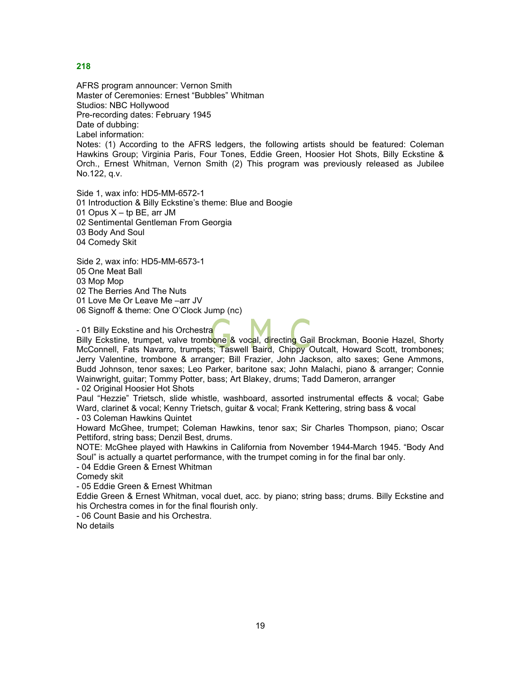AFRS program announcer: Vernon Smith Master of Ceremonies: Ernest "Bubbles" Whitman Studios: NBC Hollywood Pre-recording dates: February 1945 Date of dubbing: Label information: Notes: (1) According to the AFRS ledgers, the following artists should be featured: Coleman

Hawkins Group; Virginia Paris, Four Tones, Eddie Green, Hoosier Hot Shots, Billy Eckstine & Orch., Ernest Whitman, Vernon Smith (2) This program was previously released as Jubilee No.122, q.v.

Side 1, wax info: HD5-MM-6572-1 01 Introduction & Billy Eckstine's theme: Blue and Boogie 01 Opus  $X - tp$  BE, arr JM 02 Sentimental Gentleman From Georgia 03 Body And Soul 04 Comedy Skit

Side 2, wax info: HD5-MM-6573-1 05 One Meat Ball 03 Mop Mop 02 The Berries And The Nuts 01 Love Me Or Leave Me –arr JV 06 Signoff & theme: One O'Clock Jump (nc)

# - 01 Billy Eckstine and his Orchestra

Billy Eckstine, trumpet, valve trombone & vocal, directing Gail Brockman, Boonie Hazel, Shorty McConnell, Fats Navarro, trumpets; Taswell Baird, Chippy Outcalt, Howard Scott, trombones; Jerry Valentine, trombone & arranger; Bill Frazier, John Jackson, alto saxes; Gene Ammons, Budd Johnson, tenor saxes; Leo Parker, baritone sax; John Malachi, piano & arranger; Connie Wainwright, guitar; Tommy Potter, bass; Art Blakey, drums; Tadd Dameron, arranger

- 02 Original Hoosier Hot Shots

Paul "Hezzie" Trietsch, slide whistle, washboard, assorted instrumental effects & vocal; Gabe Ward, clarinet & vocal; Kenny Trietsch, guitar & vocal; Frank Kettering, string bass & vocal - 03 Coleman Hawkins Quintet

Howard McGhee, trumpet; Coleman Hawkins, tenor sax; Sir Charles Thompson, piano; Oscar Pettiford, string bass; Denzil Best, drums.

NOTE: McGhee played with Hawkins in California from November 1944-March 1945. "Body And Soul" is actually a quartet performance, with the trumpet coming in for the final bar only.

- 04 Eddie Green & Ernest Whitman

Comedy skit

- 05 Eddie Green & Ernest Whitman

Eddie Green & Ernest Whitman, vocal duet, acc. by piano; string bass; drums. Billy Eckstine and his Orchestra comes in for the final flourish only.

- 06 Count Basie and his Orchestra.

No details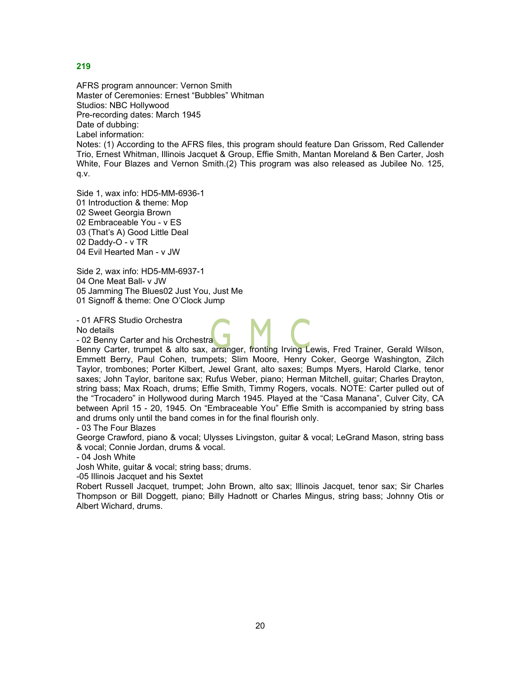AFRS program announcer: Vernon Smith Master of Ceremonies: Ernest "Bubbles" Whitman Studios: NBC Hollywood Pre-recording dates: March 1945 Date of dubbing: Label information:

Notes: (1) According to the AFRS files, this program should feature Dan Grissom, Red Callender Trio, Ernest Whitman, Illinois Jacquet & Group, Effie Smith, Mantan Moreland & Ben Carter, Josh White, Four Blazes and Vernon Smith.(2) This program was also released as Jubilee No. 125, q.v.

Side 1, wax info: HD5-MM-6936-1 01 Introduction & theme: Mop 02 Sweet Georgia Brown 02 Embraceable You - v ES 03 (That's A) Good Little Deal 02 Daddy-O - v TR 04 Evil Hearted Man - v JW

Side 2, wax info: HD5-MM-6937-1 04 One Meat Ball- v JW 05 Jamming The Blues02 Just You, Just Me 01 Signoff & theme: One O'Clock Jump

- 01 AFRS Studio Orchestra No details

- 02 Benny Carter and his Orchestra

Benny Carter, trumpet & alto sax, arranger, fronting Irving Lewis, Fred Trainer, Gerald Wilson, Emmett Berry, Paul Cohen, trumpets; Slim Moore, Henry Coker, George Washington, Zilch Taylor, trombones; Porter Kilbert, Jewel Grant, alto saxes; Bumps Myers, Harold Clarke, tenor saxes; John Taylor, baritone sax; Rufus Weber, piano; Herman Mitchell, guitar; Charles Drayton, string bass; Max Roach, drums; Effie Smith, Timmy Rogers, vocals. NOTE: Carter pulled out of the "Trocadero" in Hollywood during March 1945. Played at the "Casa Manana", Culver City, CA between April 15 - 20, 1945. On "Embraceable You" Effie Smith is accompanied by string bass and drums only until the band comes in for the final flourish only.

- 03 The Four Blazes

George Crawford, piano & vocal; Ulysses Livingston, guitar & vocal; LeGrand Mason, string bass & vocal; Connie Jordan, drums & vocal.

- 04 Josh White

Josh White, guitar & vocal; string bass; drums.

-05 Illinois Jacquet and his Sextet

Robert Russell Jacquet, trumpet; John Brown, alto sax; Illinois Jacquet, tenor sax; Sir Charles Thompson or Bill Doggett, piano; Billy Hadnott or Charles Mingus, string bass; Johnny Otis or Albert Wichard, drums.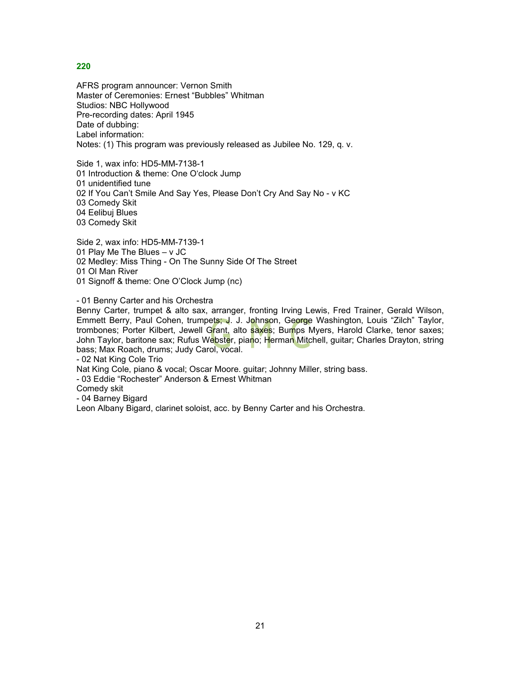AFRS program announcer: Vernon Smith Master of Ceremonies: Ernest "Bubbles" Whitman Studios: NBC Hollywood Pre-recording dates: April 1945 Date of dubbing: Label information: Notes: (1) This program was previously released as Jubilee No. 129, q. v.

Side 1, wax info: HD5-MM-7138-1 01 Introduction & theme: One O'clock Jump 01 unidentified tune 02 If You Can't Smile And Say Yes, Please Don't Cry And Say No - v KC 03 Comedy Skit 04 Eelibuj Blues 03 Comedy Skit

Side 2, wax info: HD5-MM-7139-1 01 Play Me The Blues – v JC 02 Medley: Miss Thing - On The Sunny Side Of The Street 01 Ol Man River 01 Signoff & theme: One O'Clock Jump (nc)

- 01 Benny Carter and his Orchestra

Benny Carter, trumpet & alto sax, arranger, fronting Irving Lewis, Fred Trainer, Gerald Wilson, Emmett Berry, Paul Cohen, trumpets; J. J. Johnson, George Washington, Louis "Zilch" Taylor, trombones; Porter Kilbert, Jewell Grant, alto saxes; Bumps Myers, Harold Clarke, tenor saxes; John Taylor, baritone sax; Rufus We<mark>bste</mark>r, piano; Herman Mitchell, guitar; Charles Drayton, string bass; Max Roach, drums; Judy Carol, vocal.

- 02 Nat King Cole Trio

Nat King Cole, piano & vocal; Oscar Moore. guitar; Johnny Miller, string bass.

- 03 Eddie "Rochester" Anderson & Ernest Whitman

Comedy skit

- 04 Barney Bigard

Leon Albany Bigard, clarinet soloist, acc. by Benny Carter and his Orchestra.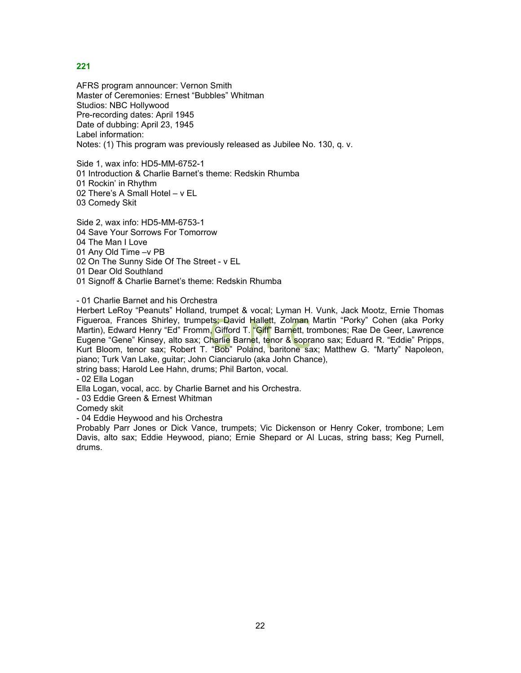AFRS program announcer: Vernon Smith Master of Ceremonies: Ernest "Bubbles" Whitman Studios: NBC Hollywood Pre-recording dates: April 1945 Date of dubbing: April 23, 1945 Label information: Notes: (1) This program was previously released as Jubilee No. 130, q. v.

Side 1, wax info: HD5-MM-6752-1 01 Introduction & Charlie Barnet's theme: Redskin Rhumba 01 Rockin' in Rhythm 02 There's A Small Hotel – v EL 03 Comedy Skit

Side 2, wax info: HD5-MM-6753-1 04 Save Your Sorrows For Tomorrow 04 The Man I Love 01 Any Old Time –v PB 02 On The Sunny Side Of The Street - v EL 01 Dear Old Southland 01 Signoff & Charlie Barnet's theme: Redskin Rhumba

- 01 Charlie Barnet and his Orchestra

Herbert LeRoy "Peanuts" Holland, trumpet & vocal; Lyman H. Vunk, Jack Mootz, Ernie Thomas Figueroa, Frances Shirley, trumpets; David Hallett, Zolman Martin "Porky" Cohen (aka Porky Martin), Edward Henry "Ed" Fromm, Gifford T. "Giff" Barnett, trombones; Rae De Geer, Lawrence Eugene "Gene" Kinsey, alto sax; Charlie Barnet, tenor & soprano sax; Eduard R. "Eddie" Pripps, Kurt Bloom, tenor sax; Robert T. "Bob" Poland, baritone sax; Matthew G. "Marty" Napoleon, piano; Turk Van Lake, guitar; John Cianciarulo (aka John Chance),

string bass; Harold Lee Hahn, drums; Phil Barton, vocal.

- 02 Ella Logan

Ella Logan, vocal, acc. by Charlie Barnet and his Orchestra.

- 03 Eddie Green & Ernest Whitman

Comedy skit

- 04 Eddie Heywood and his Orchestra

Probably Parr Jones or Dick Vance, trumpets; Vic Dickenson or Henry Coker, trombone; Lem Davis, alto sax; Eddie Heywood, piano; Ernie Shepard or Al Lucas, string bass; Keg Purnell, drums.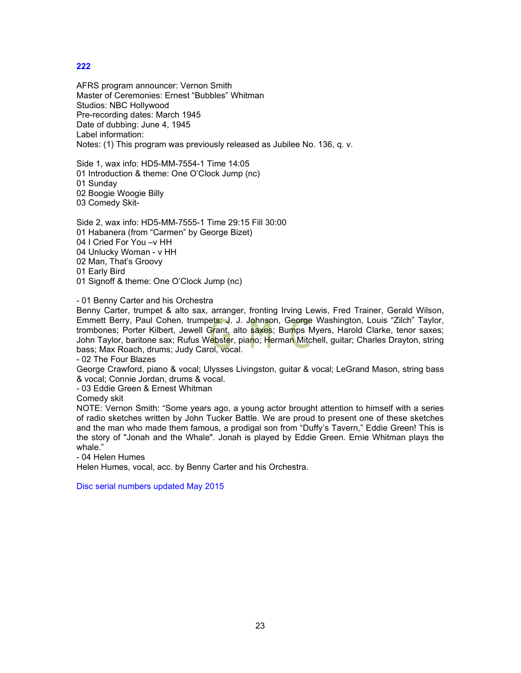AFRS program announcer: Vernon Smith Master of Ceremonies: Ernest "Bubbles" Whitman Studios: NBC Hollywood Pre-recording dates: March 1945 Date of dubbing: June 4, 1945 Label information: Notes: (1) This program was previously released as Jubilee No. 136, q. v.

Side 1, wax info: HD5-MM-7554-1 Time 14:05 01 Introduction & theme: One O'Clock Jump (nc) 01 Sunday 02 Boogie Woogie Billy 03 Comedy Skit-

Side 2, wax info: HD5-MM-7555-1 Time 29:15 Fill 30:00 01 Habanera (from "Carmen" by George Bizet) 04 I Cried For You –v HH 04 Unlucky Woman - v HH 02 Man, That's Groovy 01 Early Bird 01 Signoff & theme: One O'Clock Jump (nc)

- 01 Benny Carter and his Orchestra

Benny Carter, trumpet & alto sax, arranger, fronting Irving Lewis, Fred Trainer, Gerald Wilson, Emmett Berry, Paul Cohen, trumpets; J. J. Johnson, George Washington, Louis "Zilch" Taylor, trombones; Porter Kilbert, Jewell Grant, alto saxes; Bumps Myers, Harold Clarke, tenor saxes; John Taylor, baritone sax; Rufus We<mark>bste</mark>r, piano; Herman Mitchell, guitar; Charles Drayton, string bass; Max Roach, drums; Judy Carol, vocal.

- 02 The Four Blazes

George Crawford, piano & vocal; Ulysses Livingston, guitar & vocal; LeGrand Mason, string bass & vocal; Connie Jordan, drums & vocal.

- 03 Eddie Green & Ernest Whitman

Comedy skit

NOTE: Vernon Smith: "Some years ago, a young actor brought attention to himself with a series of radio sketches written by John Tucker Battle. We are proud to present one of these sketches and the man who made them famous, a prodigal son from "Duffy's Tavern," Eddie Green! This is the story of "Jonah and the Whale". Jonah is played by Eddie Green. Ernie Whitman plays the whale."

- 04 Helen Humes

Helen Humes, vocal, acc. by Benny Carter and his Orchestra.

Disc serial numbers updated May 2015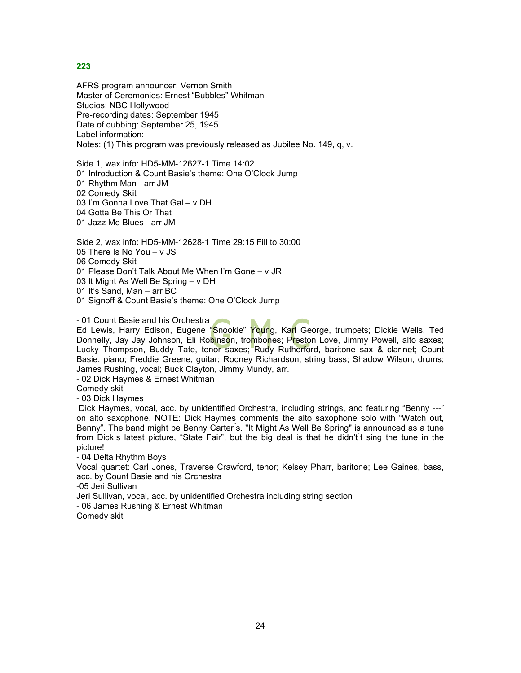AFRS program announcer: Vernon Smith Master of Ceremonies: Ernest "Bubbles" Whitman Studios: NBC Hollywood Pre-recording dates: September 1945 Date of dubbing: September 25, 1945 Label information: Notes: (1) This program was previously released as Jubilee No. 149, q, v.

Side 1, wax info: HD5-MM-12627-1 Time 14:02 01 Introduction & Count Basie's theme: One O'Clock Jump 01 Rhythm Man - arr JM 02 Comedy Skit 03 I'm Gonna Love That Gal – v DH 04 Gotta Be This Or That 01 Jazz Me Blues - arr JM

Side 2, wax info: HD5-MM-12628-1 Time 29:15 Fill to 30:00 05 There Is No You – v JS 06 Comedy Skit 01 Please Don't Talk About Me When I'm Gone – v JR 03 It Might As Well Be Spring – v DH 01 It's Sand, Man – arr BC 01 Signoff & Count Basie's theme: One O'Clock Jump

- 01 Count Basie and his Orchestra Ed Lewis, Harry Edison, Eugene "Snookie" Young, Karl George, trumpets; Dickie Wells, Ted Donnelly, Jay Jay Johnson, Eli Robinson, trombones; Preston Love, Jimmy Powell, alto saxes; Lucky Thompson, Buddy Tate, tenor saxes; Rudy Rutherford, baritone sax & clarinet; Count Basie, piano; Freddie Greene, guitar; Rodney Richardson, string bass; Shadow Wilson, drums; James Rushing, vocal; Buck Clayton, Jimmy Mundy, arr.

- 02 Dick Haymes & Ernest Whitman

Comedy skit

- 03 Dick Haymes

Dick Haymes, vocal, acc. by unidentified Orchestra, including strings, and featuring "Benny ---" on alto saxophone. NOTE: Dick Haymes comments the alto saxophone solo with "Watch out, Benny". The band might be Benny Carter ́s. "It Might As Well Be Spring" is announced as a tune from Dick ́s latest picture, "State Fair", but the big deal is that he didn't ́t sing the tune in the picture!

- 04 Delta Rhythm Boys

Vocal quartet: Carl Jones, Traverse Crawford, tenor; Kelsey Pharr, baritone; Lee Gaines, bass, acc. by Count Basie and his Orchestra

-05 Jeri Sullivan

Jeri Sullivan, vocal, acc. by unidentified Orchestra including string section

- 06 James Rushing & Ernest Whitman

Comedy skit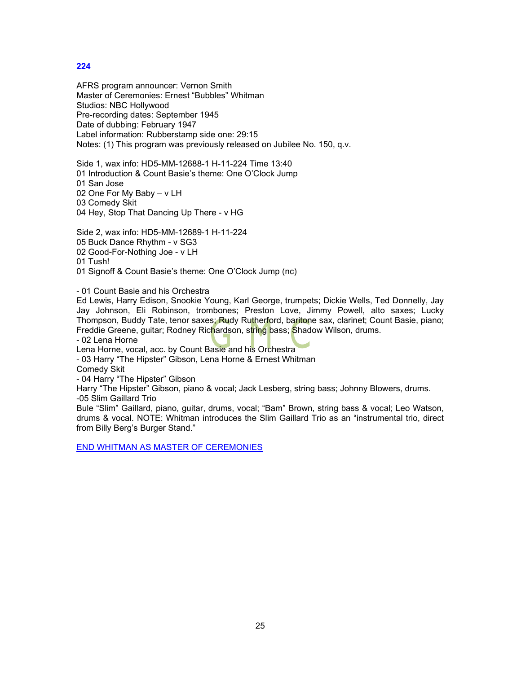AFRS program announcer: Vernon Smith Master of Ceremonies: Ernest "Bubbles" Whitman Studios: NBC Hollywood Pre-recording dates: September 1945 Date of dubbing: February 1947 Label information: Rubberstamp side one: 29:15 Notes: (1) This program was previously released on Jubilee No. 150, q.v.

Side 1, wax info: HD5-MM-12688-1 H-11-224 Time 13:40 01 Introduction & Count Basie's theme: One O'Clock Jump 01 San Jose 02 One For My Baby – v LH 03 Comedy Skit 04 Hey, Stop That Dancing Up There - v HG

Side 2, wax info: HD5-MM-12689-1 H-11-224 05 Buck Dance Rhythm - v SG3 02 Good-For-Nothing Joe - v LH 01 Tush!

01 Signoff & Count Basie's theme: One O'Clock Jump (nc)

- 01 Count Basie and his Orchestra

Ed Lewis, Harry Edison, Snookie Young, Karl George, trumpets; Dickie Wells, Ted Donnelly, Jay Jay Johnson, Eli Robinson, trombones; Preston Love, Jimmy Powell, alto saxes; Lucky Thompson, Buddy Tate, tenor saxes; Rudy Rutherford, baritone sax, clarinet; Count Basie, piano; Freddie Greene, guitar; Rodney Richardson, string bass; Shadow Wilson, drums.

- 02 Lena Horne

Lena Horne, vocal, acc. by Count Basie and his Orchestra

- 03 Harry "The Hipster" Gibson, Lena Horne & Ernest Whitman

Comedy Skit

- 04 Harry "The Hipster" Gibson

Harry "The Hipster" Gibson, piano & vocal; Jack Lesberg, string bass; Johnny Blowers, drums. -05 Slim Gaillard Trio

Bule "Slim" Gaillard, piano, guitar, drums, vocal; "Bam" Brown, string bass & vocal; Leo Watson, drums & vocal. NOTE: Whitman introduces the Slim Gaillard Trio as an "instrumental trio, direct from Billy Berg's Burger Stand."

END WHITMAN AS MASTER OF CEREMONIES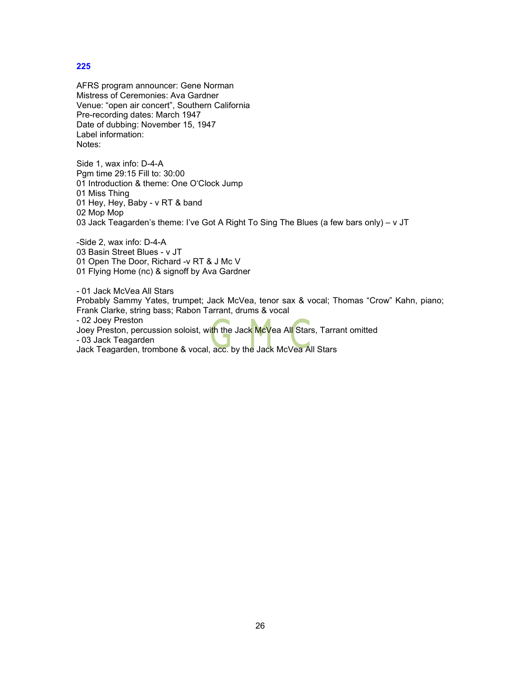AFRS program announcer: Gene Norman Mistress of Ceremonies: Ava Gardner Venue: "open air concert", Southern California Pre-recording dates: March 1947 Date of dubbing: November 15, 1947 Label information: Notes:

Side 1, wax info: D-4-A Pgm time 29:15 Fill to: 30:00 01 Introduction & theme: One O'Clock Jump 01 Miss Thing 01 Hey, Hey, Baby - v RT & band 02 Mop Mop 03 Jack Teagarden's theme: I've Got A Right To Sing The Blues (a few bars only) – v JT

-Side 2, wax info: D-4-A 03 Basin Street Blues - v JT 01 Open The Door, Richard -v RT & J Mc V 01 Flying Home (nc) & signoff by Ava Gardner

- 01 Jack McVea All Stars Probably Sammy Yates, trumpet; Jack McVea, tenor sax & vocal; Thomas "Crow" Kahn, piano; Frank Clarke, string bass; Rabon Tarrant, drums & vocal - 02 Joey Preston Joey Preston, percussion soloist, with the Jack McVea All Stars, Tarrant omitted - 03 Jack Teagarden Jack Teagarden, trombone & vocal, acc. by the Jack McVea All Stars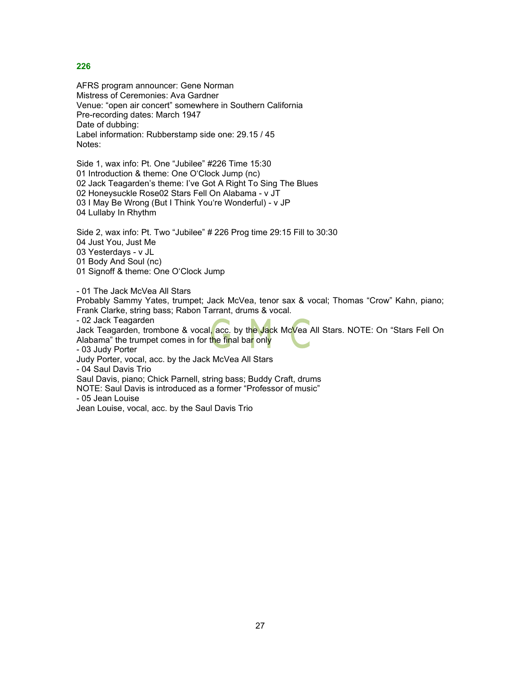AFRS program announcer: Gene Norman Mistress of Ceremonies: Ava Gardner Venue: "open air concert" somewhere in Southern California Pre-recording dates: March 1947 Date of dubbing: Label information: Rubberstamp side one: 29.15 / 45 Notes:

Side 1, wax info: Pt. One "Jubilee" #226 Time 15:30 01 Introduction & theme: One O'Clock Jump (nc) 02 Jack Teagarden's theme: I've Got A Right To Sing The Blues 02 Honeysuckle Rose02 Stars Fell On Alabama - v JT 03 I May Be Wrong (But I Think You're Wonderful) - v JP 04 Lullaby In Rhythm

Side 2, wax info: Pt. Two "Jubilee" # 226 Prog time 29:15 Fill to 30:30 04 Just You, Just Me 03 Yesterdays - v JL 01 Body And Soul (nc) 01 Signoff & theme: One O'Clock Jump

- 01 The Jack McVea All Stars

Probably Sammy Yates, trumpet; Jack McVea, tenor sax & vocal; Thomas "Crow" Kahn, piano; Frank Clarke, string bass; Rabon Tarrant, drums & vocal.

- 02 Jack Teagarden

Jack Teagarden, trombone & vocal, acc. by the Jack McVea All Stars. NOTE: On "Stars Fell On Alabama" the trumpet comes in for the final bar only

- 03 Judy Porter

Judy Porter, vocal, acc. by the Jack McVea All Stars

- 04 Saul Davis Trio

Saul Davis, piano; Chick Parnell, string bass; Buddy Craft, drums

NOTE: Saul Davis is introduced as a former "Professor of music"

- 05 Jean Louise

Jean Louise, vocal, acc. by the Saul Davis Trio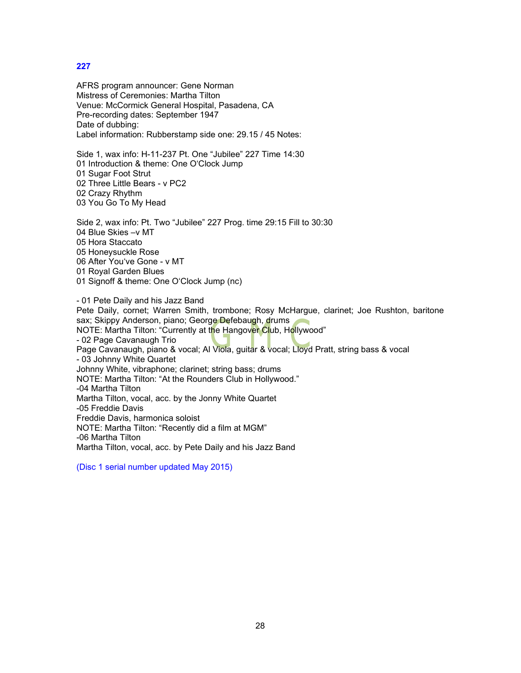AFRS program announcer: Gene Norman Mistress of Ceremonies: Martha Tilton Venue: McCormick General Hospital, Pasadena, CA Pre-recording dates: September 1947 Date of dubbing: Label information: Rubberstamp side one: 29.15 / 45 Notes:

Side 1, wax info: H-11-237 Pt. One "Jubilee" 227 Time 14:30 01 Introduction & theme: One O'Clock Jump 01 Sugar Foot Strut 02 Three Little Bears - v PC2 02 Crazy Rhythm 03 You Go To My Head

Side 2, wax info: Pt. Two "Jubilee" 227 Prog. time 29:15 Fill to 30:30 04 Blue Skies –v MT 05 Hora Staccato 05 Honeysuckle Rose 06 After You've Gone - v MT 01 Royal Garden Blues 01 Signoff & theme: One O'Clock Jump (nc)

- 01 Pete Daily and his Jazz Band Pete Daily, cornet; Warren Smith, trombone; Rosy McHargue, clarinet; Joe Rushton, baritone sax; Skippy Anderson, piano; George Defebaugh, drums NOTE: Martha Tilton: "Currently at the Hangover Club, Hollywood" - 02 Page Cavanaugh Trio Page Cavanaugh, piano & vocal; Al Viola, guitar & vocal; Lloyd Pratt, string bass & vocal - 03 Johnny White Quartet Johnny White, vibraphone; clarinet; string bass; drums NOTE: Martha Tilton: "At the Rounders Club in Hollywood." -04 Martha Tilton Martha Tilton, vocal, acc. by the Jonny White Quartet -05 Freddie Davis Freddie Davis, harmonica soloist NOTE: Martha Tilton: "Recently did a film at MGM" -06 Martha Tilton Martha Tilton, vocal, acc. by Pete Daily and his Jazz Band

(Disc 1 serial number updated May 2015)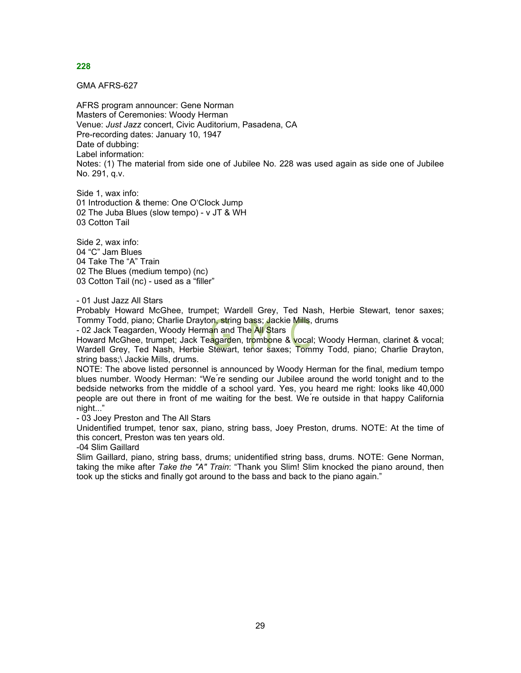GMA AFRS-627

AFRS program announcer: Gene Norman Masters of Ceremonies: Woody Herman Venue: *Just Jazz* concert, Civic Auditorium, Pasadena, CA Pre-recording dates: January 10, 1947 Date of dubbing: Label information: Notes: (1) The material from side one of Jubilee No. 228 was used again as side one of Jubilee No. 291, q.v.

Side 1, wax info: 01 Introduction & theme: One O'Clock Jump 02 The Juba Blues (slow tempo) - v JT & WH 03 Cotton Tail

Side 2, wax info: 04 "C" Jam Blues 04 Take The "A" Train 02 The Blues (medium tempo) (nc) 03 Cotton Tail (nc) - used as a "filler"

- 01 Just Jazz All Stars

Probably Howard McGhee, trumpet; Wardell Grey, Ted Nash, Herbie Stewart, tenor saxes; Tommy Todd, piano; Charlie Drayton, string bass; Jackie Mills, drums

- 02 Jack Teagarden, Woody Herman and The All Stars

Howard McGhee, trumpet; Jack Teagarden, trombone & vocal; Woody Herman, clarinet & vocal; Wardell Grey, Ted Nash, Herbie Stewart, tenor saxes; Tommy Todd, piano; Charlie Drayton, string bass;\ Jackie Mills, drums.

NOTE: The above listed personnel is announced by Woody Herman for the final, medium tempo blues number. Woody Herman: "We ́re sending our Jubilee around the world tonight and to the bedside networks from the middle of a school yard. Yes, you heard me right: looks like 40,000 people are out there in front of me waiting for the best. We ́re outside in that happy California night..."

- 03 Joey Preston and The All Stars

Unidentified trumpet, tenor sax, piano, string bass, Joey Preston, drums. NOTE: At the time of this concert, Preston was ten years old.

-04 Slim Gaillard

Slim Gaillard, piano, string bass, drums; unidentified string bass, drums. NOTE: Gene Norman, taking the mike after *Take the "A" Train*: "Thank you Slim! Slim knocked the piano around, then took up the sticks and finally got around to the bass and back to the piano again."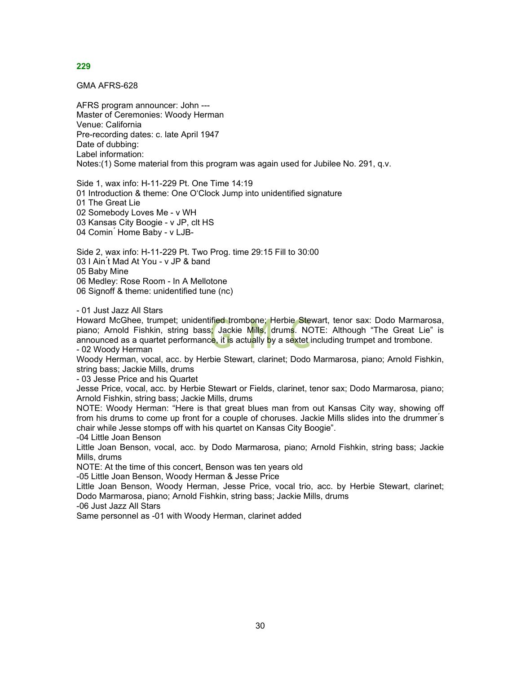GMA AFRS-628

AFRS program announcer: John --- Master of Ceremonies: Woody Herman Venue: California Pre-recording dates: c. late April 1947 Date of dubbing: Label information: Notes:(1) Some material from this program was again used for Jubilee No. 291, q.v.

Side 1, wax info: H-11-229 Pt. One Time 14:19 01 Introduction & theme: One O'Clock Jump into unidentified signature 01 The Great Lie 02 Somebody Loves Me - v WH 03 Kansas City Boogie - v JP, clt HS 04 Comin<sup>'</sup> Home Baby - v LJB-

Side 2, wax info: H-11-229 Pt. Two Prog. time 29:15 Fill to 30:00 03 I Ain ́t Mad At You - v JP & band 05 Baby Mine 06 Medley: Rose Room - In A Mellotone 06 Signoff & theme: unidentified tune (nc)

- 01 Just Jazz All Stars

Howard McGhee, trumpet; unidentified trombone; Herbie Stewart, tenor sax: Dodo Marmarosa, piano; Arnold Fishkin, string bass; Jackie Mills, drums. NOTE: Although "The Great Lie" is announced as a quartet performance, it is actually by a sextet including trumpet and trombone. - 02 Woody Herman

Woody Herman, vocal, acc. by Herbie Stewart, clarinet; Dodo Marmarosa, piano; Arnold Fishkin, string bass; Jackie Mills, drums

- 03 Jesse Price and his Quartet

Jesse Price, vocal, acc. by Herbie Stewart or Fields, clarinet, tenor sax; Dodo Marmarosa, piano; Arnold Fishkin, string bass; Jackie Mills, drums

NOTE: Woody Herman: "Here is that great blues man from out Kansas City way, showing off from his drums to come up front for a couple of choruses. Jackie Mills slides into the drummer's chair while Jesse stomps off with his quartet on Kansas City Boogie".

-04 Little Joan Benson

Little Joan Benson, vocal, acc. by Dodo Marmarosa, piano; Arnold Fishkin, string bass; Jackie Mills, drums

NOTE: At the time of this concert, Benson was ten years old

-05 Little Joan Benson, Woody Herman & Jesse Price

Little Joan Benson, Woody Herman, Jesse Price, vocal trio, acc. by Herbie Stewart, clarinet; Dodo Marmarosa, piano; Arnold Fishkin, string bass; Jackie Mills, drums

-06 Just Jazz All Stars

Same personnel as -01 with Woody Herman, clarinet added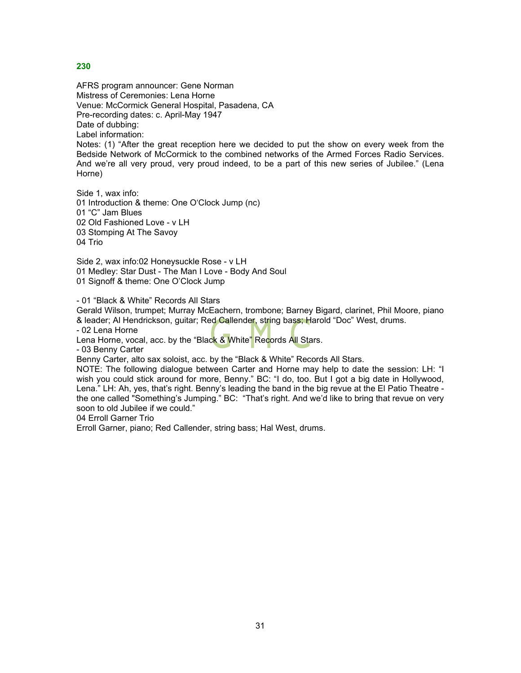AFRS program announcer: Gene Norman Mistress of Ceremonies: Lena Horne Venue: McCormick General Hospital, Pasadena, CA Pre-recording dates: c. April-May 1947 Date of dubbing: Label information:

Notes: (1) "After the great reception here we decided to put the show on every week from the Bedside Network of McCormick to the combined networks of the Armed Forces Radio Services. And we're all very proud, very proud indeed, to be a part of this new series of Jubilee." (Lena Horne)

Side 1, wax info: 01 Introduction & theme: One O'Clock Jump (nc) 01 "C" Jam Blues 02 Old Fashioned Love - v LH 03 Stomping At The Savoy 04 Trio

Side 2, wax info:02 Honeysuckle Rose - v LH 01 Medley: Star Dust - The Man I Love - Body And Soul 01 Signoff & theme: One O'Clock Jump

- 01 "Black & White" Records All Stars

Gerald Wilson, trumpet; Murray McEachern, trombone; Barney Bigard, clarinet, Phil Moore, piano & leader; Al Hendrickson, guitar; Red Callender, string bass; Harold "Doc" West, drums.

- 02 Lena Horne

Lena Horne, vocal, acc. by the "Black & White" Records All Stars.

- 03 Benny Carter

Benny Carter, alto sax soloist, acc. by the "Black & White" Records All Stars.

NOTE: The following dialogue between Carter and Horne may help to date the session: LH: "I wish you could stick around for more, Benny." BC: "I do, too. But I got a big date in Hollywood, Lena." LH: Ah, yes, that's right. Benny's leading the band in the big revue at the El Patio Theatre the one called "Something's Jumping." BC: "That's right. And we'd like to bring that revue on very soon to old Jubilee if we could."

04 Erroll Garner Trio

Erroll Garner, piano; Red Callender, string bass; Hal West, drums.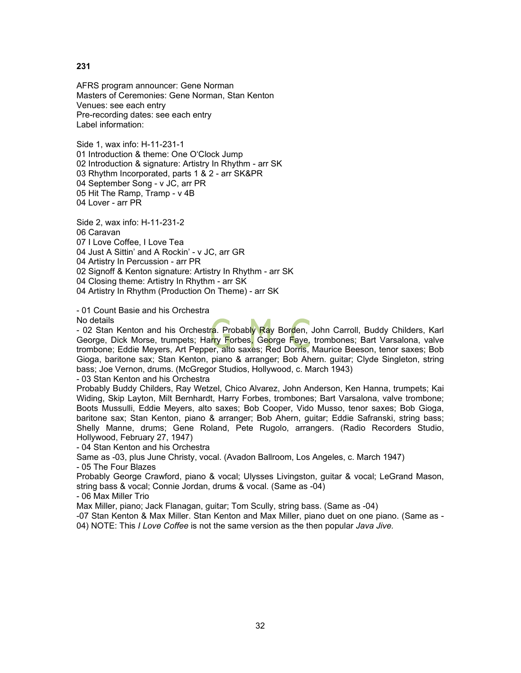AFRS program announcer: Gene Norman Masters of Ceremonies: Gene Norman, Stan Kenton Venues: see each entry Pre-recording dates: see each entry Label information:

Side 1, wax info: H-11-231-1 01 Introduction & theme: One O'Clock Jump 02 Introduction & signature: Artistry In Rhythm - arr SK 03 Rhythm Incorporated, parts 1 & 2 - arr SK&PR 04 September Song - v JC, arr PR 05 Hit The Ramp, Tramp - v 4B 04 Lover - arr PR

Side 2, wax info: H-11-231-2 06 Caravan 07 I Love Coffee, I Love Tea 04 Just A Sittin' and A Rockin' - v JC, arr GR 04 Artistry In Percussion - arr PR 02 Signoff & Kenton signature: Artistry In Rhythm - arr SK 04 Closing theme: Artistry In Rhythm - arr SK 04 Artistry In Rhythm (Production On Theme) - arr SK

- 01 Count Basie and his Orchestra

No details

- 02 Stan Kenton and his Orchestra. Probably Ray Borden, John Carroll, Buddy Childers, Karl George, Dick Morse, trumpets; Harry Forbes, George Faye, trombones; Bart Varsalona, valve trombone; Eddie Meyers, Art Pepper, alto saxes; Red Dorris, Maurice Beeson, tenor saxes; Bob Gioga, baritone sax; Stan Kenton, piano & arranger; Bob Ahern. guitar; Clyde Singleton, string bass; Joe Vernon, drums. (McGregor Studios, Hollywood, c. March 1943)

- 03 Stan Kenton and his Orchestra

Probably Buddy Childers, Ray Wetzel, Chico Alvarez, John Anderson, Ken Hanna, trumpets; Kai Widing, Skip Layton, Milt Bernhardt, Harry Forbes, trombones; Bart Varsalona, valve trombone; Boots Mussulli, Eddie Meyers, alto saxes; Bob Cooper, Vido Musso, tenor saxes; Bob Gioga, baritone sax; Stan Kenton, piano & arranger; Bob Ahern, guitar; Eddie Safranski, string bass; Shelly Manne, drums; Gene Roland, Pete Rugolo, arrangers. (Radio Recorders Studio, Hollywood, February 27, 1947)

- 04 Stan Kenton and his Orchestra

Same as -03, plus June Christy, vocal. (Avadon Ballroom, Los Angeles, c. March 1947)

- 05 The Four Blazes

Probably George Crawford, piano & vocal; Ulysses Livingston, guitar & vocal; LeGrand Mason, string bass & vocal; Connie Jordan, drums & vocal. (Same as -04)

- 06 Max Miller Trio

Max Miller, piano; Jack Flanagan, guitar; Tom Scully, string bass. (Same as -04)

-07 Stan Kenton & Max Miller. Stan Kenton and Max Miller, piano duet on one piano. (Same as -

04) NOTE: This *I Love Coffee* is not the same version as the then popular *Java Jive.*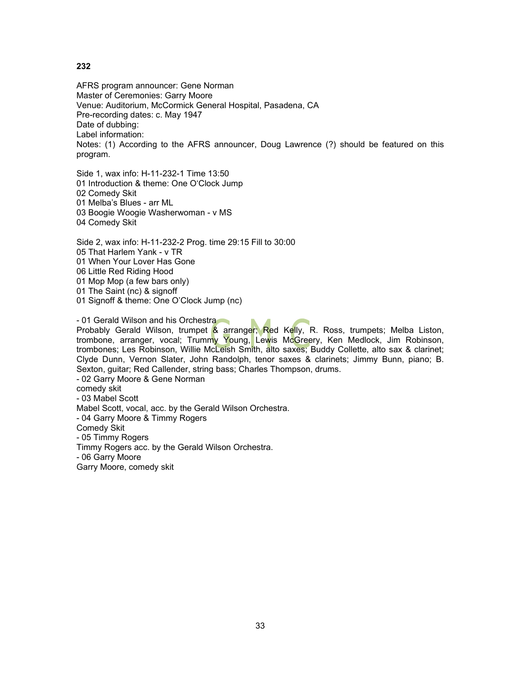AFRS program announcer: Gene Norman Master of Ceremonies: Garry Moore Venue: Auditorium, McCormick General Hospital, Pasadena, CA Pre-recording dates: c. May 1947 Date of dubbing: Label information: Notes: (1) According to the AFRS announcer, Doug Lawrence (?) should be featured on this program.

Side 1, wax info: H-11-232-1 Time 13:50 01 Introduction & theme: One O'Clock Jump 02 Comedy Skit 01 Melba's Blues - arr ML 03 Boogie Woogie Washerwoman - v MS 04 Comedy Skit

Side 2, wax info: H-11-232-2 Prog. time 29:15 Fill to 30:00 05 That Harlem Yank - v TR 01 When Your Lover Has Gone 06 Little Red Riding Hood 01 Mop Mop (a few bars only) 01 The Saint (nc) & signoff 01 Signoff & theme: One O'Clock Jump (nc)

- 01 Gerald Wilson and his Orchestra Probably Gerald Wilson, trumpet & arranger; Red Kelly, R. Ross, trumpets; Melba Liston, trombone, arranger, vocal; Trumm<mark>y Y</mark>oung, Lewis McGreery, Ken Medlock, Jim Robinson, trombones; Les Robinson, Willie McLeish Smith, alto saxes; Buddy Collette, alto sax & clarinet; Clyde Dunn, Vernon Slater, John Randolph, tenor saxes & clarinets; Jimmy Bunn, piano; B. Sexton, guitar; Red Callender, string bass; Charles Thompson, drums. - 02 Garry Moore & Gene Norman comedy skit - 03 Mabel Scott Mabel Scott, vocal, acc. by the Gerald Wilson Orchestra. - 04 Garry Moore & Timmy Rogers Comedy Skit - 05 Timmy Rogers Timmy Rogers acc. by the Gerald Wilson Orchestra. - 06 Garry Moore

Garry Moore, comedy skit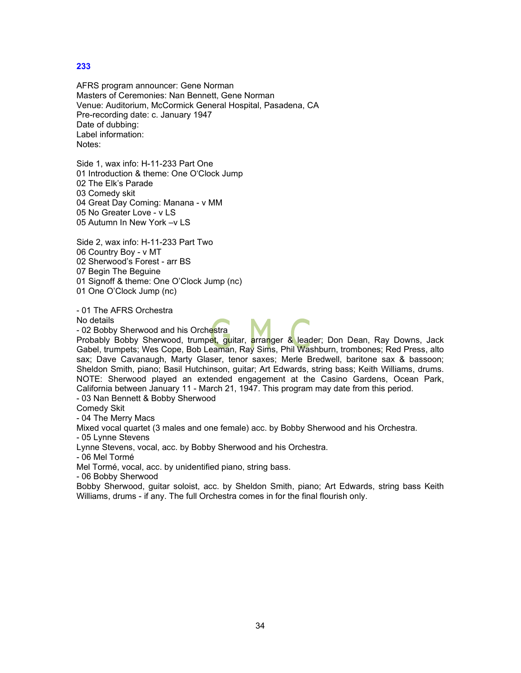AFRS program announcer: Gene Norman Masters of Ceremonies: Nan Bennett, Gene Norman Venue: Auditorium, McCormick General Hospital, Pasadena, CA Pre-recording date: c. January 1947 Date of dubbing: Label information: Notes:

Side 1, wax info: H-11-233 Part One 01 Introduction & theme: One O'Clock Jump 02 The Elk's Parade 03 Comedy skit 04 Great Day Coming: Manana - v MM 05 No Greater Love - v LS 05 Autumn In New York –v LS

Side 2, wax info: H-11-233 Part Two 06 Country Boy - v MT 02 Sherwood's Forest - arr BS 07 Begin The Beguine

01 Signoff & theme: One O'Clock Jump (nc)

01 One O'Clock Jump (nc)

- 01 The AFRS Orchestra

No details

- 02 Bobby Sherwood and his Orchestra

Probably Bobby Sherwood, trumpet, guitar, arranger & leader; Don Dean, Ray Downs, Jack Gabel, trumpets; Wes Cope, Bob Leaman, Ray Sims, Phil Washburn, trombones; Red Press, alto sax; Dave Cavanaugh, Marty Glaser, tenor saxes; Merle Bredwell, baritone sax & bassoon; Sheldon Smith, piano; Basil Hutchinson, guitar; Art Edwards, string bass; Keith Williams, drums. NOTE: Sherwood played an extended engagement at the Casino Gardens, Ocean Park, California between January 11 - March 21, 1947. This program may date from this period.

- 03 Nan Bennett & Bobby Sherwood

Comedy Skit

- 04 The Merry Macs

Mixed vocal quartet (3 males and one female) acc. by Bobby Sherwood and his Orchestra.

- 05 Lynne Stevens

Lynne Stevens, vocal, acc. by Bobby Sherwood and his Orchestra.

- 06 Mel Tormé

Mel Tormé, vocal, acc. by unidentified piano, string bass.

- 06 Bobby Sherwood

Bobby Sherwood, guitar soloist, acc. by Sheldon Smith, piano; Art Edwards, string bass Keith Williams, drums - if any. The full Orchestra comes in for the final flourish only.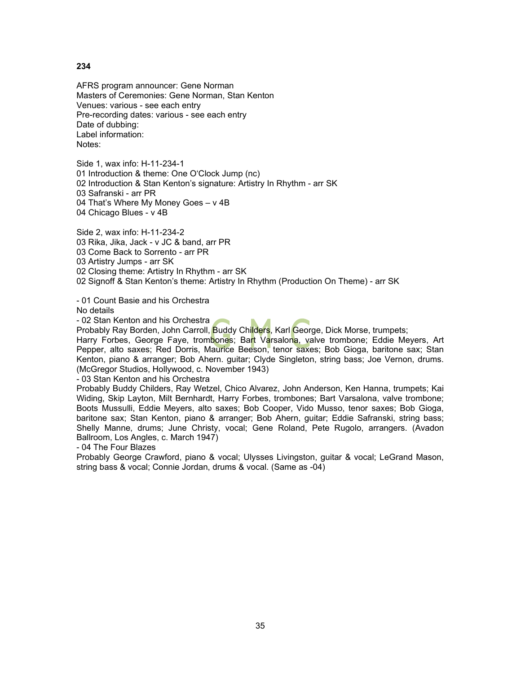AFRS program announcer: Gene Norman Masters of Ceremonies: Gene Norman, Stan Kenton Venues: various - see each entry Pre-recording dates: various - see each entry Date of dubbing: Label information: Notes:

Side 1, wax info: H-11-234-1 01 Introduction & theme: One O'Clock Jump (nc) 02 Introduction & Stan Kenton's signature: Artistry In Rhythm - arr SK 03 Safranski - arr PR 04 That's Where My Money Goes – v 4B 04 Chicago Blues - v 4B

Side 2, wax info: H-11-234-2 03 Rika, Jika, Jack - v JC & band, arr PR 03 Come Back to Sorrento - arr PR 03 Artistry Jumps - arr SK 02 Closing theme: Artistry In Rhythm - arr SK 02 Signoff & Stan Kenton's theme: Artistry In Rhythm (Production On Theme) - arr SK

- 01 Count Basie and his Orchestra

No details

- 02 Stan Kenton and his Orchestra

Probably Ray Borden, John Carroll, Buddy Childers, Karl George, Dick Morse, trumpets; Harry Forbes, George Faye, trombones; Bart Varsalona, valve trombone; Eddie Meyers, Art Pepper, alto saxes; Red Dorris, Maurice Beeson, tenor saxes; Bob Gioga, baritone sax; Stan Kenton, piano & arranger; Bob Ahern. guitar; Clyde Singleton, string bass; Joe Vernon, drums. (McGregor Studios, Hollywood, c. November 1943)

- 03 Stan Kenton and his Orchestra

Probably Buddy Childers, Ray Wetzel, Chico Alvarez, John Anderson, Ken Hanna, trumpets; Kai Widing, Skip Layton, Milt Bernhardt, Harry Forbes, trombones; Bart Varsalona, valve trombone; Boots Mussulli, Eddie Meyers, alto saxes; Bob Cooper, Vido Musso, tenor saxes; Bob Gioga, baritone sax; Stan Kenton, piano & arranger; Bob Ahern, guitar; Eddie Safranski, string bass; Shelly Manne, drums; June Christy, vocal; Gene Roland, Pete Rugolo, arrangers. (Avadon Ballroom, Los Angles, c. March 1947)

- 04 The Four Blazes

Probably George Crawford, piano & vocal; Ulysses Livingston, guitar & vocal; LeGrand Mason, string bass & vocal; Connie Jordan, drums & vocal. (Same as -04)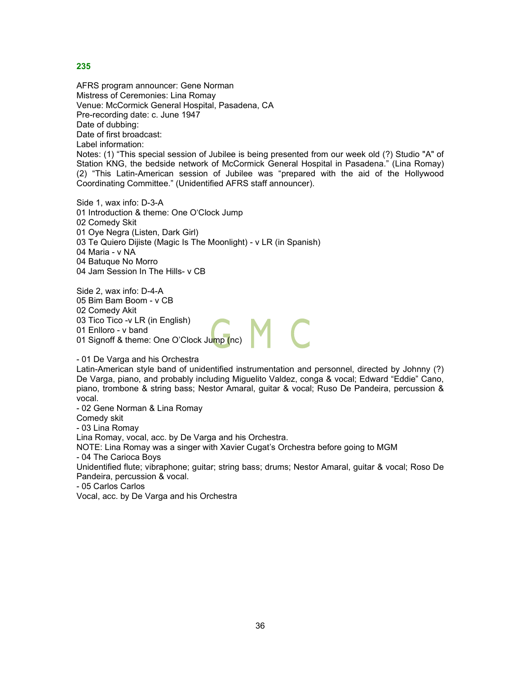AFRS program announcer: Gene Norman Mistress of Ceremonies: Lina Romay Venue: McCormick General Hospital, Pasadena, CA Pre-recording date: c. June 1947 Date of dubbing: Date of first broadcast: Label information:

Notes: (1) "This special session of Jubilee is being presented from our week old (?) Studio "A" of Station KNG, the bedside network of McCormick General Hospital in Pasadena." (Lina Romay) (2) "This Latin-American session of Jubilee was "prepared with the aid of the Hollywood Coordinating Committee." (Unidentified AFRS staff announcer).

Side 1, wax info: D-3-A 01 Introduction & theme: One O'Clock Jump 02 Comedy Skit 01 Oye Negra (Listen, Dark Girl) 03 Te Quiero Dijiste (Magic Is The Moonlight) - v LR (in Spanish) 04 Maria - v NA 04 Batuque No Morro 04 Jam Session In The Hills- v CB

Side 2, wax info: D-4-A 05 Bim Bam Boom - v CB 02 Comedy Akit 03 Tico Tico -v LR (in English) 01 Enlloro - v band 01 Signoff & theme: One O'Clock Jump (nc)

- 01 De Varga and his Orchestra

Latin-American style band of unidentified instrumentation and personnel, directed by Johnny (?) De Varga, piano, and probably including Miguelito Valdez, conga & vocal; Edward "Eddie" Cano, piano, trombone & string bass; Nestor Amaral, guitar & vocal; Ruso De Pandeira, percussion & vocal.

- 02 Gene Norman & Lina Romay Comedy skit - 03 Lina Romay Lina Romay, vocal, acc. by De Varga and his Orchestra. NOTE: Lina Romay was a singer with Xavier Cugat's Orchestra before going to MGM - 04 The Carioca Boys Unidentified flute; vibraphone; guitar; string bass; drums; Nestor Amaral, guitar & vocal; Roso De Pandeira, percussion & vocal.

- 05 Carlos Carlos

Vocal, acc. by De Varga and his Orchestra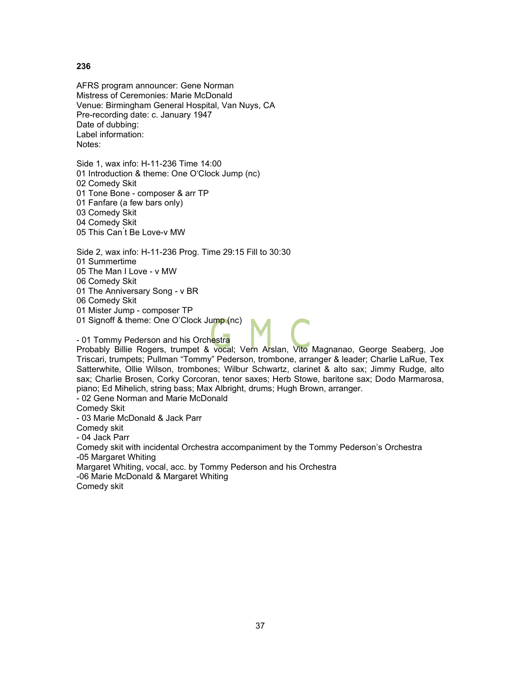AFRS program announcer: Gene Norman Mistress of Ceremonies: Marie McDonald Venue: Birmingham General Hospital, Van Nuys, CA Pre-recording date: c. January 1947 Date of dubbing: Label information: Notes:

Side 1, wax info: H-11-236 Time 14:00 01 Introduction & theme: One O'Clock Jump (nc) 02 Comedy Skit 01 Tone Bone - composer & arr TP 01 Fanfare (a few bars only) 03 Comedy Skit 04 Comedy Skit 05 This Can ́t Be Love-v MW

Side 2, wax info: H-11-236 Prog. Time 29:15 Fill to 30:30 01 Summertime 05 The Man I Love - v MW 06 Comedy Skit 01 The Anniversary Song - v BR 06 Comedy Skit

01 Mister Jump - composer TP

01 Signoff & theme: One O'Clock Jump (nc)

- 01 Tommy Pederson and his Orchestra

Probably Billie Rogers, trumpet & vocal; Vern Arslan, Vito Magnanao, George Seaberg, Joe Triscari, trumpets; Pullman "Tommy" Pederson, trombone, arranger & leader; Charlie LaRue, Tex Satterwhite, Ollie Wilson, trombones; Wilbur Schwartz, clarinet & alto sax; Jimmy Rudge, alto sax; Charlie Brosen, Corky Corcoran, tenor saxes; Herb Stowe, baritone sax; Dodo Marmarosa, piano; Ed Mihelich, string bass; Max Albright, drums; Hugh Brown, arranger.

- 02 Gene Norman and Marie McDonald

Comedy Skit

- 03 Marie McDonald & Jack Parr Comedy skit - 04 Jack Parr Comedy skit with incidental Orchestra accompaniment by the Tommy Pederson's Orchestra -05 Margaret Whiting Margaret Whiting, vocal, acc. by Tommy Pederson and his Orchestra -06 Marie McDonald & Margaret Whiting Comedy skit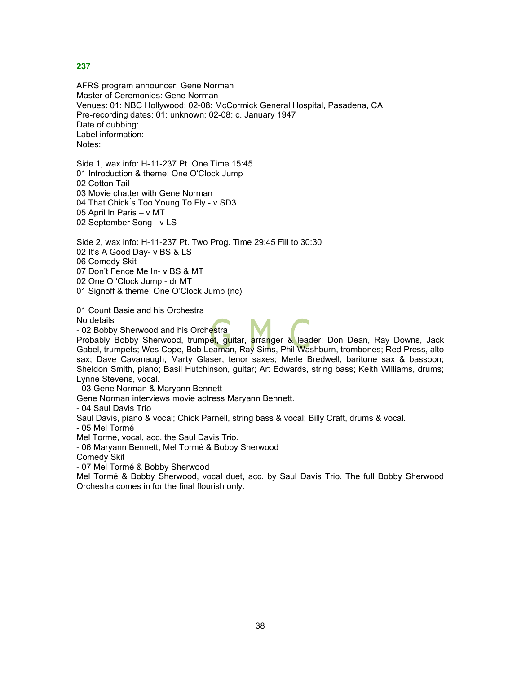AFRS program announcer: Gene Norman Master of Ceremonies: Gene Norman Venues: 01: NBC Hollywood; 02-08: McCormick General Hospital, Pasadena, CA Pre-recording dates: 01: unknown; 02-08: c. January 1947 Date of dubbing: Label information: Notes:

Side 1, wax info: H-11-237 Pt. One Time 15:45 01 Introduction & theme: One O'Clock Jump 02 Cotton Tail 03 Movie chatter with Gene Norman 04 That Chick ́s Too Young To Fly - v SD3 05 April In Paris – v MT 02 September Song - v LS

Side 2, wax info: H-11-237 Pt. Two Prog. Time 29:45 Fill to 30:30 02 It's A Good Day- v BS & LS 06 Comedy Skit 07 Don't Fence Me In- v BS & MT 02 One O 'Clock Jump - dr MT

01 Signoff & theme: One O'Clock Jump (nc)

01 Count Basie and his Orchestra No details

- 02 Bobby Sherwood and his Orchestra

Probably Bobby Sherwood, trumpet, guitar, arranger & leader; Don Dean, Ray Downs, Jack Gabel, trumpets; Wes Cope, Bob Leaman, Ray Sims, Phil Washburn, trombones; Red Press, alto sax; Dave Cavanaugh, Marty Glaser, tenor saxes; Merle Bredwell, baritone sax & bassoon; Sheldon Smith, piano; Basil Hutchinson, guitar; Art Edwards, string bass; Keith Williams, drums; Lynne Stevens, vocal.

- 03 Gene Norman & Maryann Bennett

Gene Norman interviews movie actress Maryann Bennett.

- 04 Saul Davis Trio

Saul Davis, piano & vocal; Chick Parnell, string bass & vocal; Billy Craft, drums & vocal.

- 05 Mel Tormé

Mel Tormé, vocal, acc. the Saul Davis Trio.

- 06 Maryann Bennett, Mel Tormé & Bobby Sherwood

Comedy Skit

- 07 Mel Tormé & Bobby Sherwood

Mel Tormé & Bobby Sherwood, vocal duet, acc. by Saul Davis Trio. The full Bobby Sherwood Orchestra comes in for the final flourish only.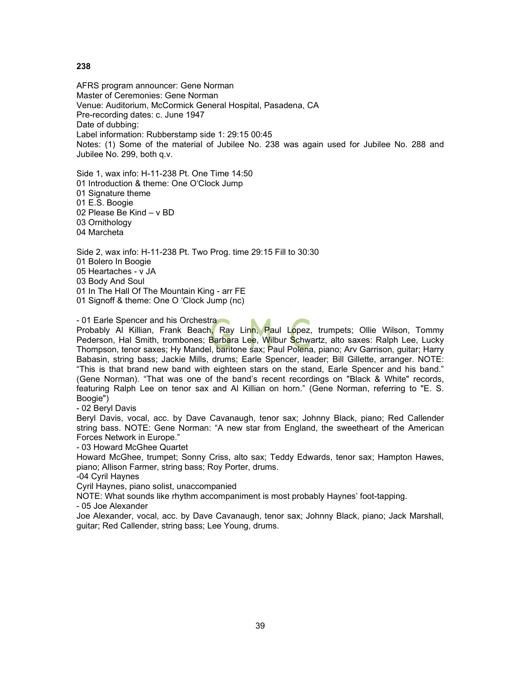AFRS program announcer: Gene Norman Master of Ceremonies: Gene Norman Venue: Auditorium, McCormick General Hospital, Pasadena, CA Pre-recording dates: c. June 1947 Date of dubbing: Label information: Rubberstamp side 1: 29:15 00:45 Notes: (1) Some of the material of Jubilee No. 238 was again used for Jubilee No. 288 and Jubilee No. 299, both q.v.

Side 1, wax info: H-11-238 Pt. One Time 14:50 01 Introduction & theme: One O'Clock Jump 01 Signature theme 01 E.S. Boogie 02 Please Be Kind – v BD 03 Ornithology 04 Marcheta

Side 2, wax info: H-11-238 Pt. Two Prog. time 29:15 Fill to 30:30 01 Bolero In Boogie 05 Heartaches - v JA 03 Body And Soul 01 In The Hall Of The Mountain King - arr FE 01 Signoff & theme: One O 'Clock Jump (nc)

- 01 Earle Spencer and his Orchestra

Probably Al Killian, Frank Beach, Ray Linn, Paul Lopez, trumpets; Ollie Wilson, Tommy Pederson, Hal Smith, trombones; Barbara Lee, Wilbur Schwartz, alto saxes: Ralph Lee, Lucky Thompson, tenor saxes; Hy Mandel, baritone sax; Paul Polena, piano; Arv Garrison, guitar; Harry Babasin, string bass; Jackie Mills, drums; Earle Spencer, leader; Bill Gillette, arranger. NOTE: "This is that brand new band with eighteen stars on the stand, Earle Spencer and his band." (Gene Norman). "That was one of the band's recent recordings on "Black & White" records, featuring Ralph Lee on tenor sax and Al Killian on horn." (Gene Norman, referring to "E. S. Boogie")

- 02 Beryl Davis

Beryl Davis, vocal, acc. by Dave Cavanaugh, tenor sax; Johnny Black, piano; Red Callender string bass. NOTE: Gene Norman: "A new star from England, the sweetheart of the American Forces Network in Europe."

- 03 Howard McGhee Quartet

Howard McGhee, trumpet; Sonny Criss, alto sax; Teddy Edwards, tenor sax; Hampton Hawes, piano; Allison Farmer, string bass; Roy Porter, drums.

-04 Cyril Haynes

Cyril Haynes, piano solist, unaccompanied

NOTE: What sounds like rhythm accompaniment is most probably Haynes' foot-tapping.

- 05 Joe Alexander

Joe Alexander, vocal, acc. by Dave Cavanaugh, tenor sax; Johnny Black, piano; Jack Marshall, guitar; Red Callender, string bass; Lee Young, drums.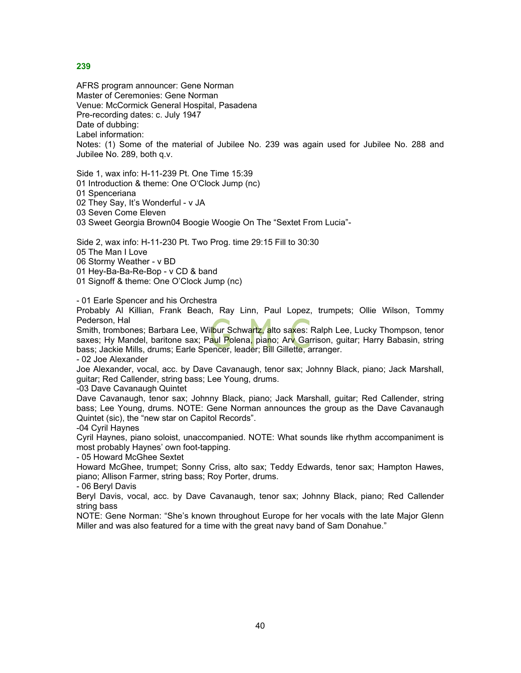AFRS program announcer: Gene Norman Master of Ceremonies: Gene Norman Venue: McCormick General Hospital, Pasadena Pre-recording dates: c. July 1947 Date of dubbing: Label information: Notes: (1) Some of the material of Jubilee No. 239 was again used for Jubilee No. 288 and Jubilee No. 289, both q.v.

Side 1, wax info: H-11-239 Pt. One Time 15:39 01 Introduction & theme: One O'Clock Jump (nc) 01 Spenceriana 02 They Say, It's Wonderful - v JA 03 Seven Come Eleven 03 Sweet Georgia Brown04 Boogie Woogie On The "Sextet From Lucia"-

Side 2, wax info: H-11-230 Pt. Two Prog. time 29:15 Fill to 30:30 05 The Man I Love 06 Stormy Weather - v BD 01 Hey-Ba-Ba-Re-Bop - v CD & band 01 Signoff & theme: One O'Clock Jump (nc)

- 01 Earle Spencer and his Orchestra

Probably Al Killian, Frank Beach, Ray Linn, Paul Lopez, trumpets; Ollie Wilson, Tommy Pederson, Hal

Smith, trombones; Barbara Lee, Wilbur Schwartz, alto saxes: Ralph Lee, Lucky Thompson, tenor saxes; Hy Mandel, baritone sax; Paul Polena, piano; Arv Garrison, guitar; Harry Babasin, string bass; Jackie Mills, drums; Earle Spencer, leader; Bill Gillette, arranger.

- 02 Joe Alexander

Joe Alexander, vocal, acc. by Dave Cavanaugh, tenor sax; Johnny Black, piano; Jack Marshall, guitar; Red Callender, string bass; Lee Young, drums.

-03 Dave Cavanaugh Quintet

Dave Cavanaugh, tenor sax; Johnny Black, piano; Jack Marshall, guitar; Red Callender, string bass; Lee Young, drums. NOTE: Gene Norman announces the group as the Dave Cavanaugh Quintet (sic), the "new star on Capitol Records". -04 Cyril Haynes

Cyril Haynes, piano soloist, unaccompanied. NOTE: What sounds like rhythm accompaniment is most probably Haynes' own foot-tapping.

- 05 Howard McGhee Sextet

Howard McGhee, trumpet; Sonny Criss, alto sax; Teddy Edwards, tenor sax; Hampton Hawes, piano; Allison Farmer, string bass; Roy Porter, drums.

- 06 Beryl Davis

Beryl Davis, vocal, acc. by Dave Cavanaugh, tenor sax; Johnny Black, piano; Red Callender string bass

NOTE: Gene Norman: "She's known throughout Europe for her vocals with the late Major Glenn Miller and was also featured for a time with the great navy band of Sam Donahue."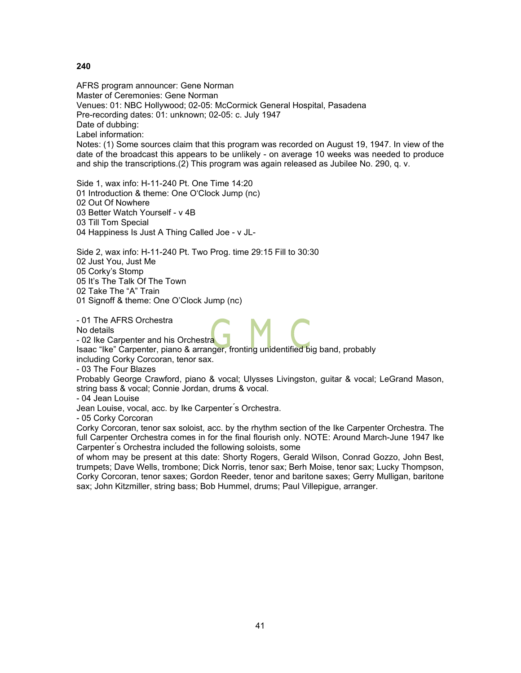AFRS program announcer: Gene Norman Master of Ceremonies: Gene Norman Venues: 01: NBC Hollywood; 02-05: McCormick General Hospital, Pasadena Pre-recording dates: 01: unknown; 02-05: c. July 1947 Date of dubbing: Label information: Notes: (1) Some sources claim that this program was recorded on August 19, 1947. In view of the date of the broadcast this appears to be unlikely - on average 10 weeks was needed to produce and ship the transcriptions.(2) This program was again released as Jubilee No. 290, q. v.

Side 1, wax info: H-11-240 Pt. One Time 14:20 01 Introduction & theme: One O'Clock Jump (nc) 02 Out Of Nowhere 03 Better Watch Yourself - v 4B 03 Till Tom Special 04 Happiness Is Just A Thing Called Joe - v JL-

Side 2, wax info: H-11-240 Pt. Two Prog. time 29:15 Fill to 30:30 02 Just You, Just Me 05 Corky's Stomp 05 It's The Talk Of The Town 02 Take The "A" Train 01 Signoff & theme: One O'Clock Jump (nc)

- 01 The AFRS Orchestra

No details

- 02 Ike Carpenter and his Orchestra

Isaac "Ike" Carpenter, piano & arranger, fronting unidentified big band, probably including Corky Corcoran, tenor sax.

- 03 The Four Blazes

Probably George Crawford, piano & vocal; Ulysses Livingston, guitar & vocal; LeGrand Mason, string bass & vocal; Connie Jordan, drums & vocal.

- 04 Jean Louise

Jean Louise, vocal, acc. by Ike Carpenter ́s Orchestra.

- 05 Corky Corcoran

Corky Corcoran, tenor sax soloist, acc. by the rhythm section of the Ike Carpenter Orchestra. The full Carpenter Orchestra comes in for the final flourish only. NOTE: Around March-June 1947 Ike Carpenter's Orchestra included the following soloists, some

of whom may be present at this date: Shorty Rogers, Gerald Wilson, Conrad Gozzo, John Best, trumpets; Dave Wells, trombone; Dick Norris, tenor sax; Berh Moise, tenor sax; Lucky Thompson, Corky Corcoran, tenor saxes; Gordon Reeder, tenor and baritone saxes; Gerry Mulligan, baritone sax; John Kitzmiller, string bass; Bob Hummel, drums; Paul Villepigue, arranger.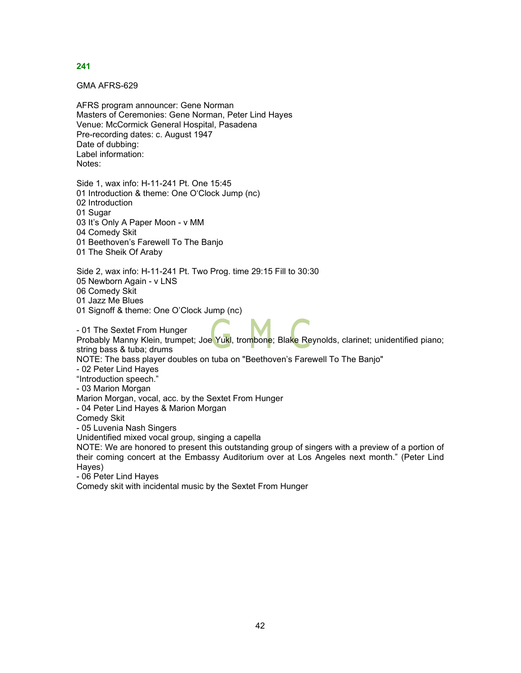GMA AFRS-629

AFRS program announcer: Gene Norman Masters of Ceremonies: Gene Norman, Peter Lind Hayes Venue: McCormick General Hospital, Pasadena Pre-recording dates: c. August 1947 Date of dubbing: Label information: Notes:

Side 1, wax info: H-11-241 Pt. One 15:45 01 Introduction & theme: One O'Clock Jump (nc) 02 Introduction 01 Sugar 03 It's Only A Paper Moon - v MM 04 Comedy Skit 01 Beethoven's Farewell To The Banjo

01 The Sheik Of Araby

Side 2, wax info: H-11-241 Pt. Two Prog. time 29:15 Fill to 30:30 05 Newborn Again - v LNS

06 Comedy Skit

01 Jazz Me Blues

01 Signoff & theme: One O'Clock Jump (nc)

- 01 The Sextet From Hunger Probably Manny Klein, trumpet; Joe Yukl, trombone; Blake Reynolds, clarinet; unidentified piano; string bass & tuba; drums NOTE: The bass player doubles on tuba on "Beethoven's Farewell To The Banjo" - 02 Peter Lind Hayes "Introduction speech." - 03 Marion Morgan Marion Morgan, vocal, acc. by the Sextet From Hunger - 04 Peter Lind Hayes & Marion Morgan Comedy Skit - 05 Luvenia Nash Singers Unidentified mixed vocal group, singing a capella NOTE: We are honored to present this outstanding group of singers with a preview of a portion of their coming concert at the Embassy Auditorium over at Los Angeles next month." (Peter Lind Hayes) - 06 Peter Lind Hayes

Comedy skit with incidental music by the Sextet From Hunger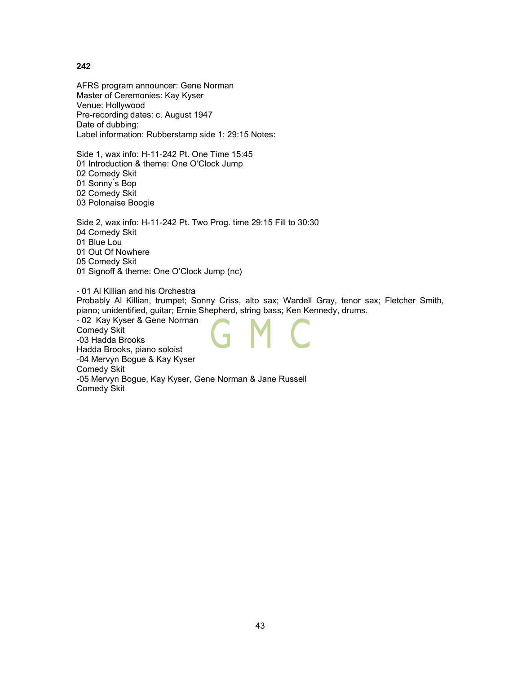AFRS program announcer: Gene Norman Master of Ceremonies: Kay Kyser Venue: Hollywood Pre-recording dates: c. August 1947 Date of dubbing: Label information: Rubberstamp side 1: 29:15 Notes:

Side 1, wax info: H-11-242 Pt. One Time 15:45 01 Introduction & theme: One O'Clock Jump 02 Comedy Skit 01 Sonny ́s Bop 02 Comedy Skit 03 Polonaise Boogie

Side 2, wax info: H-11-242 Pt. Two Prog. time 29:15 Fill to 30:30 04 Comedy Skit 01 Blue Lou 01 Out Of Nowhere 05 Comedy Skit 01 Signoff & theme: One O'Clock Jump (nc)

- 01 Al Killian and his Orchestra Probably Al Killian, trumpet; Sonny Criss, alto sax; Wardell Gray, tenor sax; Fletcher Smith, piano; unidentified, guitar; Ernie Shepherd, string bass; Ken Kennedy, drums. - 02 Kay Kyser & Gene Norman Comedy Skit -03 Hadda Brooks Hadda Brooks, piano soloist

-04 Mervyn Bogue & Kay Kyser Comedy Skit -05 Mervyn Bogue, Kay Kyser, Gene Norman & Jane Russell Comedy Skit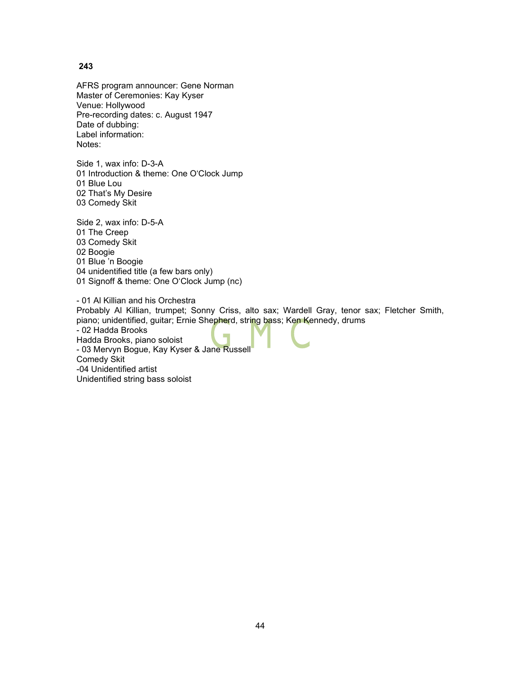AFRS program announcer: Gene Norman Master of Ceremonies: Kay Kyser Venue: Hollywood Pre-recording dates: c. August 1947 Date of dubbing: Label information: Notes:

Side 1, wax info: D-3-A 01 Introduction & theme: One O'Clock Jump 01 Blue Lou 02 That's My Desire 03 Comedy Skit

Side 2, wax info: D-5-A 01 The Creep 03 Comedy Skit 02 Boogie 01 Blue 'n Boogie 04 unidentified title (a few bars only) 01 Signoff & theme: One O'Clock Jump (nc)

- 01 Al Killian and his Orchestra Probably Al Killian, trumpet; Sonny Criss, alto sax; Wardell Gray, tenor sax; Fletcher Smith, piano; unidentified, guitar; Ernie Shepherd, string bass; Ken Kennedy, drums - 02 Hadda Brooks Hadda Brooks, piano soloist - 03 Mervyn Bogue, Kay Kyser & Jane Russell Comedy Skit -04 Unidentified artist Unidentified string bass soloist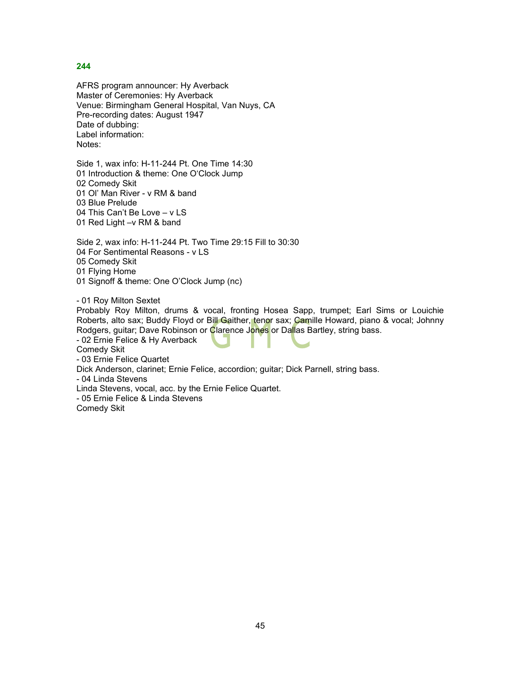AFRS program announcer: Hy Averback Master of Ceremonies: Hy Averback Venue: Birmingham General Hospital, Van Nuys, CA Pre-recording dates: August 1947 Date of dubbing: Label information: Notes:

Side 1, wax info: H-11-244 Pt. One Time 14:30 01 Introduction & theme: One O'Clock Jump 02 Comedy Skit 01 Ol' Man River - v RM & band 03 Blue Prelude 04 This Can't Be Love – v LS 01 Red Light –v RM & band

Side 2, wax info: H-11-244 Pt. Two Time 29:15 Fill to 30:30 04 For Sentimental Reasons - v LS 05 Comedy Skit 01 Flying Home 01 Signoff & theme: One O'Clock Jump (nc)

- 01 Roy Milton Sextet

Probably Roy Milton, drums & vocal, fronting Hosea Sapp, trumpet; Earl Sims or Louichie Roberts, alto sax; Buddy Floyd or Bill Gaither, tenor sax; Camille Howard, piano & vocal; Johnny Rodgers, guitar; Dave Robinson or Clarence Jones or Dallas Bartley, string bass.

- 02 Ernie Felice & Hy Averback

Comedy Skit

- 03 Ernie Felice Quartet

Dick Anderson, clarinet; Ernie Felice, accordion; guitar; Dick Parnell, string bass.

- 04 Linda Stevens

Linda Stevens, vocal, acc. by the Ernie Felice Quartet.

- 05 Ernie Felice & Linda Stevens

Comedy Skit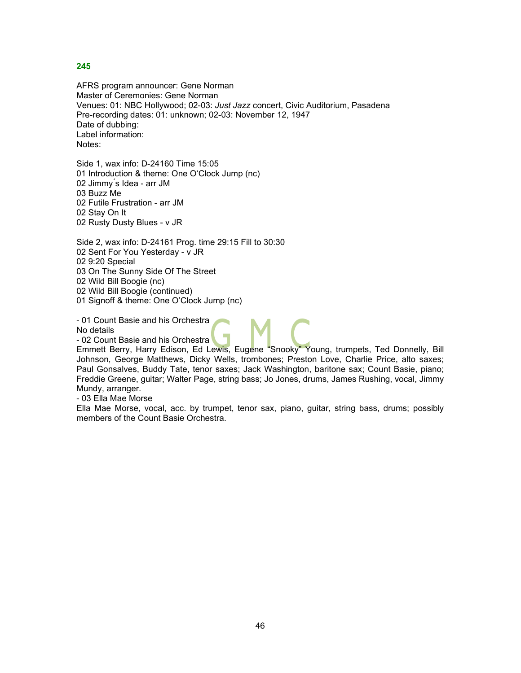AFRS program announcer: Gene Norman Master of Ceremonies: Gene Norman Venues: 01: NBC Hollywood; 02-03: *Just Jazz* concert, Civic Auditorium, Pasadena Pre-recording dates: 01: unknown; 02-03: November 12, 1947 Date of dubbing: Label information: Notes:

Side 1, wax info: D-24160 Time 15:05 01 Introduction & theme: One O'Clock Jump (nc) 02 Jimmy ́s Idea - arr JM 03 Buzz Me 02 Futile Frustration - arr JM 02 Stay On It 02 Rusty Dusty Blues - v JR

Side 2, wax info: D-24161 Prog. time 29:15 Fill to 30:30 02 Sent For You Yesterday - v JR 02 9:20 Special 03 On The Sunny Side Of The Street 02 Wild Bill Boogie (nc) 02 Wild Bill Boogie (continued)

01 Signoff & theme: One O'Clock Jump (nc)

- 01 Count Basie and his Orchestra

No details

- 02 Count Basie and his Orchestra Emmett Berry, Harry Edison, Ed Lewis, Eugene "Snooky" Young, trumpets, Ted Donnelly, Bill Johnson, George Matthews, Dicky Wells, trombones; Preston Love, Charlie Price, alto saxes; Paul Gonsalves, Buddy Tate, tenor saxes; Jack Washington, baritone sax; Count Basie, piano; Freddie Greene, guitar; Walter Page, string bass; Jo Jones, drums, James Rushing, vocal, Jimmy

Mundy, arranger.

- 03 Ella Mae Morse

Ella Mae Morse, vocal, acc. by trumpet, tenor sax, piano, guitar, string bass, drums; possibly members of the Count Basie Orchestra.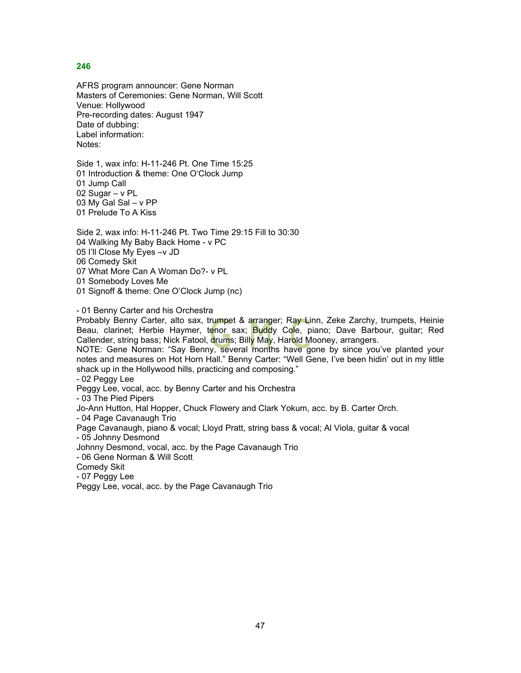AFRS program announcer: Gene Norman Masters of Ceremonies: Gene Norman, Will Scott Venue: Hollywood Pre-recording dates: August 1947 Date of dubbing: Label information: Notes:

Side 1, wax info: H-11-246 Pt. One Time 15:25 01 Introduction & theme: One O'Clock Jump 01 Jump Call 02 Sugar – v PL 03 My Gal Sal – v PP 01 Prelude To A Kiss

Side 2, wax info: H-11-246 Pt. Two Time 29:15 Fill to 30:30 04 Walking My Baby Back Home - v PC 05 I'll Close My Eyes –v JD 06 Comedy Skit 07 What More Can A Woman Do?- v PL 01 Somebody Loves Me

01 Signoff & theme: One O'Clock Jump (nc)

- 01 Benny Carter and his Orchestra

Probably Benny Carter, alto sax, trumpet & arranger; Ray Linn, Zeke Zarchy, trumpets, Heinie Beau, clarinet; Herbie Haymer, tenor sax; Buddy Cole, piano; Dave Barbour, guitar; Red Callender, string bass; Nick Fatool, drums; Billy May, Harold Mooney, arrangers.

NOTE: Gene Norman: "Say Benny, several months have gone by since you've planted your notes and measures on Hot Horn Hall." Benny Carter: "Well Gene, I've been hidin' out in my little shack up in the Hollywood hills, practicing and composing."

- 02 Peggy Lee

Peggy Lee, vocal, acc. by Benny Carter and his Orchestra

- 03 The Pied Pipers

Jo-Ann Hutton, Hal Hopper, Chuck Flowery and Clark Yokum, acc. by B. Carter Orch.

- 04 Page Cavanaugh Trio

Page Cavanaugh, piano & vocal; Lloyd Pratt, string bass & vocal; Al Viola, guitar & vocal

- 05 Johnny Desmond

Johnny Desmond, vocal, acc. by the Page Cavanaugh Trio

- 06 Gene Norman & Will Scott

Comedy Skit

- 07 Peggy Lee

Peggy Lee, vocal, acc. by the Page Cavanaugh Trio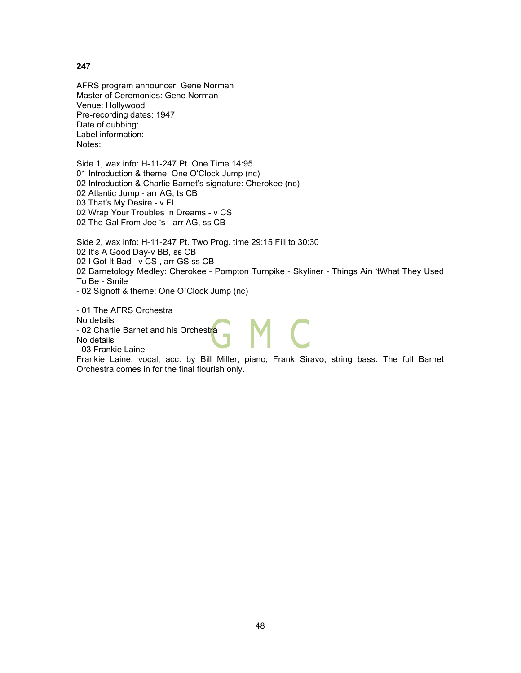AFRS program announcer: Gene Norman Master of Ceremonies: Gene Norman Venue: Hollywood Pre-recording dates: 1947 Date of dubbing: Label information: Notes:

Side 1, wax info: H-11-247 Pt. One Time 14:95 01 Introduction & theme: One O'Clock Jump (nc) 02 Introduction & Charlie Barnet's signature: Cherokee (nc) 02 Atlantic Jump - arr AG, ts CB 03 That's My Desire - v FL 02 Wrap Your Troubles In Dreams - v CS 02 The Gal From Joe 's - arr AG, ss CB

Side 2, wax info: H-11-247 Pt. Two Prog. time 29:15 Fill to 30:30 02 It's A Good Day-v BB, ss CB 02 I Got It Bad –v CS , arr GS ss CB 02 Barnetology Medley: Cherokee - Pompton Turnpike - Skyliner - Things Ain 'tWhat They Used To Be - Smile

- 02 Signoff & theme: One O`Clock Jump (nc)

- 01 The AFRS Orchestra No details - 02 Charlie Barnet and his Orchestra No details - 03 Frankie Laine

Frankie Laine, vocal, acc. by Bill Miller, piano; Frank Siravo, string bass. The full Barnet Orchestra comes in for the final flourish only.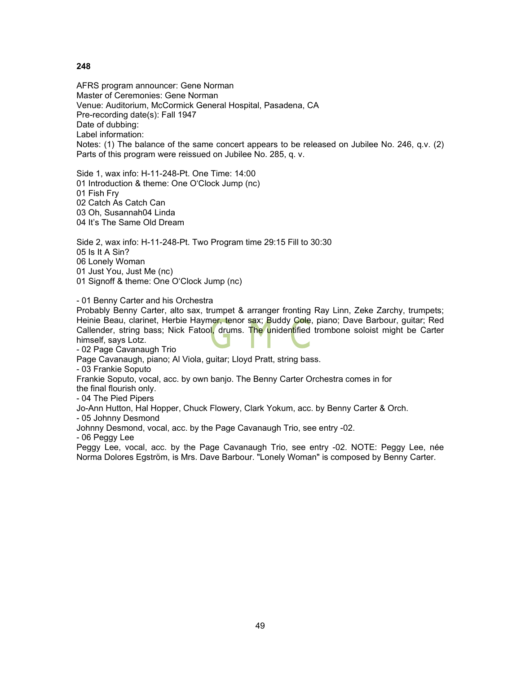AFRS program announcer: Gene Norman Master of Ceremonies: Gene Norman Venue: Auditorium, McCormick General Hospital, Pasadena, CA Pre-recording date(s): Fall 1947 Date of dubbing: Label information: Notes: (1) The balance of the same concert appears to be released on Jubilee No. 246, q.v. (2) Parts of this program were reissued on Jubilee No. 285, q. v.

Side 1, wax info: H-11-248-Pt. One Time: 14:00 01 Introduction & theme: One O'Clock Jump (nc) 01 Fish Fry 02 Catch As Catch Can 03 Oh, Susannah04 Linda 04 It's The Same Old Dream

Side 2, wax info: H-11-248-Pt. Two Program time 29:15 Fill to 30:30 05 Is It A Sin? 06 Lonely Woman 01 Just You, Just Me (nc) 01 Signoff & theme: One O'Clock Jump (nc)

- 01 Benny Carter and his Orchestra

Probably Benny Carter, alto sax, trumpet & arranger fronting Ray Linn, Zeke Zarchy, trumpets; Heinie Beau, clarinet, Herbie Haymer, tenor sax; Buddy Cole, piano; Dave Barbour, guitar; Red Callender, string bass; Nick Fatool, drums. The unidentified trombone soloist might be Carter himself, says Lotz.

- 02 Page Cavanaugh Trio

Page Cavanaugh, piano; Al Viola, guitar; Lloyd Pratt, string bass.

- 03 Frankie Soputo

Frankie Soputo, vocal, acc. by own banjo. The Benny Carter Orchestra comes in for

the final flourish only.

- 04 The Pied Pipers

Jo-Ann Hutton, Hal Hopper, Chuck Flowery, Clark Yokum, acc. by Benny Carter & Orch.

- 05 Johnny Desmond

Johnny Desmond, vocal, acc. by the Page Cavanaugh Trio, see entry -02.

- 06 Peggy Lee

Peggy Lee, vocal, acc. by the Page Cavanaugh Trio, see entry -02. NOTE: Peggy Lee, née Norma Dolores Egström, is Mrs. Dave Barbour. "Lonely Woman" is composed by Benny Carter.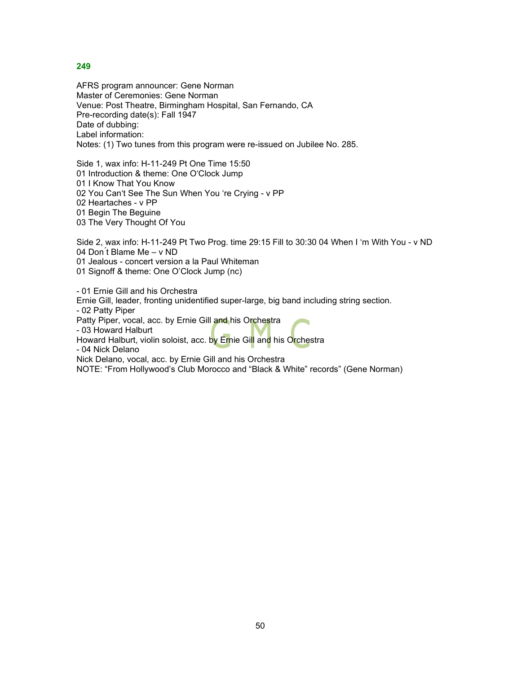AFRS program announcer: Gene Norman Master of Ceremonies: Gene Norman Venue: Post Theatre, Birmingham Hospital, San Fernando, CA Pre-recording date(s): Fall 1947 Date of dubbing: Label information: Notes: (1) Two tunes from this program were re-issued on Jubilee No. 285.

Side 1, wax info: H-11-249 Pt One Time 15:50 01 Introduction & theme: One O'Clock Jump 01 I Know That You Know 02 You Can't See The Sun When You 're Crying - v PP 02 Heartaches - v PP 01 Begin The Beguine 03 The Very Thought Of You

Side 2, wax info: H-11-249 Pt Two Prog. time 29:15 Fill to 30:30 04 When I 'm With You - v ND 04 Don ́t Blame Me – v ND 01 Jealous - concert version a la Paul Whiteman

01 Signoff & theme: One O'Clock Jump (nc)

- 01 Ernie Gill and his Orchestra

Ernie Gill, leader, fronting unidentified super-large, big band including string section.

- 02 Patty Piper

Patty Piper, vocal, acc. by Ernie Gill and his Orchestra

- 03 Howard Halburt

Howard Halburt, violin soloist, acc. by Ernie Gill and his Orchestra

- 04 Nick Delano

Nick Delano, vocal, acc. by Ernie Gill and his Orchestra

NOTE: "From Hollywood's Club Morocco and "Black & White" records" (Gene Norman)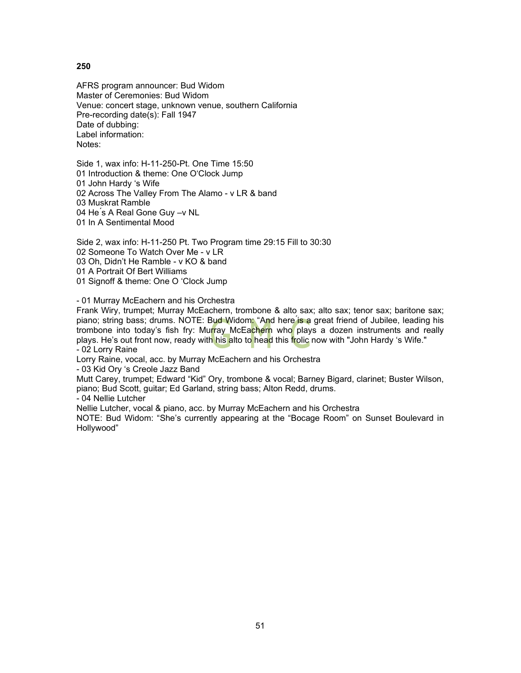AFRS program announcer: Bud Widom Master of Ceremonies: Bud Widom Venue: concert stage, unknown venue, southern California Pre-recording date(s): Fall 1947 Date of dubbing: Label information: Notes:

Side 1, wax info: H-11-250-Pt. One Time 15:50 01 Introduction & theme: One O'Clock Jump 01 John Hardy 's Wife 02 Across The Valley From The Alamo - v LR & band 03 Muskrat Ramble 04 He's A Real Gone Guy -v NL 01 In A Sentimental Mood

Side 2, wax info: H-11-250 Pt. Two Program time 29:15 Fill to 30:30 02 Someone To Watch Over Me - v LR 03 Oh, Didn't He Ramble - v KO & band 01 A Portrait Of Bert Williams 01 Signoff & theme: One O 'Clock Jump

- 01 Murray McEachern and his Orchestra

Frank Wiry, trumpet; Murray McEachern, trombone & alto sax; alto sax; tenor sax; baritone sax; piano; string bass; drums. NOTE: Bud Widom: "And here is a great friend of Jubilee, leading his trombone into today's fish fry: Murray McEachern who plays a dozen instruments and really plays. He's out front now, ready with his alto to head this frolic now with "John Hardy 's Wife." - 02 Lorry Raine

Lorry Raine, vocal, acc. by Murray McEachern and his Orchestra

- 03 Kid Ory 's Creole Jazz Band

Mutt Carey, trumpet; Edward "Kid" Ory, trombone & vocal; Barney Bigard, clarinet; Buster Wilson, piano; Bud Scott, guitar; Ed Garland, string bass; Alton Redd, drums.

- 04 Nellie Lutcher

Nellie Lutcher, vocal & piano, acc. by Murray McEachern and his Orchestra

NOTE: Bud Widom: "She's currently appearing at the "Bocage Room" on Sunset Boulevard in Hollywood"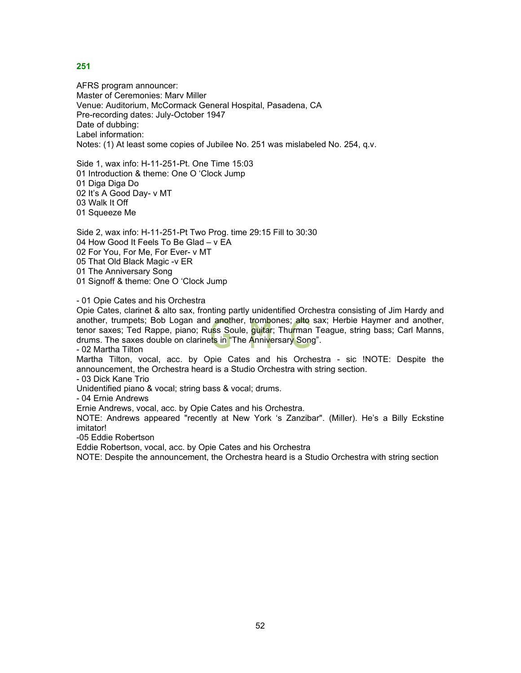AFRS program announcer: Master of Ceremonies: Marv Miller Venue: Auditorium, McCormack General Hospital, Pasadena, CA Pre-recording dates: July-October 1947 Date of dubbing: Label information: Notes: (1) At least some copies of Jubilee No. 251 was mislabeled No. 254, q.v.

Side 1, wax info: H-11-251-Pt. One Time 15:03 01 Introduction & theme: One O 'Clock Jump 01 Diga Diga Do 02 It's A Good Day- v MT 03 Walk It Off 01 Squeeze Me

Side 2, wax info: H-11-251-Pt Two Prog. time 29:15 Fill to 30:30 04 How Good It Feels To Be Glad – v EA 02 For You, For Me, For Ever- v MT 05 That Old Black Magic -v ER 01 The Anniversary Song 01 Signoff & theme: One O 'Clock Jump

- 01 Opie Cates and his Orchestra

Opie Cates, clarinet & alto sax, fronting partly unidentified Orchestra consisting of Jim Hardy and another, trumpets; Bob Logan and another, trombones; alto sax; Herbie Haymer and another, tenor saxes; Ted Rappe, piano; Russ Soule, guitar; Thurman Teague, string bass; Carl Manns, drums. The saxes double on clarinets in "The Anniversary Song".

- 02 Martha Tilton

Martha Tilton, vocal, acc. by Opie Cates and his Orchestra - sic !NOTE: Despite the announcement, the Orchestra heard is a Studio Orchestra with string section.

- 03 Dick Kane Trio

Unidentified piano & vocal; string bass & vocal; drums.

- 04 Ernie Andrews

Ernie Andrews, vocal, acc. by Opie Cates and his Orchestra.

NOTE: Andrews appeared "recently at New York 's Zanzibar". (Miller). He's a Billy Eckstine imitator!

-05 Eddie Robertson

Eddie Robertson, vocal, acc. by Opie Cates and his Orchestra

NOTE: Despite the announcement, the Orchestra heard is a Studio Orchestra with string section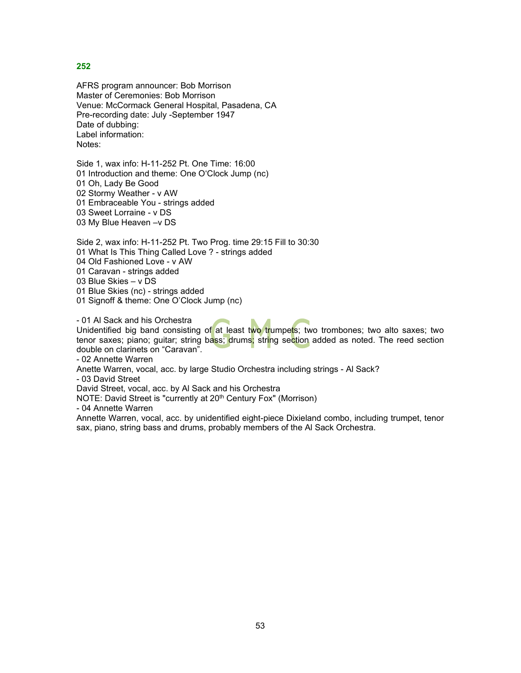AFRS program announcer: Bob Morrison Master of Ceremonies: Bob Morrison Venue: McCormack General Hospital, Pasadena, CA Pre-recording date: July -September 1947 Date of dubbing: Label information: Notes:

Side 1, wax info: H-11-252 Pt. One Time: 16:00 01 Introduction and theme: One O'Clock Jump (nc) 01 Oh, Lady Be Good 02 Stormy Weather - v AW 01 Embraceable You - strings added 03 Sweet Lorraine - v DS 03 My Blue Heaven –v DS

Side 2, wax info: H-11-252 Pt. Two Prog. time 29:15 Fill to 30:30 01 What Is This Thing Called Love ? - strings added 04 Old Fashioned Love - v AW 01 Caravan - strings added

03 Blue Skies – v DS

01 Blue Skies (nc) - strings added

01 Signoff & theme: One O'Clock Jump (nc)

- 01 Al Sack and his Orchestra

Unidentified big band consisting of at least two trumpets; two trombones; two alto saxes; two tenor saxes; piano; guitar; string bass; drums; string section added as noted. The reed section double on clarinets on "Caravan".

- 02 Annette Warren

Anette Warren, vocal, acc. by large Studio Orchestra including strings - Al Sack?

- 03 David Street

David Street, vocal, acc. by Al Sack and his Orchestra

NOTE: David Street is "currently at 20<sup>th</sup> Century Fox" (Morrison)

- 04 Annette Warren

Annette Warren, vocal, acc. by unidentified eight-piece Dixieland combo, including trumpet, tenor sax, piano, string bass and drums, probably members of the Al Sack Orchestra.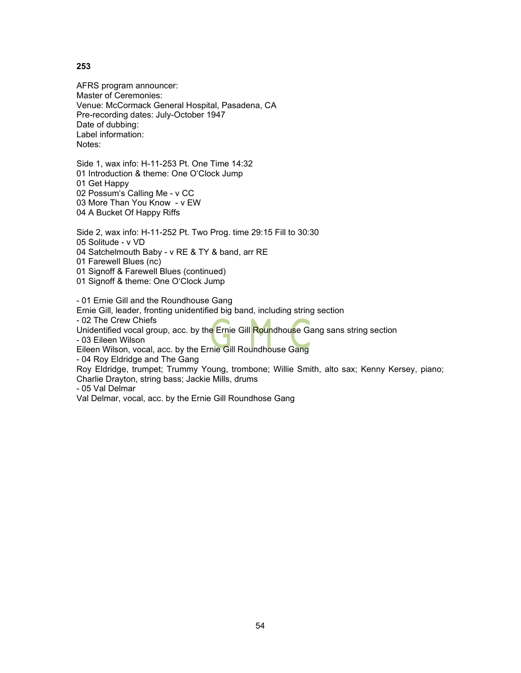AFRS program announcer: Master of Ceremonies: Venue: McCormack General Hospital, Pasadena, CA Pre-recording dates: July-October 1947 Date of dubbing: Label information: Notes:

Side 1, wax info: H-11-253 Pt. One Time 14:32 01 Introduction & theme: One O'Clock Jump 01 Get Happy 02 Possum's Calling Me - v CC 03 More Than You Know - v EW 04 A Bucket Of Happy Riffs

Side 2, wax info: H-11-252 Pt. Two Prog. time 29:15 Fill to 30:30 05 Solitude - v VD 04 Satchelmouth Baby - v RE & TY & band, arr RE

01 Farewell Blues (nc)

01 Signoff & Farewell Blues (continued)

01 Signoff & theme: One O'Clock Jump

- 01 Ernie Gill and the Roundhouse Gang

Ernie Gill, leader, fronting unidentified big band, including string section

- 02 The Crew Chiefs

Unidentified vocal group, acc. by the Ernie Gill Roundhouse Gang sans string section

- 03 Eileen Wilson

Eileen Wilson, vocal, acc. by the Ernie Gill Roundhouse Gang

- 04 Roy Eldridge and The Gang

Roy Eldridge, trumpet; Trummy Young, trombone; Willie Smith, alto sax; Kenny Kersey, piano; Charlie Drayton, string bass; Jackie Mills, drums

- 05 Val Delmar

Val Delmar, vocal, acc. by the Ernie Gill Roundhose Gang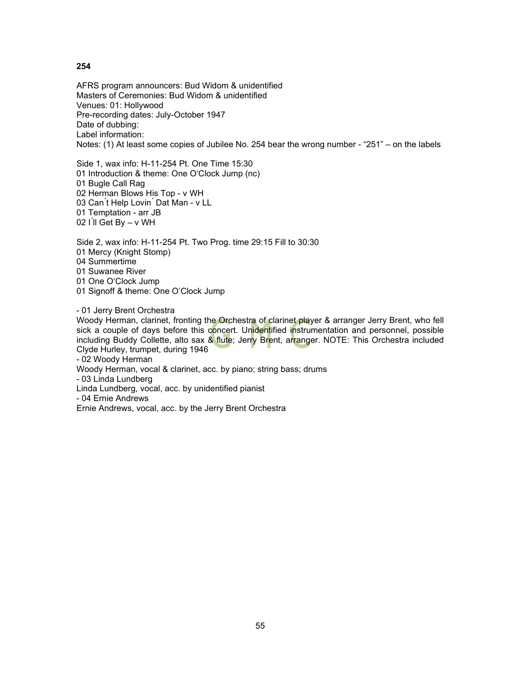AFRS program announcers: Bud Widom & unidentified Masters of Ceremonies: Bud Widom & unidentified Venues: 01: Hollywood Pre-recording dates: July-October 1947 Date of dubbing: Label information: Notes: (1) At least some copies of Jubilee No. 254 bear the wrong number - "251" – on the labels

Side 1, wax info: H-11-254 Pt. One Time 15:30 01 Introduction & theme: One O'Clock Jump (nc) 01 Bugle Call Rag 02 Herman Blows His Top - v WH 03 Can't Help Lovin<sup>'</sup> Dat Man - v LL 01 Temptation - arr JB 02 I'll Get By – v WH

Side 2, wax info: H-11-254 Pt. Two Prog. time 29:15 Fill to 30:30 01 Mercy (Knight Stomp) 04 Summertime 01 Suwanee River 01 One O'Clock Jump 01 Signoff & theme: One O'Clock Jump

- 01 Jerry Brent Orchestra

Woody Herman, clarinet, fronting the Orchestra of clarinet player & arranger Jerry Brent, who fell sick a couple of days before this concert. Unidentified instrumentation and personnel, possible including Buddy Collette, alto sax & flute; Jerry Brent, arranger. NOTE: This Orchestra included Clyde Hurley, trumpet, during 1946

- 02 Woody Herman

Woody Herman, vocal & clarinet, acc. by piano; string bass; drums

- 03 Linda Lundberg

Linda Lundberg, vocal, acc. by unidentified pianist

- 04 Ernie Andrews

Ernie Andrews, vocal, acc. by the Jerry Brent Orchestra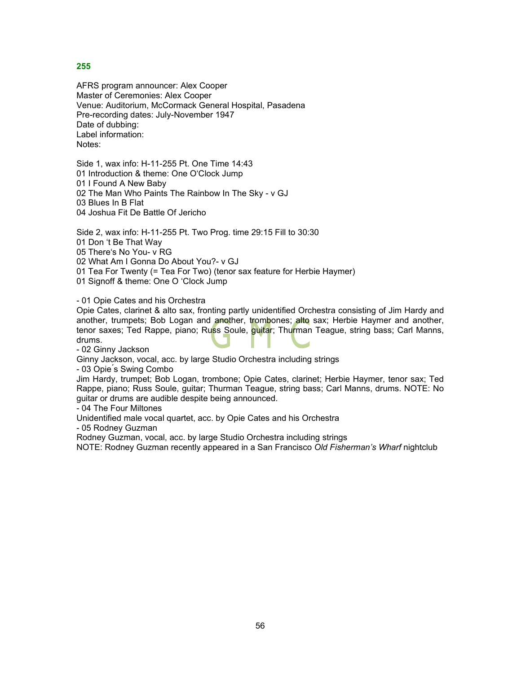AFRS program announcer: Alex Cooper Master of Ceremonies: Alex Cooper Venue: Auditorium, McCormack General Hospital, Pasadena Pre-recording dates: July-November 1947 Date of dubbing: Label information: Notes:

Side 1, wax info: H-11-255 Pt. One Time 14:43 01 Introduction & theme: One O'Clock Jump 01 I Found A New Baby 02 The Man Who Paints The Rainbow In The Sky - v GJ 03 Blues In B Flat 04 Joshua Fit De Battle Of Jericho

Side 2, wax info: H-11-255 Pt. Two Prog. time 29:15 Fill to 30:30 01 Don 't Be That Way 05 There's No You- v RG 02 What Am I Gonna Do About You?- v GJ 01 Tea For Twenty (= Tea For Two) (tenor sax feature for Herbie Haymer)

01 Signoff & theme: One O 'Clock Jump

- 01 Opie Cates and his Orchestra

Opie Cates, clarinet & alto sax, fronting partly unidentified Orchestra consisting of Jim Hardy and another, trumpets; Bob Logan and another, trombones; alto sax; Herbie Haymer and another, tenor saxes; Ted Rappe, piano; Ru<mark>s</mark>s <u>S</u>oule, <mark>guita</mark>r; Thu<mark>r</mark>man Teague, string bass; Carl Manns, drums.

- 02 Ginny Jackson

Ginny Jackson, vocal, acc. by large Studio Orchestra including strings

- 03 Opie ́s Swing Combo

Jim Hardy, trumpet; Bob Logan, trombone; Opie Cates, clarinet; Herbie Haymer, tenor sax; Ted Rappe, piano; Russ Soule, guitar; Thurman Teague, string bass; Carl Manns, drums. NOTE: No guitar or drums are audible despite being announced.

- 04 The Four Miltones

Unidentified male vocal quartet, acc. by Opie Cates and his Orchestra

- 05 Rodney Guzman

Rodney Guzman, vocal, acc. by large Studio Orchestra including strings

NOTE: Rodney Guzman recently appeared in a San Francisco *Old Fisherman's Wharf* nightclub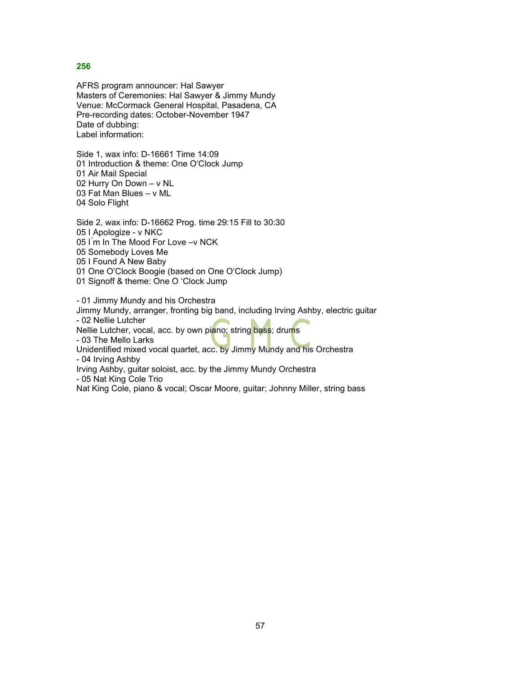AFRS program announcer: Hal Sawyer Masters of Ceremonies: Hal Sawyer & Jimmy Mundy Venue: McCormack General Hospital, Pasadena, CA Pre-recording dates: October-November 1947 Date of dubbing: Label information:

Side 1, wax info: D-16661 Time 14:09 01 Introduction & theme: One O'Clock Jump 01 Air Mail Special 02 Hurry On Down – v NL 03 Fat Man Blues – v ML 04 Solo Flight

Side 2, wax info: D-16662 Prog. time 29:15 Fill to 30:30 05 I Apologize - v NKC 05 I'm In The Mood For Love -v NCK 05 Somebody Loves Me 05 I Found A New Baby 01 One O'Clock Boogie (based on One O'Clock Jump) 01 Signoff & theme: One O 'Clock Jump

- 01 Jimmy Mundy and his Orchestra

Jimmy Mundy, arranger, fronting big band, including Irving Ashby, electric guitar - 02 Nellie Lutcher

Nellie Lutcher, vocal, acc. by own piano; string bass; drums

- 03 The Mello Larks

Unidentified mixed vocal quartet, acc. by Jimmy Mundy and his Orchestra - 04 Irving Ashby

Irving Ashby, guitar soloist, acc. by the Jimmy Mundy Orchestra

- 05 Nat King Cole Trio

Nat King Cole, piano & vocal; Oscar Moore, guitar; Johnny Miller, string bass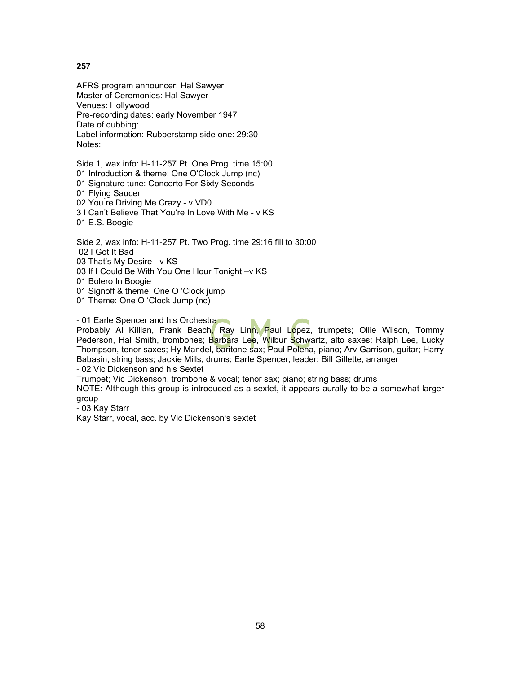AFRS program announcer: Hal Sawyer Master of Ceremonies: Hal Sawyer Venues: Hollywood Pre-recording dates: early November 1947 Date of dubbing: Label information: Rubberstamp side one: 29:30 Notes:

Side 1, wax info: H-11-257 Pt. One Prog. time 15:00 01 Introduction & theme: One O'Clock Jump (nc) 01 Signature tune: Concerto For Sixty Seconds 01 Flying Saucer 02 You ́re Driving Me Crazy - v VD0 3 I Can't Believe That You're In Love With Me - v KS 01 E.S. Boogie

Side 2, wax info: H-11-257 Pt. Two Prog. time 29:16 fill to 30:00 02 I Got It Bad 03 That's My Desire - v KS 03 If I Could Be With You One Hour Tonight -v KS

01 Bolero In Boogie

01 Signoff & theme: One O 'Clock jump

01 Theme: One O 'Clock Jump (nc)

- 01 Earle Spencer and his Orchestra

Probably Al Killian, Frank Beach, Ray Linn, Paul Lopez, trumpets; Ollie Wilson, Tommy Pederson, Hal Smith, trombones; Barbara Lee, Wilbur Schwartz, alto saxes: Ralph Lee, Lucky Thompson, tenor saxes; Hy Mandel, baritone sax; Paul Polena, piano; Arv Garrison, guitar; Harry Babasin, string bass; Jackie Mills, drums; Earle Spencer, leader; Bill Gillette, arranger

- 02 Vic Dickenson and his Sextet

Trumpet; Vic Dickenson, trombone & vocal; tenor sax; piano; string bass; drums

NOTE: Although this group is introduced as a sextet, it appears aurally to be a somewhat larger group

- 03 Kay Starr

Kay Starr, vocal, acc. by Vic Dickenson's sextet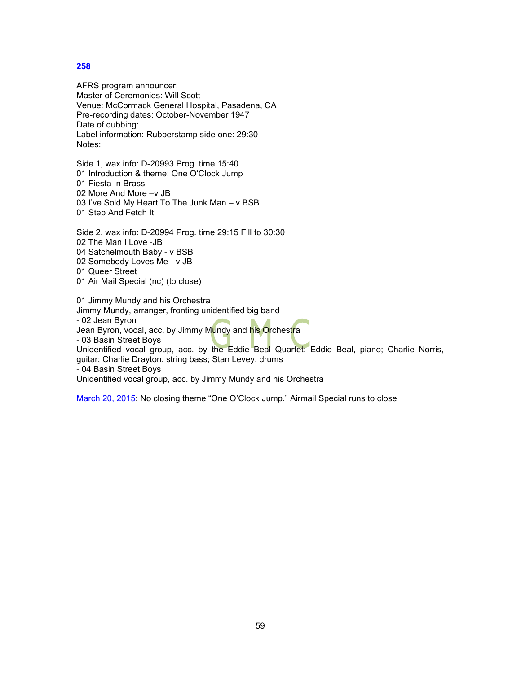AFRS program announcer: Master of Ceremonies: Will Scott Venue: McCormack General Hospital, Pasadena, CA Pre-recording dates: October-November 1947 Date of dubbing: Label information: Rubberstamp side one: 29:30 Notes:

Side 1, wax info: D-20993 Prog. time 15:40 01 Introduction & theme: One O'Clock Jump 01 Fiesta In Brass 02 More And More –v JB 03 I've Sold My Heart To The Junk Man – v BSB 01 Step And Fetch It

Side 2, wax info: D-20994 Prog. time 29:15 Fill to 30:30 02 The Man I Love -JB 04 Satchelmouth Baby - v BSB 02 Somebody Loves Me - v JB

- 01 Queer Street
- 01 Air Mail Special (nc) (to close)

01 Jimmy Mundy and his Orchestra Jimmy Mundy, arranger, fronting unidentified big band

- 02 Jean Byron

Jean Byron, vocal, acc. by Jimmy M<mark>u</mark>ndy and his Orchestra

- 03 Basin Street Boys

Unidentified vocal group, acc. by the Eddie Beal Quartet: Eddie Beal, piano; Charlie Norris, guitar; Charlie Drayton, string bass; Stan Levey, drums

- 04 Basin Street Boys

Unidentified vocal group, acc. by Jimmy Mundy and his Orchestra

March 20, 2015: No closing theme "One O'Clock Jump." Airmail Special runs to close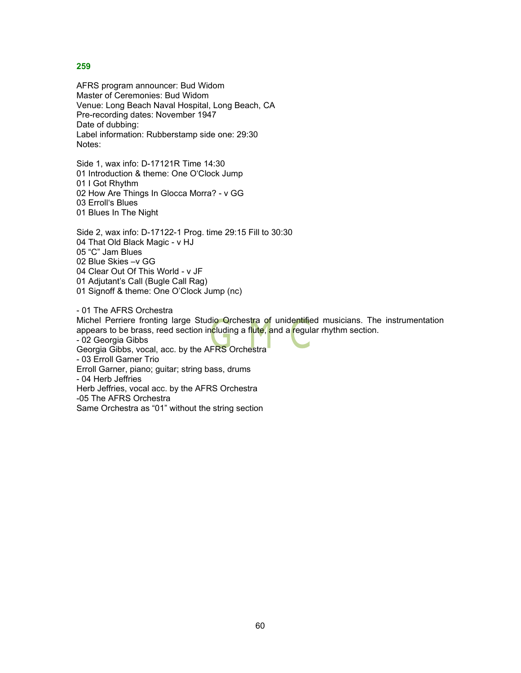AFRS program announcer: Bud Widom Master of Ceremonies: Bud Widom Venue: Long Beach Naval Hospital, Long Beach, CA Pre-recording dates: November 1947 Date of dubbing: Label information: Rubberstamp side one: 29:30 Notes:

Side 1, wax info: D-17121R Time 14:30 01 Introduction & theme: One O'Clock Jump 01 I Got Rhythm 02 How Are Things In Glocca Morra? - v GG 03 Erroll's Blues 01 Blues In The Night

Side 2, wax info: D-17122-1 Prog. time 29:15 Fill to 30:30 04 That Old Black Magic - v HJ 05 "C" Jam Blues 02 Blue Skies –v GG 04 Clear Out Of This World - v JF 01 Adjutant's Call (Bugle Call Rag) 01 Signoff & theme: One O'Clock Jump (nc)

- 01 The AFRS Orchestra

Michel Perriere fronting large Studio Orchestra of unidentified musicians. The instrumentation appears to be brass, reed section including a flute, and a regular rhythm section.

- 02 Georgia Gibbs Georgia Gibbs, vocal, acc. by the AFRS Orchestra - 03 Erroll Garner Trio Erroll Garner, piano; guitar; string bass, drums - 04 Herb Jeffries Herb Jeffries, vocal acc. by the AFRS Orchestra -05 The AFRS Orchestra

Same Orchestra as "01" without the string section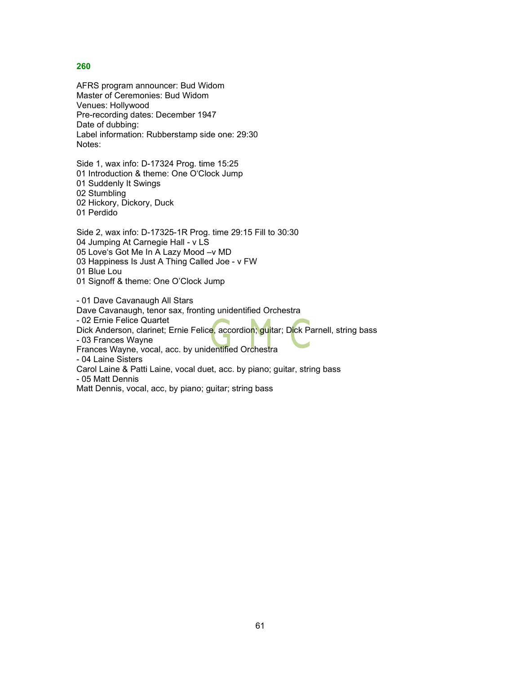AFRS program announcer: Bud Widom Master of Ceremonies: Bud Widom Venues: Hollywood Pre-recording dates: December 1947 Date of dubbing: Label information: Rubberstamp side one: 29:30 Notes:

Side 1, wax info: D-17324 Prog. time 15:25 01 Introduction & theme: One O'Clock Jump 01 Suddenly It Swings 02 Stumbling 02 Hickory, Dickory, Duck 01 Perdido

Side 2, wax info: D-17325-1R Prog. time 29:15 Fill to 30:30 04 Jumping At Carnegie Hall - v LS 05 Love's Got Me In A Lazy Mood –v MD 03 Happiness Is Just A Thing Called Joe - v FW 01 Blue Lou

01 Signoff & theme: One O'Clock Jump

- 01 Dave Cavanaugh All Stars Dave Cavanaugh, tenor sax, fronting unidentified Orchestra - 02 Ernie Felice Quartet Dick Anderson, clarinet; Ernie Felice, accordion; guitar; Dick Parnell, string bass - 03 Frances Wayne Frances Wayne, vocal, acc. by unidentified Orchestra - 04 Laine Sisters Carol Laine & Patti Laine, vocal duet, acc. by piano; guitar, string bass - 05 Matt Dennis Matt Dennis, vocal, acc, by piano; guitar; string bass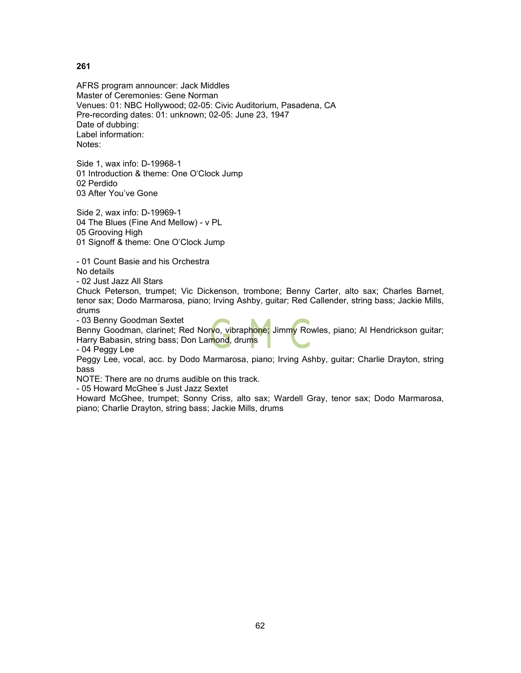AFRS program announcer: Jack Middles Master of Ceremonies: Gene Norman Venues: 01: NBC Hollywood; 02-05: Civic Auditorium, Pasadena, CA Pre-recording dates: 01: unknown; 02-05: June 23, 1947 Date of dubbing: Label information: Notes:

Side 1, wax info: D-19968-1 01 Introduction & theme: One O'Clock Jump 02 Perdido 03 After You've Gone

Side 2, wax info: D-19969-1 04 The Blues (Fine And Mellow) - v PL 05 Grooving High 01 Signoff & theme: One O'Clock Jump

- 01 Count Basie and his Orchestra

No details

- 02 Just Jazz All Stars

Chuck Peterson, trumpet; Vic Dickenson, trombone; Benny Carter, alto sax; Charles Barnet, tenor sax; Dodo Marmarosa, piano; Irving Ashby, guitar; Red Callender, string bass; Jackie Mills, drums

- 03 Benny Goodman Sextet

Benny Goodman, clarinet; Red Norvo, vibraphone; Jimmy Rowles, piano; Al Hendrickson guitar; Harry Babasin, string bass; Don Lamond, drums

- 04 Peggy Lee

Peggy Lee, vocal, acc. by Dodo Marmarosa, piano; Irving Ashby, guitar; Charlie Drayton, string bass

NOTE: There are no drums audible on this track.

- 05 Howard McGhee ́s Just Jazz Sextet

Howard McGhee, trumpet; Sonny Criss, alto sax; Wardell Gray, tenor sax; Dodo Marmarosa, piano; Charlie Drayton, string bass; Jackie Mills, drums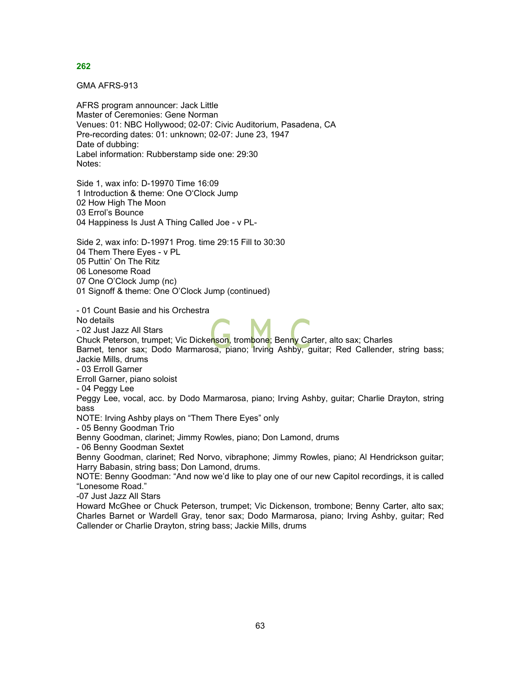GMA AFRS-913

AFRS program announcer: Jack Little Master of Ceremonies: Gene Norman Venues: 01: NBC Hollywood; 02-07: Civic Auditorium, Pasadena, CA Pre-recording dates: 01: unknown; 02-07: June 23, 1947 Date of dubbing: Label information: Rubberstamp side one: 29:30 Notes:

Side 1, wax info: D-19970 Time 16:09 1 Introduction & theme: One O'Clock Jump 02 How High The Moon 03 Errol's Bounce 04 Happiness Is Just A Thing Called Joe - v PL-

Side 2, wax info: D-19971 Prog. time 29:15 Fill to 30:30 04 Them There Eyes - v PL 05 Puttin' On The Ritz 06 Lonesome Road 07 One O'Clock Jump (nc) 01 Signoff & theme: One O'Clock Jump (continued)

- 01 Count Basie and his Orchestra

No details

- 02 Just Jazz All Stars

Chuck Peterson, trumpet; Vic Dickenson, trombone; Benny Carter, alto sax; Charles Barnet, tenor sax; Dodo Marmarosa, piano; Irving Ashby, guitar; Red Callender, string bass; Jackie Mills, drums

- 03 Erroll Garner

Erroll Garner, piano soloist

- 04 Peggy Lee

Peggy Lee, vocal, acc. by Dodo Marmarosa, piano; Irving Ashby, guitar; Charlie Drayton, string bass

NOTE: Irving Ashby plays on "Them There Eyes" only

- 05 Benny Goodman Trio

Benny Goodman, clarinet; Jimmy Rowles, piano; Don Lamond, drums

- 06 Benny Goodman Sextet

Benny Goodman, clarinet; Red Norvo, vibraphone; Jimmy Rowles, piano; Al Hendrickson guitar; Harry Babasin, string bass; Don Lamond, drums.

NOTE: Benny Goodman: "And now we'd like to play one of our new Capitol recordings, it is called "Lonesome Road."

-07 Just Jazz All Stars

Howard McGhee or Chuck Peterson, trumpet; Vic Dickenson, trombone; Benny Carter, alto sax; Charles Barnet or Wardell Gray, tenor sax; Dodo Marmarosa, piano; Irving Ashby, guitar; Red Callender or Charlie Drayton, string bass; Jackie Mills, drums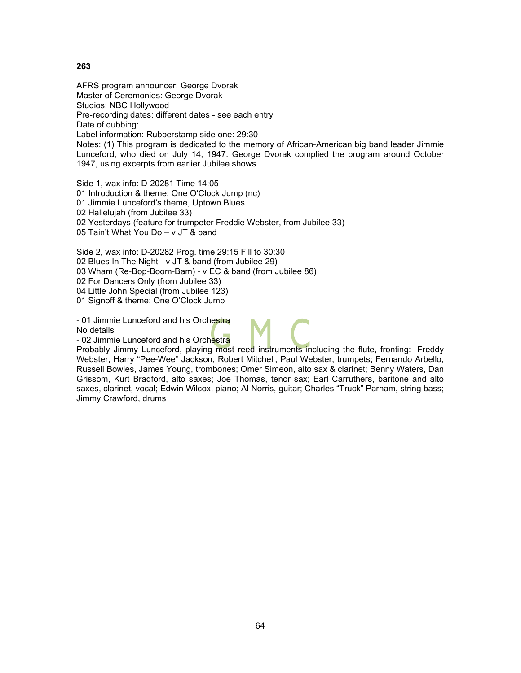AFRS program announcer: George Dvorak Master of Ceremonies: George Dvorak Studios: NBC Hollywood Pre-recording dates: different dates - see each entry Date of dubbing: Label information: Rubberstamp side one: 29:30 Notes: (1) This program is dedicated to the memory of African-American big band leader Jimmie Lunceford, who died on July 14, 1947. George Dvorak complied the program around October 1947, using excerpts from earlier Jubilee shows.

Side 1, wax info: D-20281 Time 14:05 01 Introduction & theme: One O'Clock Jump (nc) 01 Jimmie Lunceford's theme, Uptown Blues 02 Hallelujah (from Jubilee 33) 02 Yesterdays (feature for trumpeter Freddie Webster, from Jubilee 33) 05 Tain't What You Do – v JT & band

Side 2, wax info: D-20282 Prog. time 29:15 Fill to 30:30 02 Blues In The Night - v JT & band (from Jubilee 29) 03 Wham (Re-Bop-Boom-Bam) - v EC & band (from Jubilee 86) 02 For Dancers Only (from Jubilee 33) 04 Little John Special (from Jubilee 123) 01 Signoff & theme: One O'Clock Jump

- 01 Jimmie Lunceford and his Orchestra No details

- 02 Jimmie Lunceford and his Orchestra

Probably Jimmy Lunceford, playing most reed instruments including the flute, fronting:- Freddy Webster, Harry "Pee-Wee" Jackson, Robert Mitchell, Paul Webster, trumpets; Fernando Arbello, Russell Bowles, James Young, trombones; Omer Simeon, alto sax & clarinet; Benny Waters, Dan Grissom, Kurt Bradford, alto saxes; Joe Thomas, tenor sax; Earl Carruthers, baritone and alto saxes, clarinet, vocal; Edwin Wilcox, piano; Al Norris, guitar; Charles "Truck" Parham, string bass; Jimmy Crawford, drums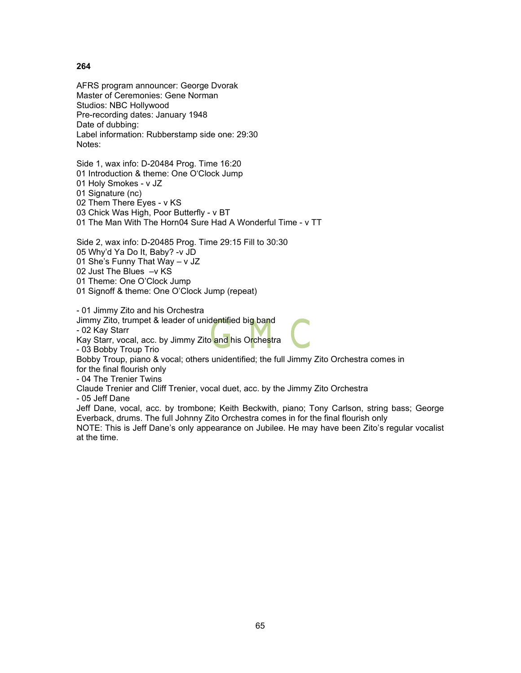AFRS program announcer: George Dvorak Master of Ceremonies: Gene Norman Studios: NBC Hollywood Pre-recording dates: January 1948 Date of dubbing: Label information: Rubberstamp side one: 29:30 Notes:

Side 1, wax info: D-20484 Prog. Time 16:20 01 Introduction & theme: One O'Clock Jump 01 Holy Smokes - v JZ 01 Signature (nc) 02 Them There Eyes - v KS 03 Chick Was High, Poor Butterfly - v BT 01 The Man With The Horn04 Sure Had A Wonderful Time - v TT

Side 2, wax info: D-20485 Prog. Time 29:15 Fill to 30:30 05 Why'd Ya Do It, Baby? -v JD 01 She's Funny That Way – v JZ 02 Just The Blues –v KS 01 Theme: One O'Clock Jump 01 Signoff & theme: One O'Clock Jump (repeat)

- 01 Jimmy Zito and his Orchestra

Jimmy Zito, trumpet & leader of unidentified big band

- 02 Kay Starr

Kay Starr, vocal, acc. by Jimmy Zito and his Orchestra

- 03 Bobby Troup Trio

Bobby Troup, piano & vocal; others unidentified; the full Jimmy Zito Orchestra comes in for the final flourish only

- 04 The Trenier Twins

Claude Trenier and Cliff Trenier, vocal duet, acc. by the Jimmy Zito Orchestra

- 05 Jeff Dane

Jeff Dane, vocal, acc. by trombone; Keith Beckwith, piano; Tony Carlson, string bass; George Everback, drums. The full Johnny Zito Orchestra comes in for the final flourish only

NOTE: This is Jeff Dane's only appearance on Jubilee. He may have been Zito's regular vocalist at the time.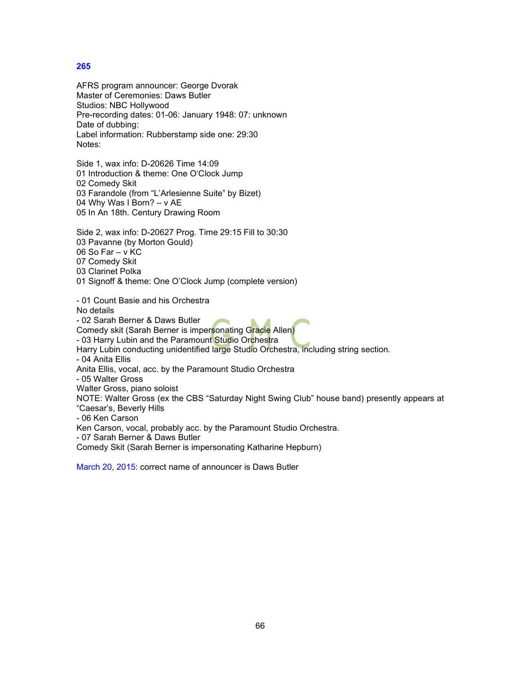AFRS program announcer: George Dvorak Master of Ceremonies: Daws Butler Studios: NBC Hollywood Pre-recording dates: 01-06: January 1948: 07: unknown Date of dubbing: Label information: Rubberstamp side one: 29:30 Notes:

Side 1, wax info: D-20626 Time 14:09 01 Introduction & theme: One O'Clock Jump 02 Comedy Skit 03 Farandole (from "L'Arlesienne Suite" by Bizet) 04 Why Was I Born? – v AE 05 In An 18th. Century Drawing Room

Side 2, wax info: D-20627 Prog. Time 29:15 Fill to 30:30 03 Pavanne (by Morton Gould) 06 So Far – v KC 07 Comedy Skit 03 Clarinet Polka

01 Signoff & theme: One O'Clock Jump (complete version)

- 01 Count Basie and his Orchestra No details - 02 Sarah Berner & Daws Butler Comedy skit (Sarah Berner is impersonating Gracie Allen) - 03 Harry Lubin and the Paramount Studio Orchestra Harry Lubin conducting unidentified large Studio Orchestra, including string section. - 04 Anita Ellis Anita Ellis, vocal, acc. by the Paramount Studio Orchestra - 05 Walter Gross Walter Gross, piano soloist NOTE: Walter Gross (ex the CBS "Saturday Night Swing Club" house band) presently appears at "Caesar's, Beverly Hills - 06 Ken Carson Ken Carson, vocal, probably acc. by the Paramount Studio Orchestra. - 07 Sarah Berner & Daws Butler Comedy Skit (Sarah Berner is impersonating Katharine Hepburn)

March 20, 2015: correct name of announcer is Daws Butler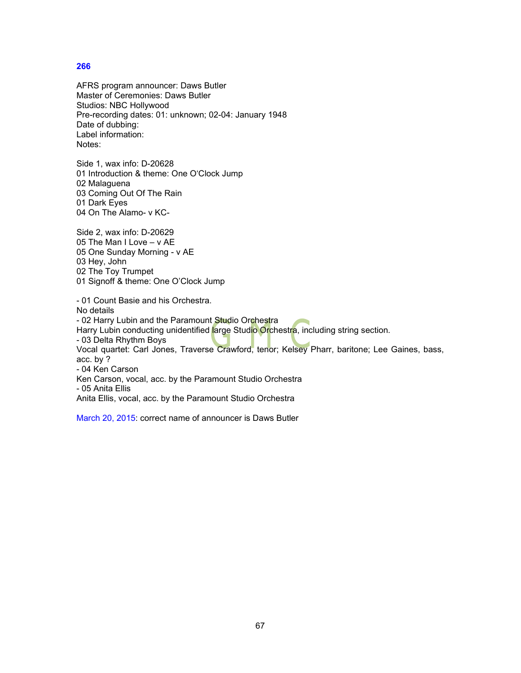AFRS program announcer: Daws Butler Master of Ceremonies: Daws Butler Studios: NBC Hollywood Pre-recording dates: 01: unknown; 02-04: January 1948 Date of dubbing: Label information: Notes:

Side 1, wax info: D-20628 01 Introduction & theme: One O'Clock Jump 02 Malaguena 03 Coming Out Of The Rain 01 Dark Eyes 04 On The Alamo- v KC-

Side 2, wax info: D-20629 05 The Man I Love – v AE 05 One Sunday Morning - v AE 03 Hey, John 02 The Toy Trumpet 01 Signoff & theme: One O'Clock Jump

- 01 Count Basie and his Orchestra. No details - 02 Harry Lubin and the Paramount Studio Orchestra Harry Lubin conducting unidentified large Studio Orchestra, including string section. - 03 Delta Rhythm Boys Vocal quartet: Carl Jones, Traverse Crawford, tenor; Kelsey Pharr, baritone; Lee Gaines, bass, acc. by ? - 04 Ken Carson Ken Carson, vocal, acc. by the Paramount Studio Orchestra - 05 Anita Ellis Anita Ellis, vocal, acc. by the Paramount Studio Orchestra

March 20, 2015: correct name of announcer is Daws Butler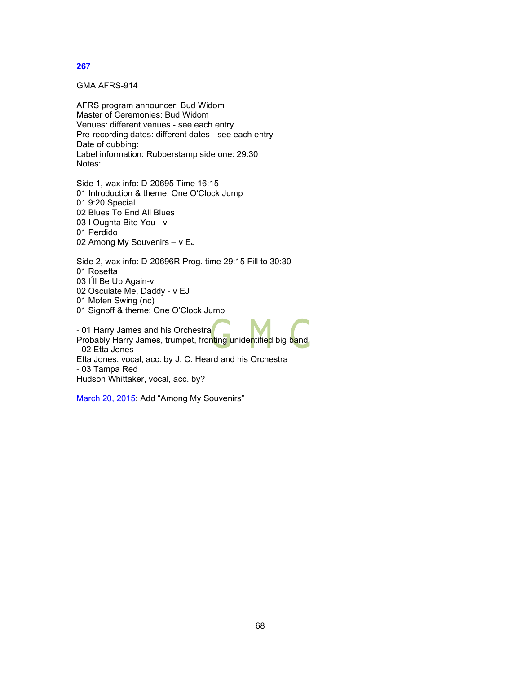GMA AFRS-914

AFRS program announcer: Bud Widom Master of Ceremonies: Bud Widom Venues: different venues - see each entry Pre-recording dates: different dates - see each entry Date of dubbing: Label information: Rubberstamp side one: 29:30 Notes:

Side 1, wax info: D-20695 Time 16:15 01 Introduction & theme: One O'Clock Jump 01 9:20 Special 02 Blues To End All Blues 03 I Oughta Bite You - v 01 Perdido 02 Among My Souvenirs – v EJ

Side 2, wax info: D-20696R Prog. time 29:15 Fill to 30:30 01 Rosetta 03 I'll Be Up Again-v 02 Osculate Me, Daddy - v EJ 01 Moten Swing (nc) 01 Signoff & theme: One O'Clock Jump

- 01 Harry James and his Orchestra Probably Harry James, trumpet, fronting unidentified big band - 02 Etta Jones Etta Jones, vocal, acc. by J. C. Heard and his Orchestra - 03 Tampa Red Hudson Whittaker, vocal, acc. by?

March 20, 2015: Add "Among My Souvenirs"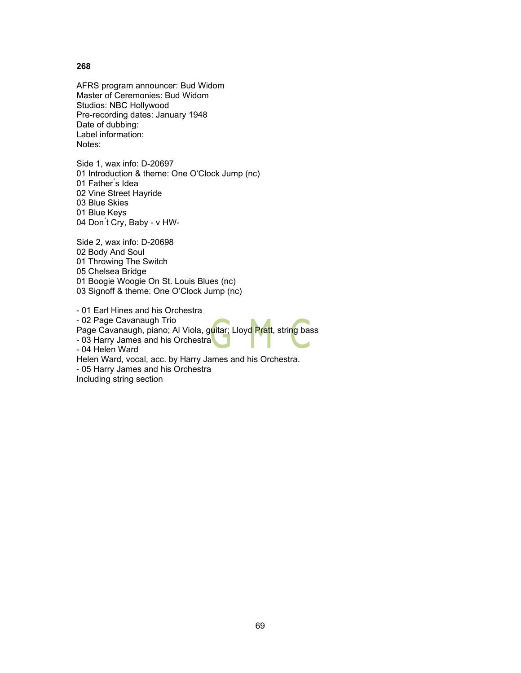AFRS program announcer: Bud Widom Master of Ceremonies: Bud Widom Studios: NBC Hollywood Pre-recording dates: January 1948 Date of dubbing: Label information: Notes:

Side 1, wax info: D-20697 01 Introduction & theme: One O'Clock Jump (nc) 01 Father<sup>'</sup>s Idea 02 Vine Street Hayride 03 Blue Skies 01 Blue Keys 04 Don ́t Cry, Baby - v HW-

Side 2, wax info: D-20698 02 Body And Soul 01 Throwing The Switch 05 Chelsea Bridge 01 Boogie Woogie On St. Louis Blues (nc) 03 Signoff & theme: One O'Clock Jump (nc)

- 01 Earl Hines and his Orchestra - 02 Page Cavanaugh Trio Page Cavanaugh, piano; Al Viola, guitar; Lloyd Pratt, string bass - 03 Harry James and his Orchestra - 04 Helen Ward Helen Ward, vocal, acc. by Harry James and his Orchestra. - 05 Harry James and his Orchestra Including string section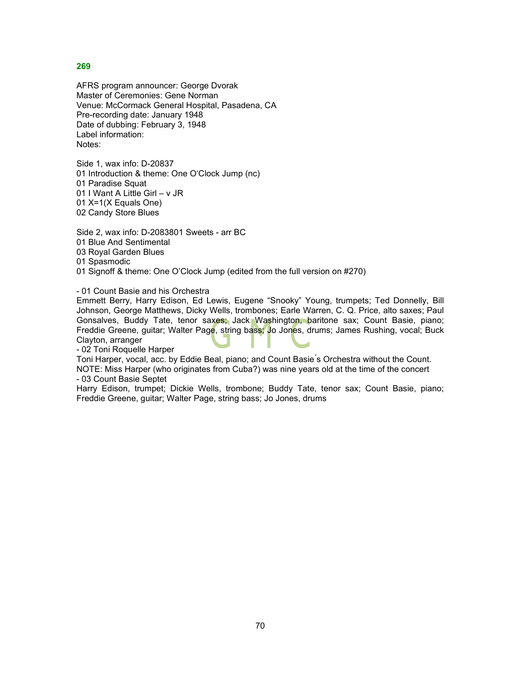AFRS program announcer: George Dvorak Master of Ceremonies: Gene Norman Venue: McCormack General Hospital, Pasadena, CA Pre-recording date: January 1948 Date of dubbing: February 3, 1948 Label information: Notes:

Side 1, wax info: D-20837 01 Introduction & theme: One O'Clock Jump (nc) 01 Paradise Squat 01 I Want A Little Girl – v JR 01 X=1(X Equals One) 02 Candy Store Blues

Side 2, wax info: D-2083801 Sweets - arr BC 01 Blue And Sentimental 03 Royal Garden Blues 01 Spasmodic 01 Signoff & theme: One O'Clock Jump (edited from the full version on #270)

- 01 Count Basie and his Orchestra

Emmett Berry, Harry Edison, Ed Lewis, Eugene "Snooky" Young, trumpets; Ted Donnelly, Bill Johnson, George Matthews, Dicky Wells, trombones; Earle Warren, C. Q. Price, alto saxes; Paul Gonsalves, Buddy Tate, tenor saxes; Jack Washington, baritone sax; Count Basie, piano; Freddie Greene, guitar; Walter Page, string bass; Jo Jones, drums; James Rushing, vocal; Buck Clayton, arranger

- 02 Toni Roquelle Harper

Toni Harper, vocal, acc. by Eddie Beal, piano; and Count Basie ́s Orchestra without the Count. NOTE: Miss Harper (who originates from Cuba?) was nine years old at the time of the concert - 03 Count Basie Septet

Harry Edison, trumpet; Dickie Wells, trombone; Buddy Tate, tenor sax; Count Basie, piano; Freddie Greene, guitar; Walter Page, string bass; Jo Jones, drums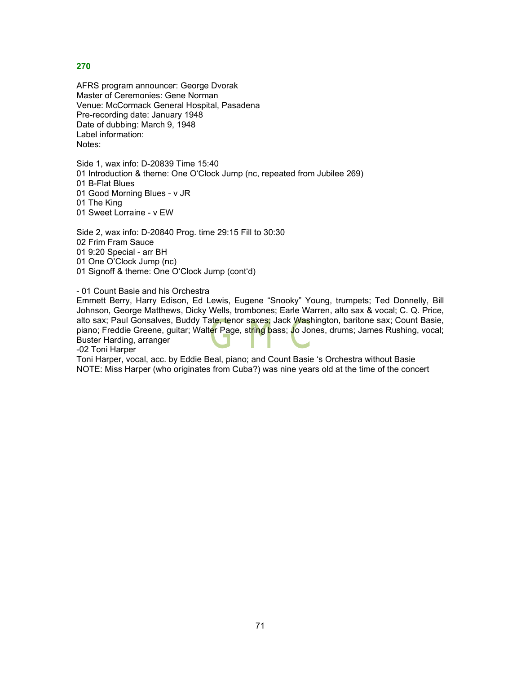AFRS program announcer: George Dvorak Master of Ceremonies: Gene Norman Venue: McCormack General Hospital, Pasadena Pre-recording date: January 1948 Date of dubbing: March 9, 1948 Label information: Notes:

Side 1, wax info: D-20839 Time 15:40 01 Introduction & theme: One O'Clock Jump (nc, repeated from Jubilee 269) 01 B-Flat Blues

01 Good Morning Blues - v JR

01 The King

01 Sweet Lorraine - v EW

Side 2, wax info: D-20840 Prog. time 29:15 Fill to 30:30 02 Frim Fram Sauce 01 9:20 Special - arr BH 01 One O'Clock Jump (nc) 01 Signoff & theme: One O'Clock Jump (cont'd)

- 01 Count Basie and his Orchestra

Emmett Berry, Harry Edison, Ed Lewis, Eugene "Snooky" Young, trumpets; Ted Donnelly, Bill Johnson, George Matthews, Dicky Wells, trombones; Earle Warren, alto sax & vocal; C. Q. Price, alto sax; Paul Gonsalves, Buddy Tate, tenor saxes; Jack Washington, baritone sax; Count Basie, piano; Freddie Greene, guitar; Walter Page, string bass; Jo Jones, drums; James Rushing, vocal; Buster Harding, arranger

-02 Toni Harper

Toni Harper, vocal, acc. by Eddie Beal, piano; and Count Basie 's Orchestra without Basie NOTE: Miss Harper (who originates from Cuba?) was nine years old at the time of the concert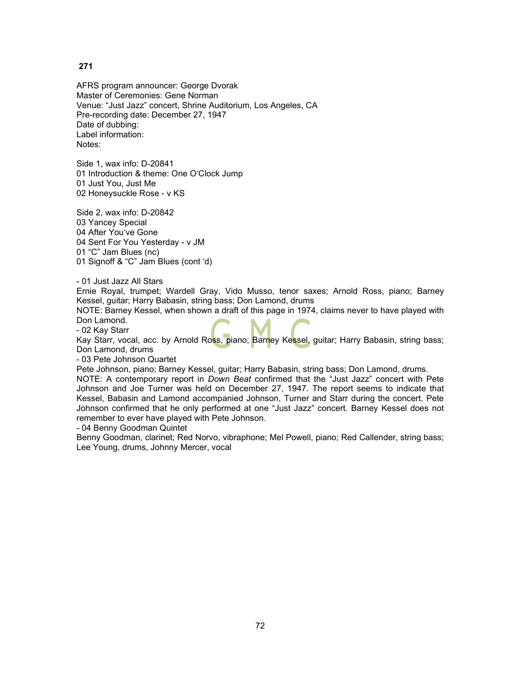AFRS program announcer: George Dvorak Master of Ceremonies: Gene Norman Venue: "Just Jazz" concert, Shrine Auditorium, Los Angeles, CA Pre-recording date: December 27, 1947 Date of dubbing: Label information: Notes:

Side 1, wax info: D-20841 01 Introduction & theme: One O'Clock Jump 01 Just You, Just Me 02 Honeysuckle Rose - v KS

Side 2, wax info: D-20842 03 Yancey Special 04 After You've Gone 04 Sent For You Yesterday - v JM 01 "C" Jam Blues (nc) 01 Signoff & "C" Jam Blues (cont 'd)

- 01 Just Jazz All Stars

Ernie Royal, trumpet; Wardell Gray, Vido Musso, tenor saxes; Arnold Ross, piano; Barney Kessel, guitar; Harry Babasin, string bass; Don Lamond, drums

NOTE: Barney Kessel, when shown a draft of this page in 1974, claims never to have played with Don Lamond.

- 02 Kay Starr

Kay Starr, vocal, acc. by Arnold Ross, piano; Barney Kessel, guitar; Harry Babasin, string bass; Don Lamond, drums

- 03 Pete Johnson Quartet

Pete Johnson, piano; Barney Kessel, guitar; Harry Babasin, string bass; Don Lamond, drums.

NOTE: A contemporary report in *Down Beat* confirmed that the "Just Jazz" concert with Pete Johnson and Joe Turner was held on December 27, 1947. The report seems to indicate that Kessel, Babasin and Lamond accompanied Johnson, Turner and Starr during the concert. Pete Johnson confirmed that he only performed at one "Just Jazz" concert. Barney Kessel does not remember to ever have played with Pete Johnson.

- 04 Benny Goodman Quintet

Benny Goodman, clarinet; Red Norvo, vibraphone; Mel Powell, piano; Red Callender, string bass; Lee Young, drums, Johnny Mercer, vocal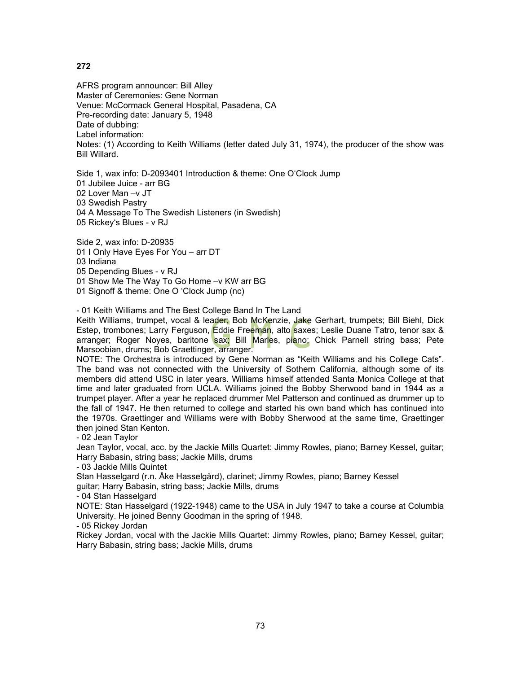AFRS program announcer: Bill Alley Master of Ceremonies: Gene Norman Venue: McCormack General Hospital, Pasadena, CA Pre-recording date: January 5, 1948 Date of dubbing: Label information: Notes: (1) According to Keith Williams (letter dated July 31, 1974), the producer of the show was Bill Willard.

Side 1, wax info: D-2093401 Introduction & theme: One O'Clock Jump 01 Jubilee Juice - arr BG 02 Lover Man –v JT 03 Swedish Pastry 04 A Message To The Swedish Listeners (in Swedish) 05 Rickey's Blues - v RJ

Side 2, wax info: D-20935 01 I Only Have Eyes For You – arr DT 03 Indiana 05 Depending Blues - v RJ 01 Show Me The Way To Go Home –v KW arr BG 01 Signoff & theme: One O 'Clock Jump (nc)

- 01 Keith Williams and The Best College Band In The Land

Keith Williams, trumpet, vocal & leader; Bob McKenzie, Jake Gerhart, trumpets; Bill Biehl, Dick Estep, trombones; Larry Ferguson, Eddie Freeman, alto saxes; Leslie Duane Tatro, tenor sax & arranger; Roger Noyes, baritone sax; Bill Marles, piano; Chick Parnell string bass; Pete Marsoobian, drums; Bob Graettinger, arranger.

NOTE: The Orchestra is introduced by Gene Norman as "Keith Williams and his College Cats". The band was not connected with the University of Sothern California, although some of its members did attend USC in later years. Williams himself attended Santa Monica College at that time and later graduated from UCLA. Williams joined the Bobby Sherwood band in 1944 as a trumpet player. After a year he replaced drummer Mel Patterson and continued as drummer up to the fall of 1947. He then returned to college and started his own band which has continued into the 1970s. Graettinger and Williams were with Bobby Sherwood at the same time, Graettinger then joined Stan Kenton.

- 02 Jean Taylor

Jean Taylor, vocal, acc. by the Jackie Mills Quartet: Jimmy Rowles, piano; Barney Kessel, guitar; Harry Babasin, string bass; Jackie Mills, drums

- 03 Jackie Mills Quintet

Stan Hasselgard (r.n. Åke Hasselgård), clarinet; Jimmy Rowles, piano; Barney Kessel guitar; Harry Babasin, string bass; Jackie Mills, drums

- 04 Stan Hasselgard

NOTE: Stan Hasselgard (1922-1948) came to the USA in July 1947 to take a course at Columbia University. He joined Benny Goodman in the spring of 1948.

- 05 Rickey Jordan

Rickey Jordan, vocal with the Jackie Mills Quartet: Jimmy Rowles, piano; Barney Kessel, guitar; Harry Babasin, string bass; Jackie Mills, drums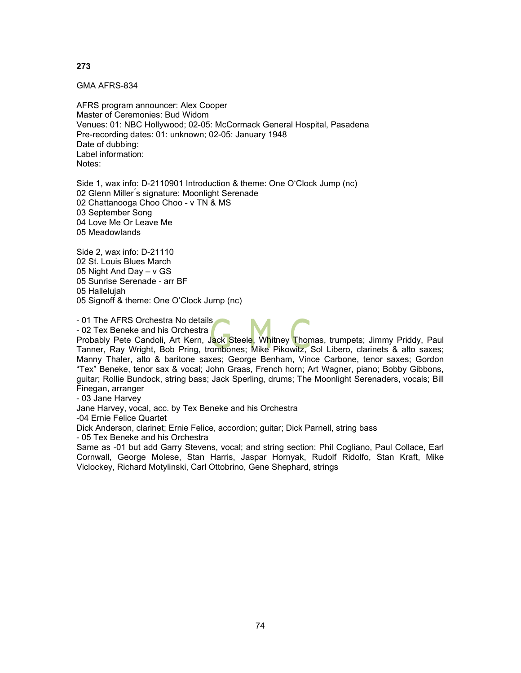GMA AFRS-834

AFRS program announcer: Alex Cooper Master of Ceremonies: Bud Widom Venues: 01: NBC Hollywood; 02-05: McCormack General Hospital, Pasadena Pre-recording dates: 01: unknown; 02-05: January 1948 Date of dubbing: Label information: Notes:

Side 1, wax info: D-2110901 Introduction & theme: One O'Clock Jump (nc) 02 Glenn Miller's signature: Moonlight Serenade 02 Chattanooga Choo Choo - v TN & MS 03 September Song 04 Love Me Or Leave Me 05 Meadowlands

Side 2, wax info: D-21110 02 St. Louis Blues March 05 Night And Day – v GS 05 Sunrise Serenade - arr BF 05 Hallelujah 05 Signoff & theme: One O'Clock Jump (nc)

- 01 The AFRS Orchestra No details

- 02 Tex Beneke and his Orchestra

Probably Pete Candoli, Art Kern, Jack Steele, Whitney Thomas, trumpets; Jimmy Priddy, Paul Tanner, Ray Wright, Bob Pring, trombones; Mike Pikowitz, Sol Libero, clarinets & alto saxes; Manny Thaler, alto & baritone saxes; George Benham, Vince Carbone, tenor saxes; Gordon "Tex" Beneke, tenor sax & vocal; John Graas, French horn; Art Wagner, piano; Bobby Gibbons, guitar; Rollie Bundock, string bass; Jack Sperling, drums; The Moonlight Serenaders, vocals; Bill Finegan, arranger

- 03 Jane Harvey

Jane Harvey, vocal, acc. by Tex Beneke and his Orchestra

-04 Ernie Felice Quartet

Dick Anderson, clarinet; Ernie Felice, accordion; guitar; Dick Parnell, string bass

- 05 Tex Beneke and his Orchestra

Same as -01 but add Garry Stevens, vocal; and string section: Phil Cogliano, Paul Collace, Earl Cornwall, George Molese, Stan Harris, Jaspar Hornyak, Rudolf Ridolfo, Stan Kraft, Mike Viclockey, Richard Motylinski, Carl Ottobrino, Gene Shephard, strings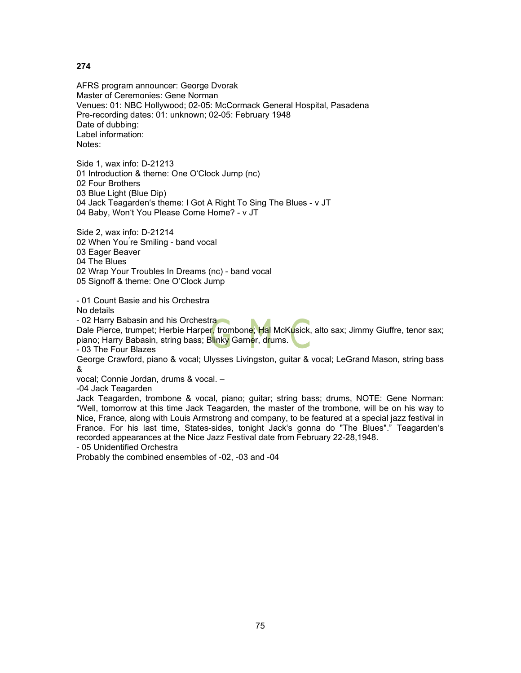AFRS program announcer: George Dvorak Master of Ceremonies: Gene Norman Venues: 01: NBC Hollywood; 02-05: McCormack General Hospital, Pasadena Pre-recording dates: 01: unknown; 02-05: February 1948 Date of dubbing: Label information: Notes:

Side 1, wax info: D-21213 01 Introduction & theme: One O'Clock Jump (nc) 02 Four Brothers 03 Blue Light (Blue Dip) 04 Jack Teagarden's theme: I Got A Right To Sing The Blues - v JT 04 Baby, Won't You Please Come Home? - v JT

Side 2, wax info: D-21214 02 When You ́re Smiling - band vocal 03 Eager Beaver 04 The Blues 02 Wrap Your Troubles In Dreams (nc) - band vocal 05 Signoff & theme: One O'Clock Jump

- 01 Count Basie and his Orchestra No details

- 02 Harry Babasin and his Orchestra

Dale Pierce, trumpet; Herbie Harper, trombone; Hal McKusick, alto sax; Jimmy Giuffre, tenor sax; piano; Harry Babasin, string bass; Blinky Garner, drums.

- 03 The Four Blazes

George Crawford, piano & vocal; Ulysses Livingston, guitar & vocal; LeGrand Mason, string bass &

vocal; Connie Jordan, drums & vocal. –

-04 Jack Teagarden

Jack Teagarden, trombone & vocal, piano; guitar; string bass; drums, NOTE: Gene Norman: "Well, tomorrow at this time Jack Teagarden, the master of the trombone, will be on his way to Nice, France, along with Louis Armstrong and company, to be featured at a special jazz festival in France. For his last time, States-sides, tonight Jack's gonna do "The Blues"." Teagarden's recorded appearances at the Nice Jazz Festival date from February 22-28,1948.

- 05 Unidentified Orchestra

Probably the combined ensembles of -02, -03 and -04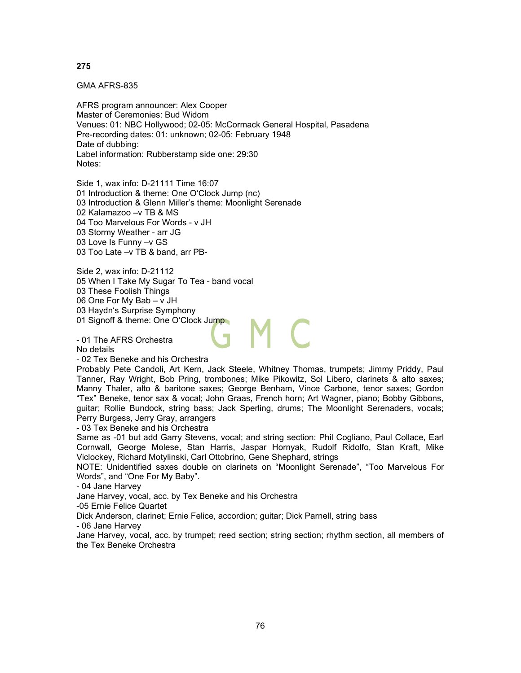GMA AFRS-835

AFRS program announcer: Alex Cooper Master of Ceremonies: Bud Widom Venues: 01: NBC Hollywood; 02-05: McCormack General Hospital, Pasadena Pre-recording dates: 01: unknown; 02-05: February 1948 Date of dubbing: Label information: Rubberstamp side one: 29:30 Notes:

Side 1, wax info: D-21111 Time 16:07 01 Introduction & theme: One O'Clock Jump (nc) 03 Introduction & Glenn Miller's theme: Moonlight Serenade 02 Kalamazoo –v TB & MS 04 Too Marvelous For Words - v JH 03 Stormy Weather - arr JG 03 Love Is Funny –v GS 03 Too Late –v TB & band, arr PB-

Side 2, wax info: D-21112 05 When I Take My Sugar To Tea - band vocal 03 These Foolish Things 06 One For My Bab – v JH 03 Haydn's Surprise Symphony 01 Signoff & theme: One O'Clock Jump

- 01 The AFRS Orchestra No details

- 02 Tex Beneke and his Orchestra

Probably Pete Candoli, Art Kern, Jack Steele, Whitney Thomas, trumpets; Jimmy Priddy, Paul Tanner, Ray Wright, Bob Pring, trombones; Mike Pikowitz, Sol Libero, clarinets & alto saxes; Manny Thaler, alto & baritone saxes; George Benham, Vince Carbone, tenor saxes; Gordon "Tex" Beneke, tenor sax & vocal; John Graas, French horn; Art Wagner, piano; Bobby Gibbons, guitar; Rollie Bundock, string bass; Jack Sperling, drums; The Moonlight Serenaders, vocals; Perry Burgess, Jerry Gray, arrangers

- 03 Tex Beneke and his Orchestra

Same as -01 but add Garry Stevens, vocal; and string section: Phil Cogliano, Paul Collace, Earl Cornwall, George Molese, Stan Harris, Jaspar Hornyak, Rudolf Ridolfo, Stan Kraft, Mike Viclockey, Richard Motylinski, Carl Ottobrino, Gene Shephard, strings

NOTE: Unidentified saxes double on clarinets on "Moonlight Serenade", "Too Marvelous For Words", and "One For My Baby".

- 04 Jane Harvey

Jane Harvey, vocal, acc. by Tex Beneke and his Orchestra

-05 Ernie Felice Quartet

Dick Anderson, clarinet; Ernie Felice, accordion; guitar; Dick Parnell, string bass

- 06 Jane Harvey

Jane Harvey, vocal, acc. by trumpet; reed section; string section; rhythm section, all members of the Tex Beneke Orchestra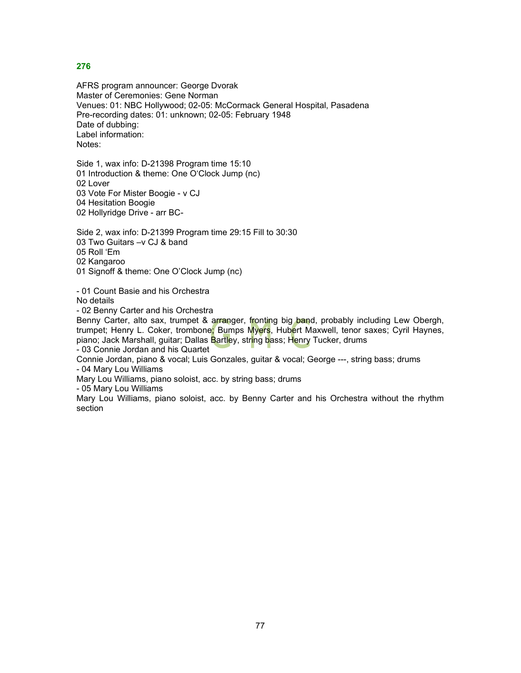AFRS program announcer: George Dvorak Master of Ceremonies: Gene Norman Venues: 01: NBC Hollywood; 02-05: McCormack General Hospital, Pasadena Pre-recording dates: 01: unknown; 02-05: February 1948 Date of dubbing: Label information: Notes:

Side 1, wax info: D-21398 Program time 15:10 01 Introduction & theme: One O'Clock Jump (nc) 02 Lover 03 Vote For Mister Boogie - v CJ 04 Hesitation Boogie 02 Hollyridge Drive - arr BC-

Side 2, wax info: D-21399 Program time 29:15 Fill to 30:30 03 Two Guitars –v CJ & band 05 Roll 'Em 02 Kangaroo 01 Signoff & theme: One O'Clock Jump (nc)

- 01 Count Basie and his Orchestra No details

- 02 Benny Carter and his Orchestra

Benny Carter, alto sax, trumpet & arranger, fronting big band, probably including Lew Obergh, trumpet; Henry L. Coker, trombone; Bumps Myers, Hubert Maxwell, tenor saxes; Cyril Haynes, piano; Jack Marshall, guitar; Dallas Bartley, string bass; Henry Tucker, drums - 03 Connie Jordan and his Quartet

Connie Jordan, piano & vocal; Luis Gonzales, guitar & vocal; George ---, string bass; drums - 04 Mary Lou Williams

Mary Lou Williams, piano soloist, acc. by string bass; drums

- 05 Mary Lou Williams

Mary Lou Williams, piano soloist, acc. by Benny Carter and his Orchestra without the rhythm section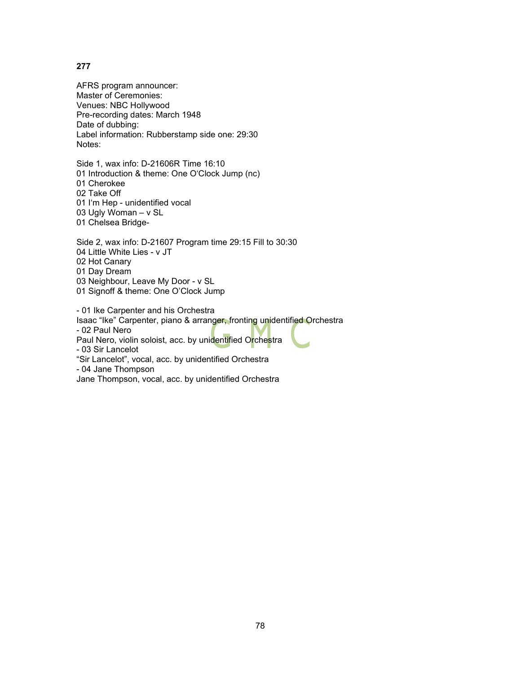AFRS program announcer: Master of Ceremonies: Venues: NBC Hollywood Pre-recording dates: March 1948 Date of dubbing: Label information: Rubberstamp side one: 29:30 Notes:

Side 1, wax info: D-21606R Time 16:10 01 Introduction & theme: One O'Clock Jump (nc) 01 Cherokee 02 Take Off 01 I'm Hep - unidentified vocal 03 Ugly Woman – v SL 01 Chelsea Bridge-

Side 2, wax info: D-21607 Program time 29:15 Fill to 30:30 04 Little White Lies - v JT 02 Hot Canary 01 Day Dream 03 Neighbour, Leave My Door - v SL 01 Signoff & theme: One O'Clock Jump

- 01 Ike Carpenter and his Orchestra Isaac "Ike" Carpenter, piano & arranger, fronting unidentified Orchestra - 02 Paul Nero Paul Nero, violin soloist, acc. by unidentified Orchestra - 03 Sir Lancelot "Sir Lancelot", vocal, acc. by unidentified Orchestra - 04 Jane Thompson Jane Thompson, vocal, acc. by unidentified Orchestra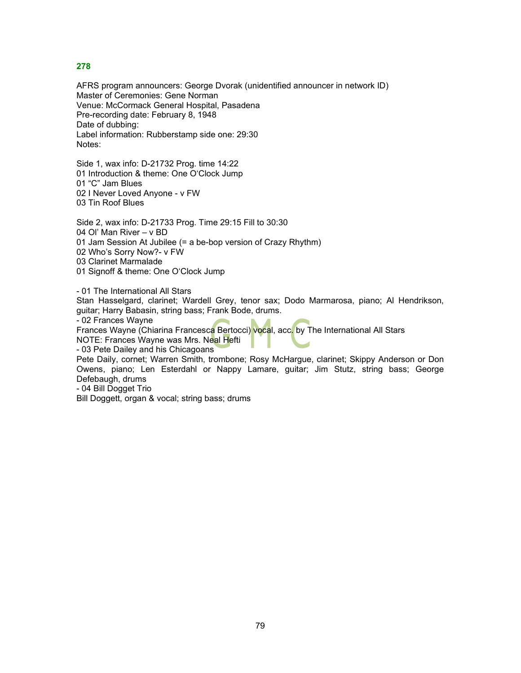AFRS program announcers: George Dvorak (unidentified announcer in network ID) Master of Ceremonies: Gene Norman Venue: McCormack General Hospital, Pasadena Pre-recording date: February 8, 1948 Date of dubbing: Label information: Rubberstamp side one: 29:30 Notes:

Side 1, wax info: D-21732 Prog. time 14:22 01 Introduction & theme: One O'Clock Jump 01 "C" Jam Blues 02 I Never Loved Anyone - v FW 03 Tin Roof Blues

Side 2, wax info: D-21733 Prog. Time 29:15 Fill to 30:30 04 Ol' Man River – v BD 01 Jam Session At Jubilee (= a be-bop version of Crazy Rhythm) 02 Who's Sorry Now?- v FW 03 Clarinet Marmalade 01 Signoff & theme: One O'Clock Jump

- 01 The International All Stars

Stan Hasselgard, clarinet; Wardell Grey, tenor sax; Dodo Marmarosa, piano; Al Hendrikson, guitar; Harry Babasin, string bass; Frank Bode, drums.

- 02 Frances Wayne

Frances Wayne (Chiarina Francesca Bertocci) vocal, acc. by The International All Stars

NOTE: Frances Wayne was Mrs. Neal Hefti

- 03 Pete Dailey and his Chicagoans

Pete Daily, cornet; Warren Smith, trombone; Rosy McHargue, clarinet; Skippy Anderson or Don Owens, piano; Len Esterdahl or Nappy Lamare, guitar; Jim Stutz, string bass; George Defebaugh, drums

- 04 Bill Dogget Trio

Bill Doggett, organ & vocal; string bass; drums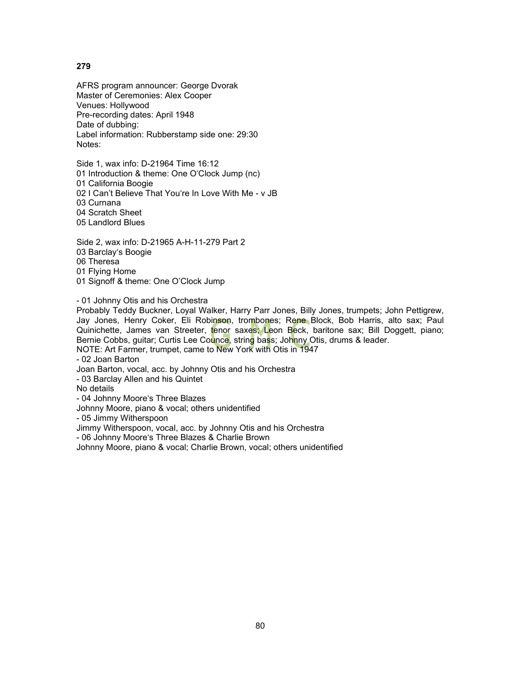AFRS program announcer: George Dvorak Master of Ceremonies: Alex Cooper Venues: Hollywood Pre-recording dates: April 1948 Date of dubbing: Label information: Rubberstamp side one: 29:30 Notes:

Side 1, wax info: D-21964 Time 16:12 01 Introduction & theme: One O'Clock Jump (nc) 01 California Boogie 02 I Can't Believe That You're In Love With Me - v JB 03 Curnana 04 Scratch Sheet 05 Landlord Blues

Side 2, wax info: D-21965 A-H-11-279 Part 2 03 Barclay's Boogie 06 Theresa 01 Flying Home 01 Signoff & theme: One O'Clock Jump

- 01 Johnny Otis and his Orchestra

Probably Teddy Buckner, Loyal Walker, Harry Parr Jones, Billy Jones, trumpets; John Pettigrew, Jay Jones, Henry Coker, Eli Robinson, trombones; Rene Block, Bob Harris, alto sax; Paul Quinichette, James van Streeter, tenor saxes; Leon Beck, baritone sax; Bill Doggett, piano; Bernie Cobbs, guitar; Curtis Lee Counce, string bass; Johnny Otis, drums & leader.

NOTE: Art Farmer, trumpet, came to New York with Otis in 1947

- 02 Joan Barton

Joan Barton, vocal, acc. by Johnny Otis and his Orchestra

- 03 Barclay Allen and his Quintet

No details

- 04 Johnny Moore's Three Blazes

Johnny Moore, piano & vocal; others unidentified

- 05 Jimmy Witherspoon

Jimmy Witherspoon, vocal, acc. by Johnny Otis and his Orchestra

- 06 Johnny Moore's Three Blazes & Charlie Brown

Johnny Moore, piano & vocal; Charlie Brown, vocal; others unidentified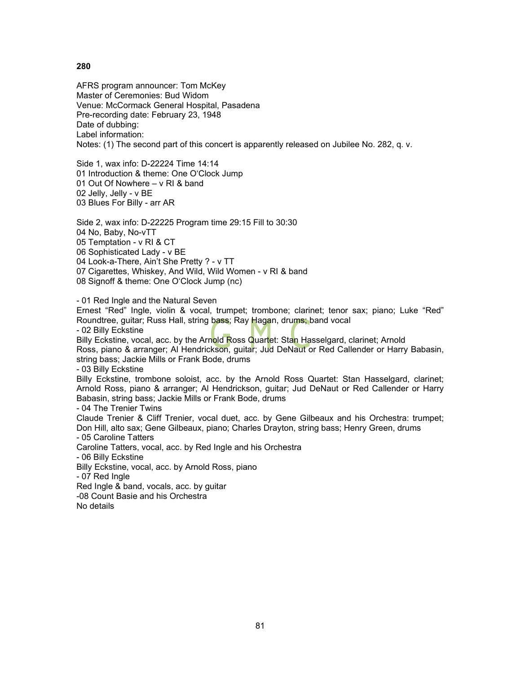AFRS program announcer: Tom McKey Master of Ceremonies: Bud Widom Venue: McCormack General Hospital, Pasadena Pre-recording date: February 23, 1948 Date of dubbing: Label information: Notes: (1) The second part of this concert is apparently released on Jubilee No. 282, q. v.

Side 1, wax info: D-22224 Time 14:14 01 Introduction & theme: One O'Clock Jump 01 Out Of Nowhere – v RI & band 02 Jelly, Jelly - v BE 03 Blues For Billy - arr AR

Side 2, wax info: D-22225 Program time 29:15 Fill to 30:30 04 No, Baby, No-vTT 05 Temptation - v RI & CT 06 Sophisticated Lady - v BE 04 Look-a-There, Ain't She Pretty ? - v TT 07 Cigarettes, Whiskey, And Wild, Wild Women - v RI & band 08 Signoff & theme: One O'Clock Jump (nc)

- 01 Red Ingle and the Natural Seven

Ernest "Red" Ingle, violin & vocal, trumpet; trombone; clarinet; tenor sax; piano; Luke "Red" Roundtree, guitar; Russ Hall, string bass; Ray Hagan, drums; band vocal

- 02 Billy Eckstine

Billy Eckstine, vocal, acc. by the Arnold Ross Quartet: Stan Hasselgard, clarinet; Arnold Ross, piano & arranger; Al Hendrickson, guitar; Jud DeNaut or Red Callender or Harry Babasin, string bass; Jackie Mills or Frank Bode, drums

- 03 Billy Eckstine

Billy Eckstine, trombone soloist, acc. by the Arnold Ross Quartet: Stan Hasselgard, clarinet; Arnold Ross, piano & arranger; Al Hendrickson, guitar; Jud DeNaut or Red Callender or Harry Babasin, string bass; Jackie Mills or Frank Bode, drums

- 04 The Trenier Twins

Claude Trenier & Cliff Trenier, vocal duet, acc. by Gene Gilbeaux and his Orchestra: trumpet; Don Hill, alto sax; Gene Gilbeaux, piano; Charles Drayton, string bass; Henry Green, drums - 05 Caroline Tatters

Caroline Tatters, vocal, acc. by Red Ingle and his Orchestra

- 06 Billy Eckstine

Billy Eckstine, vocal, acc. by Arnold Ross, piano

- 07 Red Ingle

Red Ingle & band, vocals, acc. by guitar

-08 Count Basie and his Orchestra

No details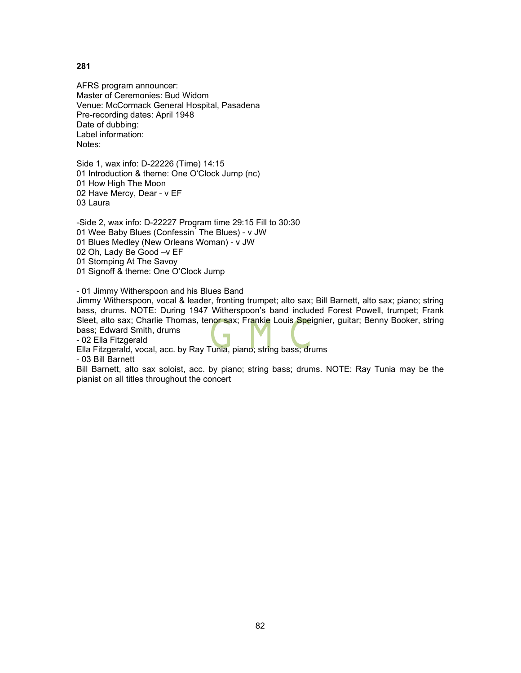AFRS program announcer: Master of Ceremonies: Bud Widom Venue: McCormack General Hospital, Pasadena Pre-recording dates: April 1948 Date of dubbing: Label information: Notes:

Side 1, wax info: D-22226 (Time) 14:15 01 Introduction & theme: One O'Clock Jump (nc) 01 How High The Moon 02 Have Mercy, Dear - v EF 03 Laura

-Side 2, wax info: D-22227 Program time 29:15 Fill to 30:30 01 Wee Baby Blues (Confessin The Blues) - v JW 01 Blues Medley (New Orleans Woman) - v JW 02 Oh, Lady Be Good –v EF 01 Stomping At The Savoy 01 Signoff & theme: One O'Clock Jump

- 01 Jimmy Witherspoon and his Blues Band

Jimmy Witherspoon, vocal & leader, fronting trumpet; alto sax; Bill Barnett, alto sax; piano; string bass, drums. NOTE: During 1947 Witherspoon's band included Forest Powell, trumpet; Frank Sleet, alto sax; Charlie Thomas, tenor sax; Frankie Louis Speignier, guitar; Benny Booker, string bass; Edward Smith, drums

- 02 Ella Fitzgerald

Ella Fitzgerald, vocal, acc. by Ray Tunia, piano; string bass; drums

- 03 Bill Barnett

Bill Barnett, alto sax soloist, acc. by piano; string bass; drums. NOTE: Ray Tunia may be the pianist on all titles throughout the concert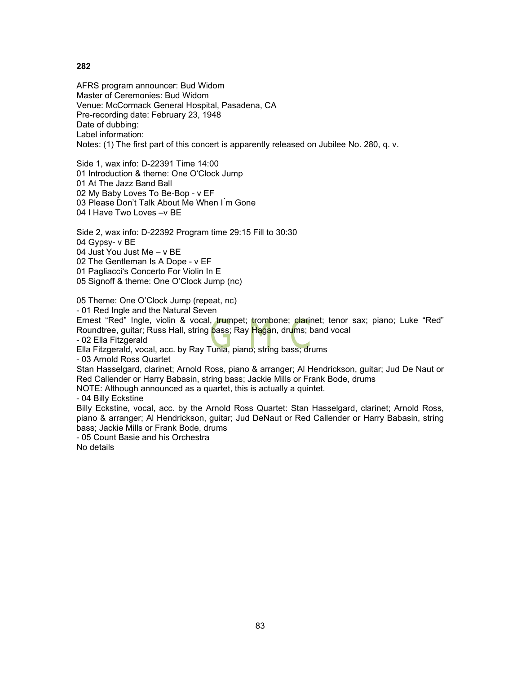AFRS program announcer: Bud Widom Master of Ceremonies: Bud Widom Venue: McCormack General Hospital, Pasadena, CA Pre-recording date: February 23, 1948 Date of dubbing: Label information: Notes: (1) The first part of this concert is apparently released on Jubilee No. 280, q. v.

Side 1, wax info: D-22391 Time 14:00 01 Introduction & theme: One O'Clock Jump 01 At The Jazz Band Ball 02 My Baby Loves To Be-Bop - v EF 03 Please Don't Talk About Me When I'm Gone 04 I Have Two Loves –v BE

Side 2, wax info: D-22392 Program time 29:15 Fill to 30:30 04 Gypsy- v BE

04 Just You Just Me – v BE

02 The Gentleman Is A Dope - v EF

01 Pagliacci's Concerto For Violin In E

05 Signoff & theme: One O'Clock Jump (nc)

05 Theme: One O'Clock Jump (repeat, nc)

- 01 Red Ingle and the Natural Seven

Ernest "Red" Ingle, violin & vocal, trumpet; trombone; clarinet; tenor sax; piano; Luke "Red" Roundtree, guitar; Russ Hall, string bass; Ray Hagan, drums; band vocal

- 02 Ella Fitzgerald

Ella Fitzgerald, vocal, acc. by Ray Tunia, piano; string bass; drums

- 03 Arnold Ross Quartet

Stan Hasselgard, clarinet; Arnold Ross, piano & arranger; Al Hendrickson, guitar; Jud De Naut or Red Callender or Harry Babasin, string bass; Jackie Mills or Frank Bode, drums

NOTE: Although announced as a quartet, this is actually a quintet.

- 04 Billy Eckstine

Billy Eckstine, vocal, acc. by the Arnold Ross Quartet: Stan Hasselgard, clarinet; Arnold Ross, piano & arranger; Al Hendrickson, guitar; Jud DeNaut or Red Callender or Harry Babasin, string bass; Jackie Mills or Frank Bode, drums

- 05 Count Basie and his Orchestra

No details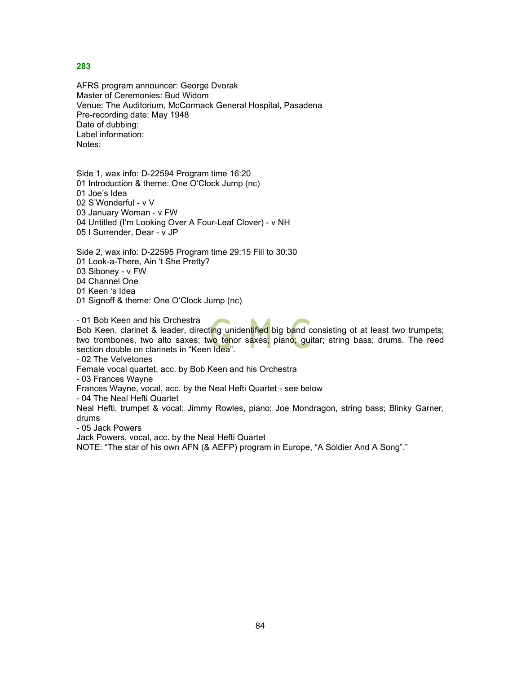AFRS program announcer: George Dvorak Master of Ceremonies: Bud Widom Venue: The Auditorium, McCormack General Hospital, Pasadena Pre-recording date: May 1948 Date of dubbing: Label information: Notes:

Side 1, wax info: D-22594 Program time 16:20 01 Introduction & theme: One O'Clock Jump (nc) 01 Joe's Idea 02 S'Wonderful - v V 03 January Woman - v FW 04 Untitled (I'm Looking Over A Four-Leaf Clover) - v NH 05 I Surrender, Dear - v JP

Side 2, wax info: D-22595 Program time 29:15 Fill to 30:30 01 Look-a-There, Ain 't She Pretty? 03 Siboney - v FW 04 Channel One 01 Keen 's Idea 01 Signoff & theme: One O'Clock Jump (nc)

- 01 Bob Keen and his Orchestra

Bob Keen, clarinet & leader, directing unidentified big band consisting ot at least two trumpets; two trombones, two alto saxes; two tenor saxes; piano; guitar; string bass; drums. The reed section double on clarinets in "Keen Idea".

- 02 The Velvetones

Female vocal quartet, acc. by Bob Keen and his Orchestra

- 03 Frances Wayne

Frances Wayne, vocal, acc. by the Neal Hefti Quartet - see below

- 04 The Neal Hefti Quartet

Neal Hefti, trumpet & vocal; Jimmy Rowles, piano; Joe Mondragon, string bass; Blinky Garner, drums

- 05 Jack Powers

Jack Powers, vocal, acc. by the Neal Hefti Quartet

NOTE: "The star of his own AFN (& AEFP) program in Europe, "A Soldier And A Song"."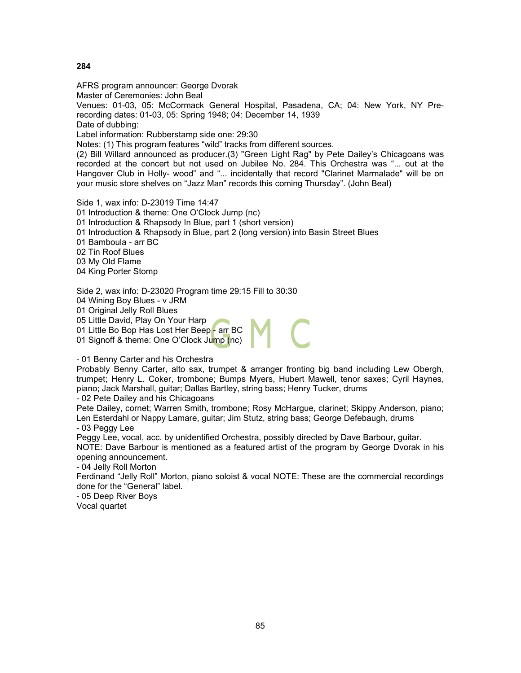AFRS program announcer: George Dvorak Master of Ceremonies: John Beal Venues: 01-03, 05: McCormack General Hospital, Pasadena, CA; 04: New York, NY Prerecording dates: 01-03, 05: Spring 1948; 04: December 14, 1939 Date of dubbing: Label information: Rubberstamp side one: 29:30 Notes: (1) This program features "wild" tracks from different sources. (2) Bill Willard announced as producer.(3) "Green Light Rag" by Pete Dailey's Chicagoans was recorded at the concert but not used on Jubilee No. 284. This Orchestra was "... out at the Hangover Club in Holly- wood" and "... incidentally that record "Clarinet Marmalade" will be on your music store shelves on "Jazz Man" records this coming Thursday". (John Beal)

Side 1, wax info: D-23019 Time 14:47 01 Introduction & theme: One O'Clock Jump (nc) 01 Introduction & Rhapsody In Blue, part 1 (short version) 01 Introduction & Rhapsody in Blue, part 2 (long version) into Basin Street Blues 01 Bamboula - arr BC 02 Tin Roof Blues 03 My Old Flame 04 King Porter Stomp

Side 2, wax info: D-23020 Program time 29:15 Fill to 30:30

04 Wining Boy Blues - v JRM

01 Original Jelly Roll Blues

05 Little David, Play On Your Harp

01 Little Bo Bop Has Lost Her Beep - arr BC

01 Signoff & theme: One O'Clock Jump (nc)

- 01 Benny Carter and his Orchestra

Probably Benny Carter, alto sax, trumpet & arranger fronting big band including Lew Obergh, trumpet; Henry L. Coker, trombone; Bumps Myers, Hubert Mawell, tenor saxes; Cyril Haynes, piano; Jack Marshall, guitar; Dallas Bartley, string bass; Henry Tucker, drums

- 02 Pete Dailey and his Chicagoans

Pete Dailey, cornet; Warren Smith, trombone; Rosy McHargue, clarinet; Skippy Anderson, piano; Len Esterdahl or Nappy Lamare, guitar; Jim Stutz, string bass; George Defebaugh, drums - 03 Peggy Lee

Peggy Lee, vocal, acc. by unidentified Orchestra, possibly directed by Dave Barbour, guitar.

NOTE: Dave Barbour is mentioned as a featured artist of the program by George Dvorak in his opening announcement.

- 04 Jelly Roll Morton

Ferdinand "Jelly Roll" Morton, piano soloist & vocal NOTE: These are the commercial recordings done for the "General" label.

- 05 Deep River Boys

Vocal quartet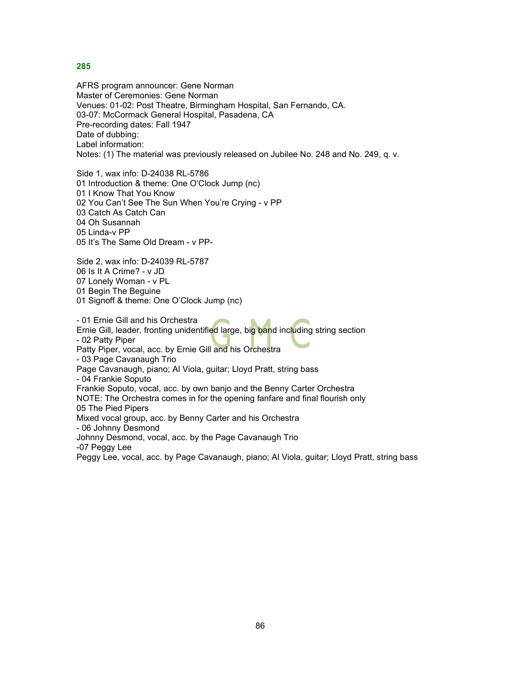AFRS program announcer: Gene Norman Master of Ceremonies: Gene Norman Venues: 01-02: Post Theatre, Birmingham Hospital, San Fernando, CA. 03-07: McCormack General Hospital, Pasadena, CA Pre-recording dates: Fall 1947 Date of dubbing: Label information: Notes: (1) The material was previously released on Jubilee No. 248 and No. 249, q. v.

Side 1, wax info: D-24038 RL-5786 01 Introduction & theme: One O'Clock Jump (nc) 01 I Know That You Know 02 You Can't See The Sun When You're Crying - v PP 03 Catch As Catch Can 04 Oh Susannah 05 Linda-v PP 05 It's The Same Old Dream - v PP-

Side 2, wax info: D-24039 RL-5787 06 Is It A Crime? - v JD 07 Lonely Woman - v PL 01 Begin The Beguine 01 Signoff & theme: One O'Clock Jump (nc)

- 01 Ernie Gill and his Orchestra Ernie Gill, leader, fronting unidentified large, big band including string section - 02 Patty Piper Patty Piper, vocal, acc. by Ernie Gill and his Orchestra - 03 Page Cavanaugh Trio Page Cavanaugh, piano; Al Viola, guitar; Lloyd Pratt, string bass - 04 Frankie Soputo Frankie Soputo, vocal, acc. by own banjo and the Benny Carter Orchestra NOTE: The Orchestra comes in for the opening fanfare and final flourish only 05 The Pied Pipers Mixed vocal group, acc. by Benny Carter and his Orchestra - 06 Johnny Desmond Johnny Desmond, vocal, acc. by the Page Cavanaugh Trio -07 Peggy Lee Peggy Lee, vocal, acc. by Page Cavanaugh, piano; Al Viola, guitar; Lloyd Pratt, string bass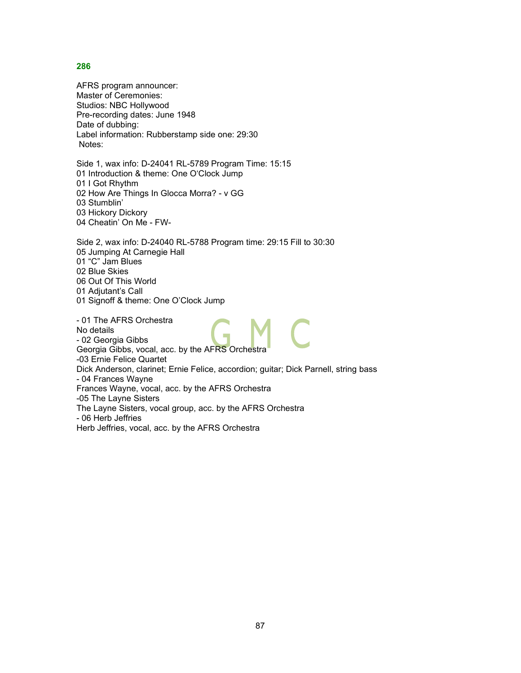AFRS program announcer: Master of Ceremonies: Studios: NBC Hollywood Pre-recording dates: June 1948 Date of dubbing: Label information: Rubberstamp side one: 29:30 Notes:

Side 1, wax info: D-24041 RL-5789 Program Time: 15:15 01 Introduction & theme: One O'Clock Jump 01 I Got Rhythm 02 How Are Things In Glocca Morra? - v GG 03 Stumblin' 03 Hickory Dickory 04 Cheatin' On Me - FW-

Side 2, wax info: D-24040 RL-5788 Program time: 29:15 Fill to 30:30 05 Jumping At Carnegie Hall 01 "C" Jam Blues 02 Blue Skies 06 Out Of This World 01 Adjutant's Call 01 Signoff & theme: One O'Clock Jump

- 01 The AFRS Orchestra No details - 02 Georgia Gibbs Georgia Gibbs, vocal, acc. by the AFRS Orchestra -03 Ernie Felice Quartet Dick Anderson, clarinet; Ernie Felice, accordion; guitar; Dick Parnell, string bass - 04 Frances Wayne Frances Wayne, vocal, acc. by the AFRS Orchestra -05 The Layne Sisters The Layne Sisters, vocal group, acc. by the AFRS Orchestra - 06 Herb Jeffries Herb Jeffries, vocal, acc. by the AFRS Orchestra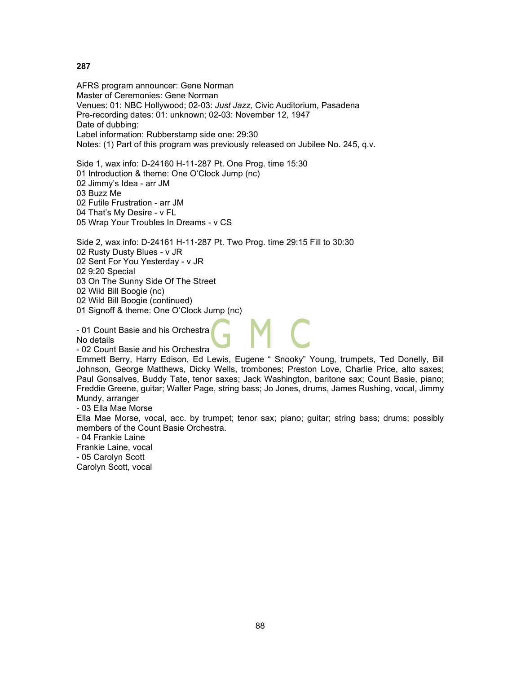AFRS program announcer: Gene Norman Master of Ceremonies: Gene Norman Venues: 01: NBC Hollywood; 02-03: *Just Jazz,* Civic Auditorium, Pasadena Pre-recording dates: 01: unknown; 02-03: November 12, 1947 Date of dubbing: Label information: Rubberstamp side one: 29:30 Notes: (1) Part of this program was previously released on Jubilee No. 245, q.v.

Side 1, wax info: D-24160 H-11-287 Pt. One Prog. time 15:30 01 Introduction & theme: One O'Clock Jump (nc) 02 Jimmy's Idea - arr JM 03 Buzz Me 02 Futile Frustration - arr JM 04 That's My Desire - v FL 05 Wrap Your Troubles In Dreams - v CS

Side 2, wax info: D-24161 H-11-287 Pt. Two Prog. time 29:15 Fill to 30:30 02 Rusty Dusty Blues - v JR 02 Sent For You Yesterday - v JR 02 9:20 Special 03 On The Sunny Side Of The Street 02 Wild Bill Boogie (nc)

02 Wild Bill Boogie (continued)

01 Signoff & theme: One O'Clock Jump (nc)

- 01 Count Basie and his Orchestra

No details

- 02 Count Basie and his Orchestra

Emmett Berry, Harry Edison, Ed Lewis, Eugene " Snooky" Young, trumpets, Ted Donelly, Bill Johnson, George Matthews, Dicky Wells, trombones; Preston Love, Charlie Price, alto saxes; Paul Gonsalves, Buddy Tate, tenor saxes; Jack Washington, baritone sax; Count Basie, piano; Freddie Greene, guitar; Walter Page, string bass; Jo Jones, drums, James Rushing, vocal, Jimmy Mundy, arranger

- 03 Ella Mae Morse

Ella Mae Morse, vocal, acc. by trumpet; tenor sax; piano; guitar; string bass; drums; possibly members of the Count Basie Orchestra.

- 04 Frankie Laine

Frankie Laine, vocal

- 05 Carolyn Scott

Carolyn Scott, vocal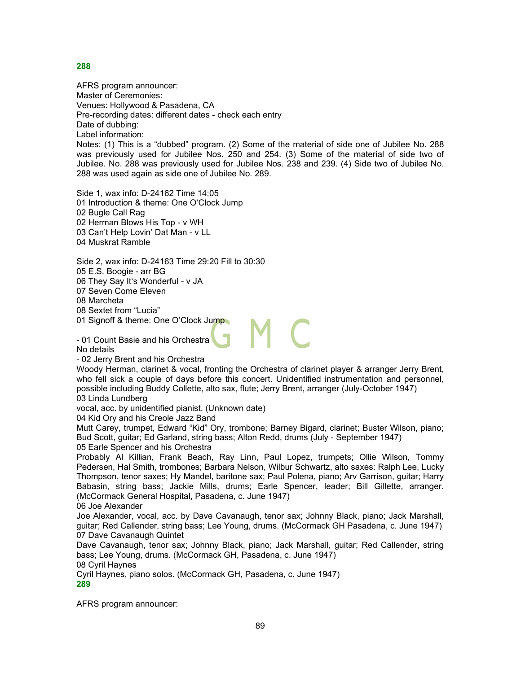AFRS program announcer: Master of Ceremonies: Venues: Hollywood & Pasadena, CA Pre-recording dates: different dates - check each entry Date of dubbing: Label information:

Notes: (1) This is a "dubbed" program. (2) Some of the material of side one of Jubilee No. 288 was previously used for Jubilee Nos. 250 and 254. (3) Some of the material of side two of Jubilee. No. 288 was previously used for Jubilee Nos. 238 and 239. (4) Side two of Jubilee No. 288 was used again as side one of Jubilee No. 289.

Side 1, wax info: D-24162 Time 14:05 01 Introduction & theme: One O'Clock Jump 02 Bugle Call Rag 02 Herman Blows His Top - v WH 03 Can't Help Lovin' Dat Man - v LL 04 Muskrat Ramble

Side 2, wax info: D-24163 Time 29:20 Fill to 30:30

05 E.S. Boogie - arr BG

06 They Say It's Wonderful - v JA

07 Seven Come Eleven

08 Marcheta

08 Sextet from "Lucia"

01 Signoff & theme: One O'Clock Jump

- 01 Count Basie and his Orchestra No details

- 02 Jerry Brent and his Orchestra

Woody Herman, clarinet & vocal, fronting the Orchestra of clarinet player & arranger Jerry Brent, who fell sick a couple of days before this concert. Unidentified instrumentation and personnel, possible including Buddy Collette, alto sax, flute; Jerry Brent, arranger (July-October 1947) 03 Linda Lundberg

vocal, acc. by unidentified pianist. (Unknown date)

04 Kid Ory and his Creole Jazz Band

Mutt Carey, trumpet, Edward "Kid" Ory, trombone; Barney Bigard, clarinet; Buster Wilson, piano; Bud Scott, guitar; Ed Garland, string bass; Alton Redd, drums (July - September 1947)

05 Earle Spencer and his Orchestra

Probably Al Killian, Frank Beach, Ray Linn, Paul Lopez, trumpets; Ollie Wilson, Tommy Pedersen, Hal Smith, trombones; Barbara Nelson, Wilbur Schwartz, alto saxes: Ralph Lee, Lucky Thompson, tenor saxes; Hy Mandel, baritone sax; Paul Polena, piano; Arv Garrison, guitar; Harry Babasin, string bass; Jackie Mills, drums; Earle Spencer, leader; Bill Gillette, arranger. (McCormack General Hospital, Pasadena, c. June 1947)

06 Joe Alexander

Joe Alexander, vocal, acc. by Dave Cavanaugh, tenor sax; Johnny Black, piano; Jack Marshall, guitar; Red Callender, string bass; Lee Young, drums. (McCormack GH Pasadena, c. June 1947) 07 Dave Cavanaugh Quintet

Dave Cavanaugh, tenor sax; Johnny Black, piano; Jack Marshall, guitar; Red Callender, string bass; Lee Young, drums. (McCormack GH, Pasadena, c. June 1947)

08 Cyril Haynes

Cyril Haynes, piano solos. (McCormack GH, Pasadena, c. June 1947) **289**

AFRS program announcer: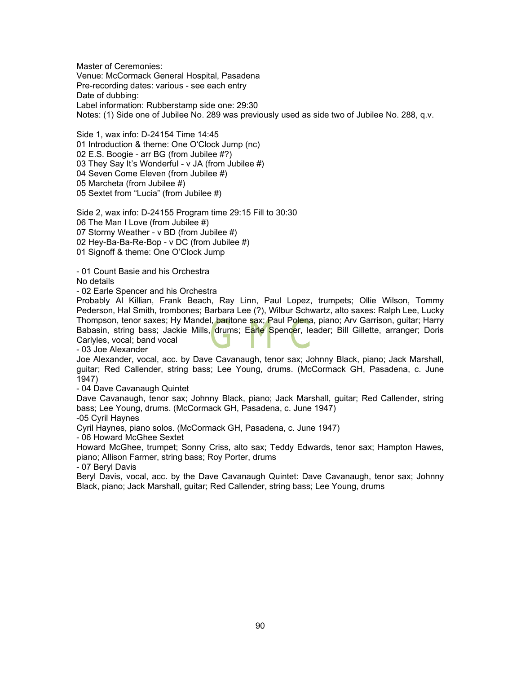Master of Ceremonies: Venue: McCormack General Hospital, Pasadena Pre-recording dates: various - see each entry Date of dubbing: Label information: Rubberstamp side one: 29:30 Notes: (1) Side one of Jubilee No. 289 was previously used as side two of Jubilee No. 288, q.v.

Side 1, wax info: D-24154 Time 14:45 01 Introduction & theme: One O'Clock Jump (nc) 02 E.S. Boogie - arr BG (from Jubilee #?) 03 They Say It's Wonderful - v JA (from Jubilee #) 04 Seven Come Eleven (from Jubilee #) 05 Marcheta (from Jubilee #) 05 Sextet from "Lucia" (from Jubilee #)

Side 2, wax info: D-24155 Program time 29:15 Fill to 30:30 06 The Man I Love (from Jubilee #) 07 Stormy Weather - v BD (from Jubilee #) 02 Hey-Ba-Ba-Re-Bop - v DC (from Jubilee #) 01 Signoff & theme: One O'Clock Jump

- 01 Count Basie and his Orchestra No details

- 02 Earle Spencer and his Orchestra

Probably Al Killian, Frank Beach, Ray Linn, Paul Lopez, trumpets; Ollie Wilson, Tommy Pederson, Hal Smith, trombones; Barbara Lee (?), Wilbur Schwartz, alto saxes: Ralph Lee, Lucky Thompson, tenor saxes; Hy Mandel, baritone sax; Paul Polena, piano; Arv Garrison, guitar; Harry Babasin, string bass; Jackie Mills, drums; Earle Spencer, leader; Bill Gillette, arranger; Doris Carlyles, vocal; band vocal

- 03 Joe Alexander

Joe Alexander, vocal, acc. by Dave Cavanaugh, tenor sax; Johnny Black, piano; Jack Marshall, guitar; Red Callender, string bass; Lee Young, drums. (McCormack GH, Pasadena, c. June 1947)

- 04 Dave Cavanaugh Quintet

Dave Cavanaugh, tenor sax; Johnny Black, piano; Jack Marshall, guitar; Red Callender, string bass; Lee Young, drums. (McCormack GH, Pasadena, c. June 1947)

-05 Cyril Haynes

Cyril Haynes, piano solos. (McCormack GH, Pasadena, c. June 1947)

- 06 Howard McGhee Sextet

Howard McGhee, trumpet; Sonny Criss, alto sax; Teddy Edwards, tenor sax; Hampton Hawes, piano; Allison Farmer, string bass; Roy Porter, drums

- 07 Beryl Davis

Beryl Davis, vocal, acc. by the Dave Cavanaugh Quintet: Dave Cavanaugh, tenor sax; Johnny Black, piano; Jack Marshall, guitar; Red Callender, string bass; Lee Young, drums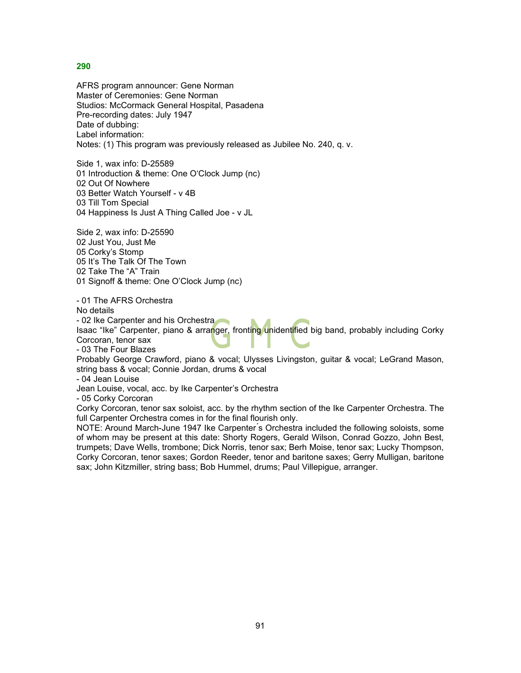AFRS program announcer: Gene Norman Master of Ceremonies: Gene Norman Studios: McCormack General Hospital, Pasadena Pre-recording dates: July 1947 Date of dubbing: Label information: Notes: (1) This program was previously released as Jubilee No. 240, q. v.

Side 1, wax info: D-25589 01 Introduction & theme: One O'Clock Jump (nc) 02 Out Of Nowhere 03 Better Watch Yourself - v 4B 03 Till Tom Special 04 Happiness Is Just A Thing Called Joe - v JL

Side 2, wax info: D-25590 02 Just You, Just Me 05 Corky's Stomp 05 It's The Talk Of The Town 02 Take The "A" Train 01 Signoff & theme: One O'Clock Jump (nc)

- 01 The AFRS Orchestra

No details

- 02 Ike Carpenter and his Orchestra

Isaac "Ike" Carpenter, piano & arranger, fronting unidentified big band, probably including Corky Corcoran, tenor sax

- 03 The Four Blazes

Probably George Crawford, piano & vocal; Ulysses Livingston, guitar & vocal; LeGrand Mason, string bass & vocal; Connie Jordan, drums & vocal

- 04 Jean Louise

Jean Louise, vocal, acc. by Ike Carpenter's Orchestra

- 05 Corky Corcoran

Corky Corcoran, tenor sax soloist, acc. by the rhythm section of the Ike Carpenter Orchestra. The full Carpenter Orchestra comes in for the final flourish only.

NOTE: Around March-June 1947 Ike Carpenter ́s Orchestra included the following soloists, some of whom may be present at this date: Shorty Rogers, Gerald Wilson, Conrad Gozzo, John Best, trumpets; Dave Wells, trombone; Dick Norris, tenor sax; Berh Moise, tenor sax; Lucky Thompson, Corky Corcoran, tenor saxes; Gordon Reeder, tenor and baritone saxes; Gerry Mulligan, baritone sax; John Kitzmiller, string bass; Bob Hummel, drums; Paul Villepigue, arranger.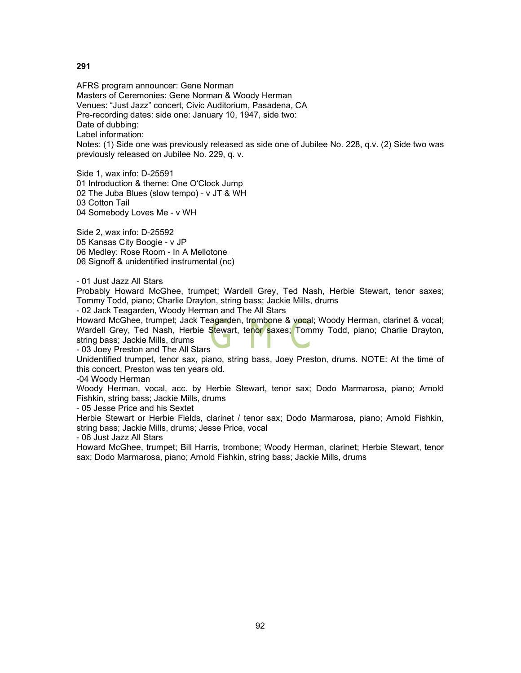AFRS program announcer: Gene Norman Masters of Ceremonies: Gene Norman & Woody Herman Venues: "Just Jazz" concert, Civic Auditorium, Pasadena, CA Pre-recording dates: side one: January 10, 1947, side two: Date of dubbing: Label information: Notes: (1) Side one was previously released as side one of Jubilee No. 228, q.v. (2) Side two was previously released on Jubilee No. 229, q. v.

Side 1, wax info: D-25591 01 Introduction & theme: One O'Clock Jump 02 The Juba Blues (slow tempo) - v JT & WH 03 Cotton Tail 04 Somebody Loves Me - v WH

Side 2, wax info: D-25592 05 Kansas City Boogie - v JP 06 Medley: Rose Room - In A Mellotone 06 Signoff & unidentified instrumental (nc)

- 01 Just Jazz All Stars

Probably Howard McGhee, trumpet; Wardell Grey, Ted Nash, Herbie Stewart, tenor saxes; Tommy Todd, piano; Charlie Drayton, string bass; Jackie Mills, drums

- 02 Jack Teagarden, Woody Herman and The All Stars

Howard McGhee, trumpet; Jack Teagarden, trombone & vocal; Woody Herman, clarinet & vocal; Wardell Grey, Ted Nash, Herbie Stewart, tenor saxes; Tommy Todd, piano; Charlie Drayton, string bass; Jackie Mills, drums

- 03 Joey Preston and The All Stars

Unidentified trumpet, tenor sax, piano, string bass, Joey Preston, drums. NOTE: At the time of this concert, Preston was ten years old.

-04 Woody Herman

Woody Herman, vocal, acc. by Herbie Stewart, tenor sax; Dodo Marmarosa, piano; Arnold Fishkin, string bass; Jackie Mills, drums

- 05 Jesse Price and his Sextet

Herbie Stewart or Herbie Fields, clarinet / tenor sax; Dodo Marmarosa, piano; Arnold Fishkin, string bass; Jackie Mills, drums; Jesse Price, vocal

- 06 Just Jazz All Stars

Howard McGhee, trumpet; Bill Harris, trombone; Woody Herman, clarinet; Herbie Stewart, tenor sax; Dodo Marmarosa, piano; Arnold Fishkin, string bass; Jackie Mills, drums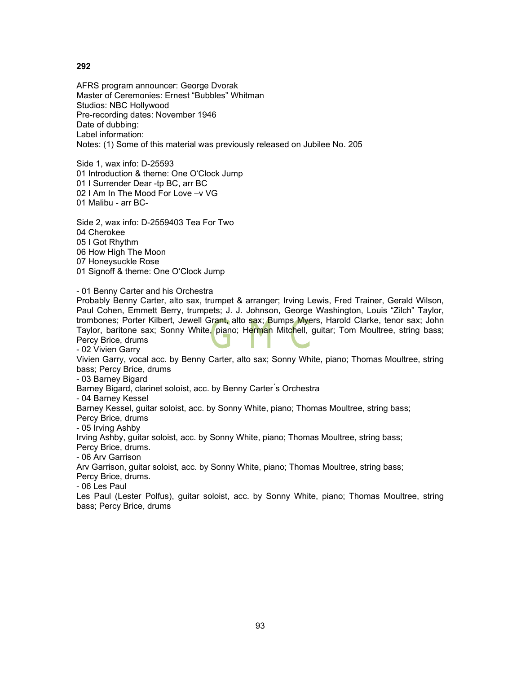AFRS program announcer: George Dvorak Master of Ceremonies: Ernest "Bubbles" Whitman Studios: NBC Hollywood Pre-recording dates: November 1946 Date of dubbing: Label information: Notes: (1) Some of this material was previously released on Jubilee No. 205

Side 1, wax info: D-25593 01 Introduction & theme: One O'Clock Jump 01 I Surrender Dear -tp BC, arr BC 02 I Am In The Mood For Love –v VG 01 Malibu - arr BC-

Side 2, wax info: D-2559403 Tea For Two 04 Cherokee 05 I Got Rhythm 06 How High The Moon 07 Honeysuckle Rose 01 Signoff & theme: One O'Clock Jump

- 01 Benny Carter and his Orchestra

Probably Benny Carter, alto sax, trumpet & arranger; Irving Lewis, Fred Trainer, Gerald Wilson, Paul Cohen, Emmett Berry, trumpets; J. J. Johnson, George Washington, Louis "Zilch" Taylor, trombones; Porter Kilbert, Jewell Grant, alto sax; Bumps Myers, Harold Clarke, tenor sax; John Taylor, baritone sax; Sonny White, piano; Herman Mitchell, guitar; Tom Moultree, string bass; Percy Brice, drums - 02 Vivien Garry

Vivien Garry, vocal acc. by Benny Carter, alto sax; Sonny White, piano; Thomas Moultree, string bass; Percy Brice, drums

- 03 Barney Bigard

Barney Bigard, clarinet soloist, acc. by Benny Carter ́s Orchestra

- 04 Barney Kessel

Barney Kessel, guitar soloist, acc. by Sonny White, piano; Thomas Moultree, string bass;

Percy Brice, drums

- 05 Irving Ashby

Irving Ashby, guitar soloist, acc. by Sonny White, piano; Thomas Moultree, string bass;

Percy Brice, drums.

- 06 Arv Garrison

Arv Garrison, guitar soloist, acc. by Sonny White, piano; Thomas Moultree, string bass;

Percy Brice, drums.

- 06 Les Paul

Les Paul (Lester Polfus), guitar soloist, acc. by Sonny White, piano; Thomas Moultree, string bass; Percy Brice, drums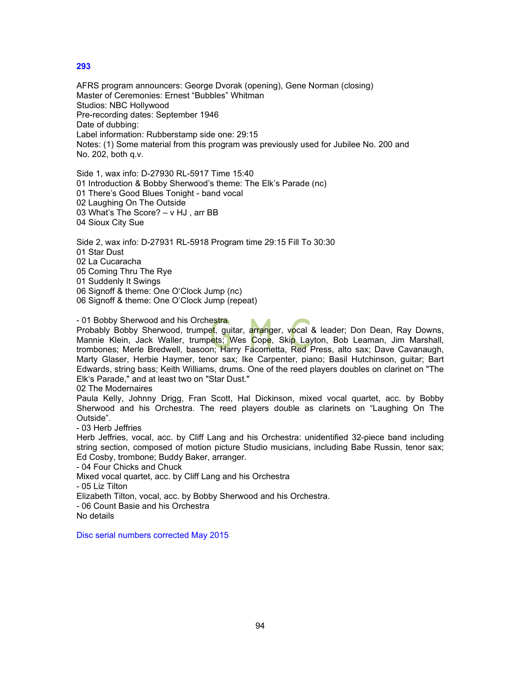AFRS program announcers: George Dvorak (opening), Gene Norman (closing) Master of Ceremonies: Ernest "Bubbles" Whitman Studios: NBC Hollywood Pre-recording dates: September 1946 Date of dubbing: Label information: Rubberstamp side one: 29:15 Notes: (1) Some material from this program was previously used for Jubilee No. 200 and No. 202, both q.v.

Side 1, wax info: D-27930 RL-5917 Time 15:40 01 Introduction & Bobby Sherwood's theme: The Elk's Parade (nc) 01 There's Good Blues Tonight - band vocal 02 Laughing On The Outside 03 What's The Score? – v HJ , arr BB 04 Sioux City Sue

Side 2, wax info: D-27931 RL-5918 Program time 29:15 Fill To 30:30 01 Star Dust 02 La Cucaracha 05 Coming Thru The Rye 01 Suddenly It Swings 06 Signoff & theme: One O'Clock Jump (nc) 06 Signoff & theme: One O'Clock Jump (repeat)

- 01 Bobby Sherwood and his Orchestra

Probably Bobby Sherwood, trumpet, guitar, arranger, vocal & leader; Don Dean, Ray Downs, Mannie Klein, Jack Waller, trumpets; Wes Cope, Skip Layton, Bob Leaman, Jim Marshall, trombones; Merle Bredwell, basoon; Harry Facometta, Red Press, alto sax; Dave Cavanaugh, Marty Glaser, Herbie Haymer, tenor sax; Ike Carpenter, piano; Basil Hutchinson, guitar; Bart Edwards, string bass; Keith Williams, drums. One of the reed players doubles on clarinet on "The Elk's Parade," and at least two on "Star Dust."

02 The Modernaires

Paula Kelly, Johnny Drigg, Fran Scott, Hal Dickinson, mixed vocal quartet, acc. by Bobby Sherwood and his Orchestra. The reed players double as clarinets on "Laughing On The Outside".

- 03 Herb Jeffries

Herb Jeffries, vocal, acc. by Cliff Lang and his Orchestra: unidentified 32-piece band including string section, composed of motion picture Studio musicians, including Babe Russin, tenor sax; Ed Cosby, trombone; Buddy Baker, arranger.

- 04 Four Chicks and Chuck

Mixed vocal quartet, acc. by Cliff Lang and his Orchestra

- 05 Liz Tilton

Elizabeth Tilton, vocal, acc. by Bobby Sherwood and his Orchestra.

- 06 Count Basie and his Orchestra

No details

Disc serial numbers corrected May 2015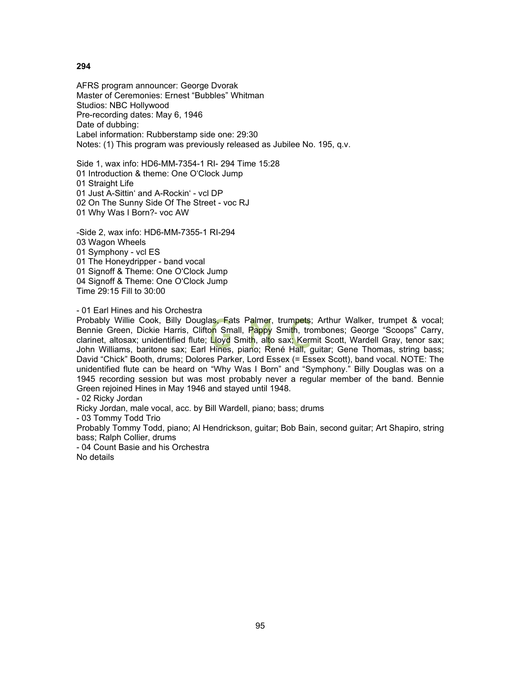AFRS program announcer: George Dvorak Master of Ceremonies: Ernest "Bubbles" Whitman Studios: NBC Hollywood Pre-recording dates: May 6, 1946 Date of dubbing: Label information: Rubberstamp side one: 29:30 Notes: (1) This program was previously released as Jubilee No. 195, q.v.

Side 1, wax info: HD6-MM-7354-1 RI- 294 Time 15:28 01 Introduction & theme: One O'Clock Jump 01 Straight Life 01 Just A-Sittin' and A-Rockin' - vcl DP 02 On The Sunny Side Of The Street - voc RJ 01 Why Was I Born?- voc AW

-Side 2, wax info: HD6-MM-7355-1 RI-294 03 Wagon Wheels 01 Symphony - vcl ES 01 The Honeydripper - band vocal 01 Signoff & Theme: One O'Clock Jump 04 Signoff & Theme: One O'Clock Jump Time 29:15 Fill to 30:00

### - 01 Earl Hines and his Orchestra

Probably Willie Cook, Billy Douglas, Fats Palmer, trumpets; Arthur Walker, trumpet & vocal; Bennie Green, Dickie Harris, Clifton Small, Pappy Smith, trombones; George "Scoops" Carry, clarinet, altosax; unidentified flute; Lloyd Smith, alto sax; Kermit Scott, Wardell Gray, tenor sax; John Williams, baritone sax; Earl Hines, piano; René Hall, guitar; Gene Thomas, string bass; David "Chick" Booth, drums; Dolores Parker, Lord Essex (= Essex Scott), band vocal. NOTE: The unidentified flute can be heard on "Why Was I Born" and "Symphony." Billy Douglas was on a 1945 recording session but was most probably never a regular member of the band. Bennie Green rejoined Hines in May 1946 and stayed until 1948.

- 02 Ricky Jordan

Ricky Jordan, male vocal, acc. by Bill Wardell, piano; bass; drums

- 03 Tommy Todd Trio

Probably Tommy Todd, piano; Al Hendrickson, guitar; Bob Bain, second guitar; Art Shapiro, string bass; Ralph Collier, drums

- 04 Count Basie and his Orchestra No details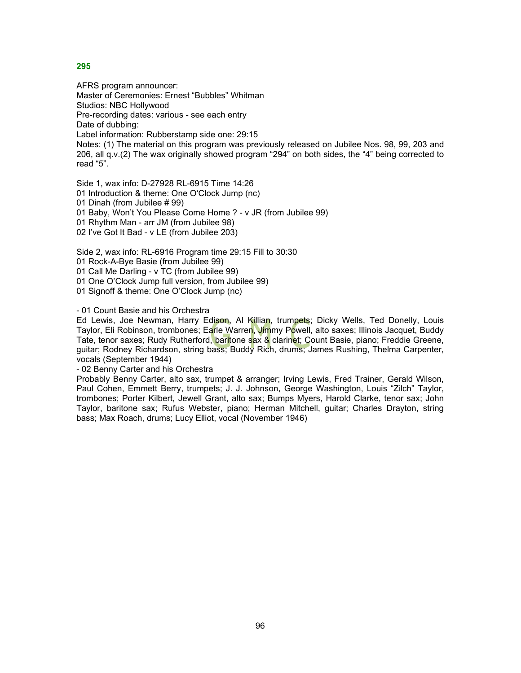AFRS program announcer: Master of Ceremonies: Ernest "Bubbles" Whitman Studios: NBC Hollywood Pre-recording dates: various - see each entry Date of dubbing: Label information: Rubberstamp side one: 29:15 Notes: (1) The material on this program was previously released on Jubilee Nos. 98, 99, 203 and 206, all q.v.(2) The wax originally showed program "294" on both sides, the "4" being corrected to read "5".

Side 1, wax info: D-27928 RL-6915 Time 14:26 01 Introduction & theme: One O'Clock Jump (nc) 01 Dinah (from Jubilee # 99) 01 Baby, Won't You Please Come Home ? - v JR (from Jubilee 99) 01 Rhythm Man - arr JM (from Jubilee 98) 02 I've Got It Bad - v LE (from Jubilee 203)

Side 2, wax info: RL-6916 Program time 29:15 Fill to 30:30

01 Rock-A-Bye Basie (from Jubilee 99)

01 Call Me Darling - v TC (from Jubilee 99)

01 One O'Clock Jump full version, from Jubilee 99)

01 Signoff & theme: One O'Clock Jump (nc)

- 01 Count Basie and his Orchestra

Ed Lewis, Joe Newman, Harry Edison, Al Killian, trumpets; Dicky Wells, Ted Donelly, Louis Taylor, Eli Robinson, trombones; Earle Warren, Jimmy Powell, alto saxes; Illinois Jacquet, Buddy Tate, tenor saxes; Rudy Rutherford, baritone sax & clarinet; Count Basie, piano; Freddie Greene, guitar; Rodney Richardson, string bass; Buddy Rich, drums; James Rushing, Thelma Carpenter, vocals (September 1944)

- 02 Benny Carter and his Orchestra

Probably Benny Carter, alto sax, trumpet & arranger; Irving Lewis, Fred Trainer, Gerald Wilson, Paul Cohen, Emmett Berry, trumpets; J. J. Johnson, George Washington, Louis "Zilch" Taylor, trombones; Porter Kilbert, Jewell Grant, alto sax; Bumps Myers, Harold Clarke, tenor sax; John Taylor, baritone sax; Rufus Webster, piano; Herman Mitchell, guitar; Charles Drayton, string bass; Max Roach, drums; Lucy Elliot, vocal (November 1946)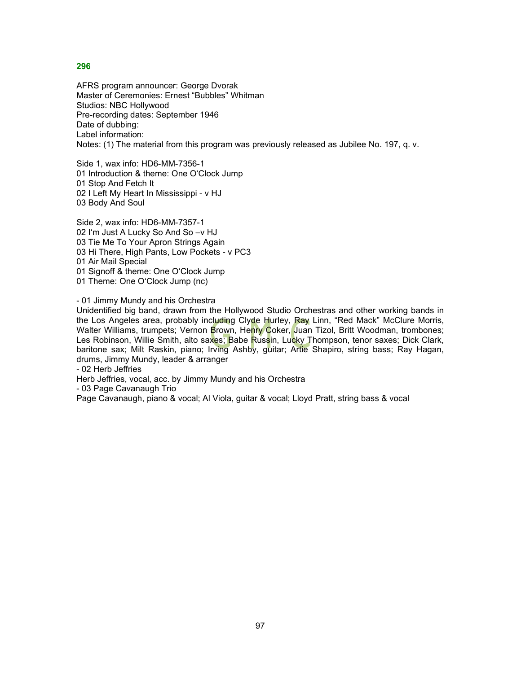AFRS program announcer: George Dvorak Master of Ceremonies: Ernest "Bubbles" Whitman Studios: NBC Hollywood Pre-recording dates: September 1946 Date of dubbing: Label information: Notes: (1) The material from this program was previously released as Jubilee No. 197, q. v.

Side 1, wax info: HD6-MM-7356-1 01 Introduction & theme: One O'Clock Jump 01 Stop And Fetch It 02 I Left My Heart In Mississippi - v HJ 03 Body And Soul

Side 2, wax info: HD6-MM-7357-1 02 I'm Just A Lucky So And So –v HJ 03 Tie Me To Your Apron Strings Again 03 Hi There, High Pants, Low Pockets - v PC3 01 Air Mail Special 01 Signoff & theme: One O'Clock Jump 01 Theme: One O'Clock Jump (nc)

- 01 Jimmy Mundy and his Orchestra

Unidentified big band, drawn from the Hollywood Studio Orchestras and other working bands in the Los Angeles area, probably including Clyde Hurley, Ray Linn, "Red Mack" McClure Morris, Walter Williams, trumpets; Vernon Brown, Henry Coker, Juan Tizol, Britt Woodman, trombones; Les Robinson, Willie Smith, alto saxes; Babe Russin, Lucky Thompson, tenor saxes; Dick Clark, baritone sax; Milt Raskin, piano; Irving Ashby, guitar; Artie Shapiro, string bass; Ray Hagan, drums, Jimmy Mundy, leader & arranger

- 02 Herb Jeffries

Herb Jeffries, vocal, acc. by Jimmy Mundy and his Orchestra

- 03 Page Cavanaugh Trio

Page Cavanaugh, piano & vocal; Al Viola, guitar & vocal; Lloyd Pratt, string bass & vocal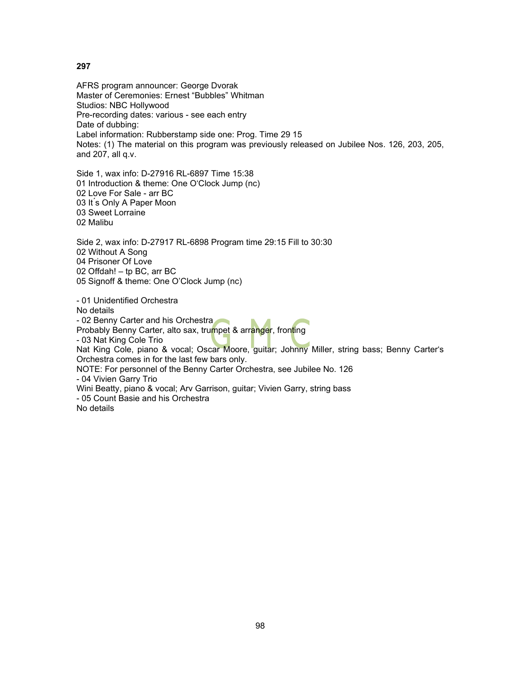AFRS program announcer: George Dvorak Master of Ceremonies: Ernest "Bubbles" Whitman Studios: NBC Hollywood Pre-recording dates: various - see each entry Date of dubbing: Label information: Rubberstamp side one: Prog. Time 29 15 Notes: (1) The material on this program was previously released on Jubilee Nos. 126, 203, 205, and 207, all q.v.

Side 1, wax info: D-27916 RL-6897 Time 15:38 01 Introduction & theme: One O'Clock Jump (nc) 02 Love For Sale - arr BC 03 It's Only A Paper Moon 03 Sweet Lorraine 02 Malibu

Side 2, wax info: D-27917 RL-6898 Program time 29:15 Fill to 30:30 02 Without A Song 04 Prisoner Of Love 02 Offdah! – tp BC, arr BC 05 Signoff & theme: One O'Clock Jump (nc)

- 01 Unidentified Orchestra No details - 02 Benny Carter and his Orchestra Probably Benny Carter, alto sax, trumpet & arranger, fronting - 03 Nat King Cole Trio Nat King Cole, piano & vocal; Oscar Moore, guitar; Johnny Miller, string bass; Benny Carter's Orchestra comes in for the last few bars only. NOTE: For personnel of the Benny Carter Orchestra, see Jubilee No. 126 - 04 Vivien Garry Trio Wini Beatty, piano & vocal; Arv Garrison, guitar; Vivien Garry, string bass - 05 Count Basie and his Orchestra No details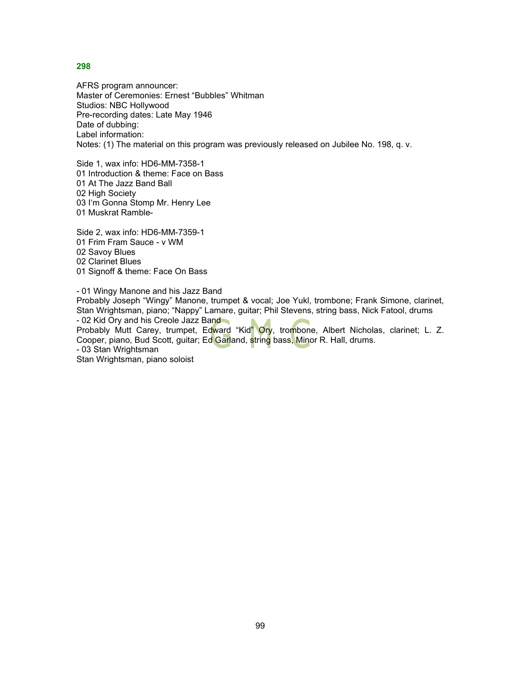AFRS program announcer: Master of Ceremonies: Ernest "Bubbles" Whitman Studios: NBC Hollywood Pre-recording dates: Late May 1946 Date of dubbing: Label information: Notes: (1) The material on this program was previously released on Jubilee No. 198, q. v.

Side 1, wax info: HD6-MM-7358-1 01 Introduction & theme: Face on Bass 01 At The Jazz Band Ball 02 High Society 03 I'm Gonna Stomp Mr. Henry Lee 01 Muskrat Ramble-

Side 2, wax info: HD6-MM-7359-1 01 Frim Fram Sauce - v WM 02 Savoy Blues 02 Clarinet Blues 01 Signoff & theme: Face On Bass

- 01 Wingy Manone and his Jazz Band Probably Joseph "Wingy" Manone, trumpet & vocal; Joe Yukl, trombone; Frank Simone, clarinet, Stan Wrightsman, piano; "Nappy" Lamare, guitar; Phil Stevens, string bass, Nick Fatool, drums - 02 Kid Ory and his Creole Jazz Band Probably Mutt Carey, trumpet, Edward "Kid" Ory, trombone, Albert Nicholas, clarinet; L. Z. Cooper, piano, Bud Scott, guitar; Ed Garland, string bass, Minor R. Hall, drums. - 03 Stan Wrightsman Stan Wrightsman, piano soloist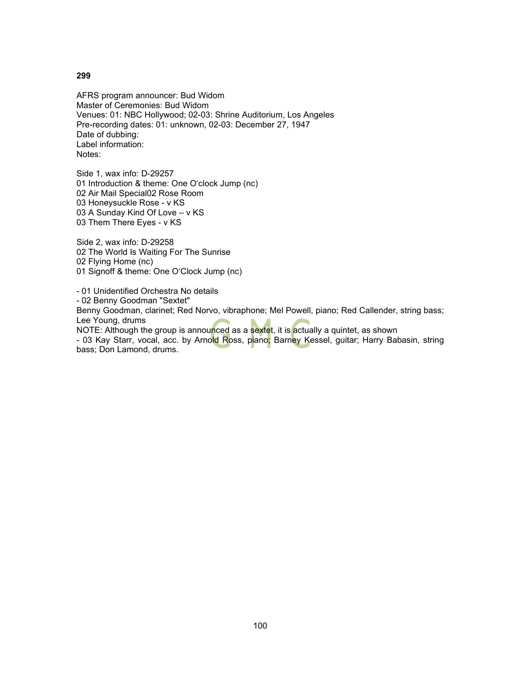AFRS program announcer: Bud Widom Master of Ceremonies: Bud Widom Venues: 01: NBC Hollywood; 02-03: Shrine Auditorium, Los Angeles Pre-recording dates: 01: unknown, 02-03: December 27, 1947 Date of dubbing: Label information: Notes:

Side 1, wax info: D-29257 01 Introduction & theme: One O'clock Jump (nc) 02 Air Mail Special02 Rose Room 03 Honeysuckle Rose - v KS 03 A Sunday Kind Of Love – v KS 03 Them There Eyes - v KS

Side 2, wax info: D-29258 02 The World Is Waiting For The Sunrise 02 Flying Home (nc) 01 Signoff & theme: One O'Clock Jump (nc)

- 01 Unidentified Orchestra No details - 02 Benny Goodman "Sextet" Benny Goodman, clarinet; Red Norvo, vibraphone; Mel Powell, piano; Red Callender, string bass; Lee Young, drums

NOTE: Although the group is announced as a sextet, it is actually a quintet, as shown - 03 Kay Starr, vocal, acc. by Arnold Ross, piano; Barney Kessel, guitar; Harry Babasin, string bass; Don Lamond, drums.